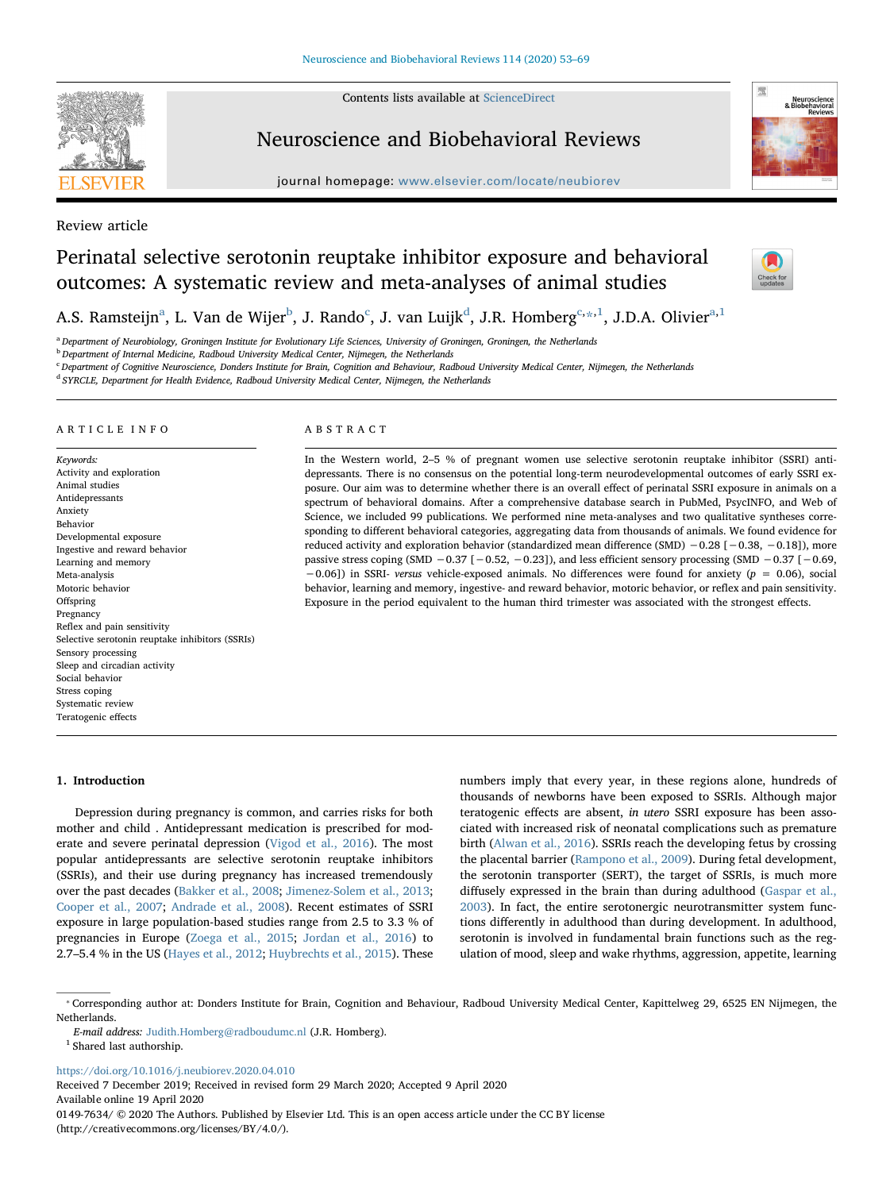Contents lists available at [ScienceDirect](http://www.sciencedirect.com/science/journal/01497634)



# Neuroscience and Biobehavioral Reviews

journal homepage: [www.elsevier.com/locate/neubiorev](https://www.elsevier.com/locate/neubiorev)



Review article

# Perinatal selective serotonin reuptake inhibitor exposure and behavioral outcomes: A systematic review and meta-analyses of animal studies



A.S. R[a](#page-0-0)msteijn<sup>a</sup>, L. Van de Wijer<sup>[b](#page-0-1)</sup>, J. Rando<sup>[c](#page-0-2)</sup>, J. van Luijk<sup>[d](#page-0-3)</sup>, J.R. Homberg<sup>c,</sup>\*<sup>,[1](#page-0-5)</sup>, J.D.A. Olivier<sup>a[,1](#page-0-5)</sup>

<span id="page-0-0"></span><sup>a</sup> Department of Neurobiology, Groningen Institute for Evolutionary Life Sciences, University of Groningen, Groningen, the Netherlands

<span id="page-0-1"></span><sup>b</sup> Department of Internal Medicine, Radboud University Medical Center, Nijmegen, the Netherlands

<span id="page-0-2"></span><sup>c</sup> Department of Cognitive Neuroscience, Donders Institute for Brain, Cognition and Behaviour, Radboud University Medical Center, Nijmegen, the Netherlands

<span id="page-0-3"></span><sup>d</sup> SYRCLE, Department for Health Evidence, Radboud University Medical Center, Nijmegen, the Netherlands

#### ARTICLE INFO

Keywords: Activity and exploration Animal studies Antidepressants Anxiety Behavior Developmental exposure Ingestive and reward behavior Learning and memory Meta-analysis Motoric behavior Offspring Pregnancy Reflex and pain sensitivity Selective serotonin reuptake inhibitors (SSRIs) Sensory processing Sleep and circadian activity Social behavior Stress coping Systematic review Teratogenic effects

# ABSTRACT

In the Western world, 2–5 % of pregnant women use selective serotonin reuptake inhibitor (SSRI) antidepressants. There is no consensus on the potential long-term neurodevelopmental outcomes of early SSRI exposure. Our aim was to determine whether there is an overall effect of perinatal SSRI exposure in animals on a spectrum of behavioral domains. After a comprehensive database search in PubMed, PsycINFO, and Web of Science, we included 99 publications. We performed nine meta-analyses and two qualitative syntheses corresponding to different behavioral categories, aggregating data from thousands of animals. We found evidence for reduced activity and exploration behavior (standardized mean difference (SMD) −0.28 [−0.38, −0.18]), more passive stress coping (SMD −0.37 [−0.52, −0.23]), and less efficient sensory processing (SMD −0.37 [−0.69, −0.06]) in SSRI- versus vehicle-exposed animals. No differences were found for anxiety (p = 0.06), social behavior, learning and memory, ingestive- and reward behavior, motoric behavior, or reflex and pain sensitivity. Exposure in the period equivalent to the human third trimester was associated with the strongest effects.

#### 1. Introduction

Depression during pregnancy is common, and carries risks for both mother and child . Antidepressant medication is prescribed for moderate and severe perinatal depression ([Vigod et al., 2016](#page-16-0)). The most popular antidepressants are selective serotonin reuptake inhibitors (SSRIs), and their use during pregnancy has increased tremendously over the past decades [\(Bakker et al., 2008](#page-14-0); [Jimenez-Solem et al., 2013](#page-15-0); [Cooper et al., 2007;](#page-14-1) [Andrade et al., 2008\)](#page-13-0). Recent estimates of SSRI exposure in large population-based studies range from 2.5 to 3.3 % of pregnancies in Europe ([Zoega et al., 2015;](#page-16-1) [Jordan et al., 2016\)](#page-15-1) to 2.7–5.4 % in the US [\(Hayes et al., 2012;](#page-14-2) [Huybrechts et al., 2015](#page-15-2)). These

numbers imply that every year, in these regions alone, hundreds of thousands of newborns have been exposed to SSRIs. Although major teratogenic effects are absent, in utero SSRI exposure has been associated with increased risk of neonatal complications such as premature birth [\(Alwan et al., 2016\)](#page-13-1). SSRIs reach the developing fetus by crossing the placental barrier [\(Rampono et al., 2009](#page-15-3)). During fetal development, the serotonin transporter (SERT), the target of SSRIs, is much more diffusely expressed in the brain than during adulthood ([Gaspar et al.,](#page-14-3) [2003\)](#page-14-3). In fact, the entire serotonergic neurotransmitter system functions differently in adulthood than during development. In adulthood, serotonin is involved in fundamental brain functions such as the regulation of mood, sleep and wake rhythms, aggression, appetite, learning

<span id="page-0-5"></span> $^{\rm 1}$  Shared last authorship.

<https://doi.org/10.1016/j.neubiorev.2020.04.010>

Received 7 December 2019; Received in revised form 29 March 2020; Accepted 9 April 2020 Available online 19 April 2020 0149-7634/ © 2020 The Authors. Published by Elsevier Ltd. This is an open access article under the CC BY license (http://creativecommons.org/licenses/BY/4.0/).

<span id="page-0-4"></span><sup>⁎</sup> Corresponding author at: Donders Institute for Brain, Cognition and Behaviour, Radboud University Medical Center, Kapittelweg 29, 6525 EN Nijmegen, the Netherlands.

E-mail address: [Judith.Homberg@radboudumc.nl](mailto:Judith.Homberg@radboudumc.nl) (J.R. Homberg).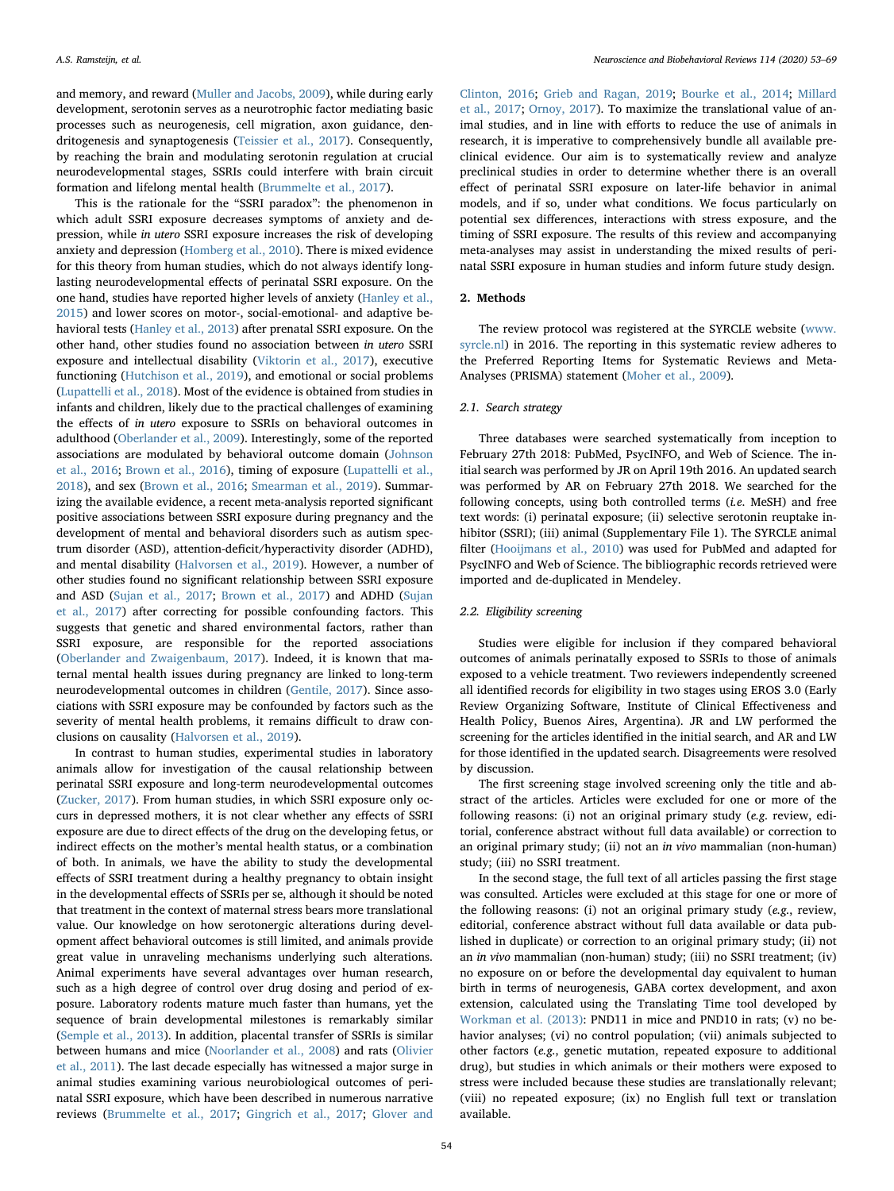and memory, and reward ([Muller and Jacobs, 2009](#page-15-4)), while during early development, serotonin serves as a neurotrophic factor mediating basic processes such as neurogenesis, cell migration, axon guidance, dendritogenesis and synaptogenesis [\(Teissier et al., 2017](#page-16-2)). Consequently, by reaching the brain and modulating serotonin regulation at crucial neurodevelopmental stages, SSRIs could interfere with brain circuit formation and lifelong mental health ([Brummelte et al., 2017](#page-14-4)).

This is the rationale for the "SSRI paradox": the phenomenon in which adult SSRI exposure decreases symptoms of anxiety and depression, while in utero SSRI exposure increases the risk of developing anxiety and depression ([Homberg et al., 2010\)](#page-14-5). There is mixed evidence for this theory from human studies, which do not always identify longlasting neurodevelopmental effects of perinatal SSRI exposure. On the one hand, studies have reported higher levels of anxiety [\(Hanley et al.,](#page-14-6) [2015\)](#page-14-6) and lower scores on motor-, social-emotional- and adaptive behavioral tests ([Hanley et al., 2013](#page-14-7)) after prenatal SSRI exposure. On the other hand, other studies found no association between in utero SSRI exposure and intellectual disability [\(Viktorin et al., 2017\)](#page-16-3), executive functioning ([Hutchison et al., 2019](#page-14-8)), and emotional or social problems ([Lupattelli et al., 2018](#page-15-5)). Most of the evidence is obtained from studies in infants and children, likely due to the practical challenges of examining the effects of in utero exposure to SSRIs on behavioral outcomes in adulthood ([Oberlander et al., 2009](#page-15-6)). Interestingly, some of the reported associations are modulated by behavioral outcome domain [\(Johnson](#page-15-7) [et al., 2016;](#page-15-7) [Brown et al., 2016\)](#page-14-9), timing of exposure ([Lupattelli et al.,](#page-15-5) [2018\)](#page-15-5), and sex [\(Brown et al., 2016;](#page-14-9) [Smearman et al., 2019\)](#page-16-4). Summarizing the available evidence, a recent meta-analysis reported significant positive associations between SSRI exposure during pregnancy and the development of mental and behavioral disorders such as autism spectrum disorder (ASD), attention-deficit/hyperactivity disorder (ADHD), and mental disability ([Halvorsen et al., 2019\)](#page-14-10). However, a number of other studies found no significant relationship between SSRI exposure and ASD ([Sujan et al., 2017;](#page-16-5) [Brown et al., 2017\)](#page-14-11) and ADHD [\(Sujan](#page-16-5) [et al., 2017](#page-16-5)) after correcting for possible confounding factors. This suggests that genetic and shared environmental factors, rather than SSRI exposure, are responsible for the reported associations ([Oberlander and Zwaigenbaum, 2017\)](#page-15-8). Indeed, it is known that maternal mental health issues during pregnancy are linked to long-term neurodevelopmental outcomes in children ([Gentile, 2017\)](#page-14-12). Since associations with SSRI exposure may be confounded by factors such as the severity of mental health problems, it remains difficult to draw conclusions on causality ([Halvorsen et al., 2019\)](#page-14-10).

In contrast to human studies, experimental studies in laboratory animals allow for investigation of the causal relationship between perinatal SSRI exposure and long-term neurodevelopmental outcomes ([Zucker, 2017\)](#page-16-6). From human studies, in which SSRI exposure only occurs in depressed mothers, it is not clear whether any effects of SSRI exposure are due to direct effects of the drug on the developing fetus, or indirect effects on the mother's mental health status, or a combination of both. In animals, we have the ability to study the developmental effects of SSRI treatment during a healthy pregnancy to obtain insight in the developmental effects of SSRIs per se, although it should be noted that treatment in the context of maternal stress bears more translational value. Our knowledge on how serotonergic alterations during development affect behavioral outcomes is still limited, and animals provide great value in unraveling mechanisms underlying such alterations. Animal experiments have several advantages over human research, such as a high degree of control over drug dosing and period of exposure. Laboratory rodents mature much faster than humans, yet the sequence of brain developmental milestones is remarkably similar ([Semple et al., 2013](#page-16-7)). In addition, placental transfer of SSRIs is similar between humans and mice [\(Noorlander et al., 2008\)](#page-15-9) and rats [\(Olivier](#page-15-10) [et al., 2011\)](#page-15-10). The last decade especially has witnessed a major surge in animal studies examining various neurobiological outcomes of perinatal SSRI exposure, which have been described in numerous narrative reviews ([Brummelte et al., 2017;](#page-14-4) [Gingrich et al., 2017;](#page-14-13) [Glover and](#page-14-14)

[Clinton, 2016](#page-14-14); [Grieb and Ragan, 2019](#page-14-15); [Bourke et al., 2014;](#page-14-16) [Millard](#page-15-11) [et al., 2017;](#page-15-11) [Ornoy, 2017](#page-15-12)). To maximize the translational value of animal studies, and in line with efforts to reduce the use of animals in research, it is imperative to comprehensively bundle all available preclinical evidence. Our aim is to systematically review and analyze preclinical studies in order to determine whether there is an overall effect of perinatal SSRI exposure on later-life behavior in animal models, and if so, under what conditions. We focus particularly on potential sex differences, interactions with stress exposure, and the timing of SSRI exposure. The results of this review and accompanying meta-analyses may assist in understanding the mixed results of perinatal SSRI exposure in human studies and inform future study design.

# 2. Methods

The review protocol was registered at the SYRCLE website ([www.](http://www.syrcle.nl) [syrcle.nl](http://www.syrcle.nl)) in 2016. The reporting in this systematic review adheres to the Preferred Reporting Items for Systematic Reviews and Meta-Analyses (PRISMA) statement ([Moher et al., 2009](#page-15-13)).

#### 2.1. Search strategy

Three databases were searched systematically from inception to February 27th 2018: PubMed, PsycINFO, and Web of Science. The initial search was performed by JR on April 19th 2016. An updated search was performed by AR on February 27th 2018. We searched for the following concepts, using both controlled terms (i.e. MeSH) and free text words: (i) perinatal exposure; (ii) selective serotonin reuptake inhibitor (SSRI); (iii) animal (Supplementary File 1). The SYRCLE animal filter ([Hooijmans et al., 2010\)](#page-14-17) was used for PubMed and adapted for PsycINFO and Web of Science. The bibliographic records retrieved were imported and de-duplicated in Mendeley.

# 2.2. Eligibility screening

Studies were eligible for inclusion if they compared behavioral outcomes of animals perinatally exposed to SSRIs to those of animals exposed to a vehicle treatment. Two reviewers independently screened all identified records for eligibility in two stages using EROS 3.0 (Early Review Organizing Software, Institute of Clinical Effectiveness and Health Policy, Buenos Aires, Argentina). JR and LW performed the screening for the articles identified in the initial search, and AR and LW for those identified in the updated search. Disagreements were resolved by discussion.

The first screening stage involved screening only the title and abstract of the articles. Articles were excluded for one or more of the following reasons: (i) not an original primary study (e.g. review, editorial, conference abstract without full data available) or correction to an original primary study; (ii) not an in vivo mammalian (non-human) study; (iii) no SSRI treatment.

In the second stage, the full text of all articles passing the first stage was consulted. Articles were excluded at this stage for one or more of the following reasons: (i) not an original primary study (e.g., review, editorial, conference abstract without full data available or data published in duplicate) or correction to an original primary study; (ii) not an in vivo mammalian (non-human) study; (iii) no SSRI treatment; (iv) no exposure on or before the developmental day equivalent to human birth in terms of neurogenesis, GABA cortex development, and axon extension, calculated using the Translating Time tool developed by [Workman et al. \(2013\):](#page-16-8) PND11 in mice and PND10 in rats; (v) no behavior analyses; (vi) no control population; (vii) animals subjected to other factors (e.g., genetic mutation, repeated exposure to additional drug), but studies in which animals or their mothers were exposed to stress were included because these studies are translationally relevant; (viii) no repeated exposure; (ix) no English full text or translation available.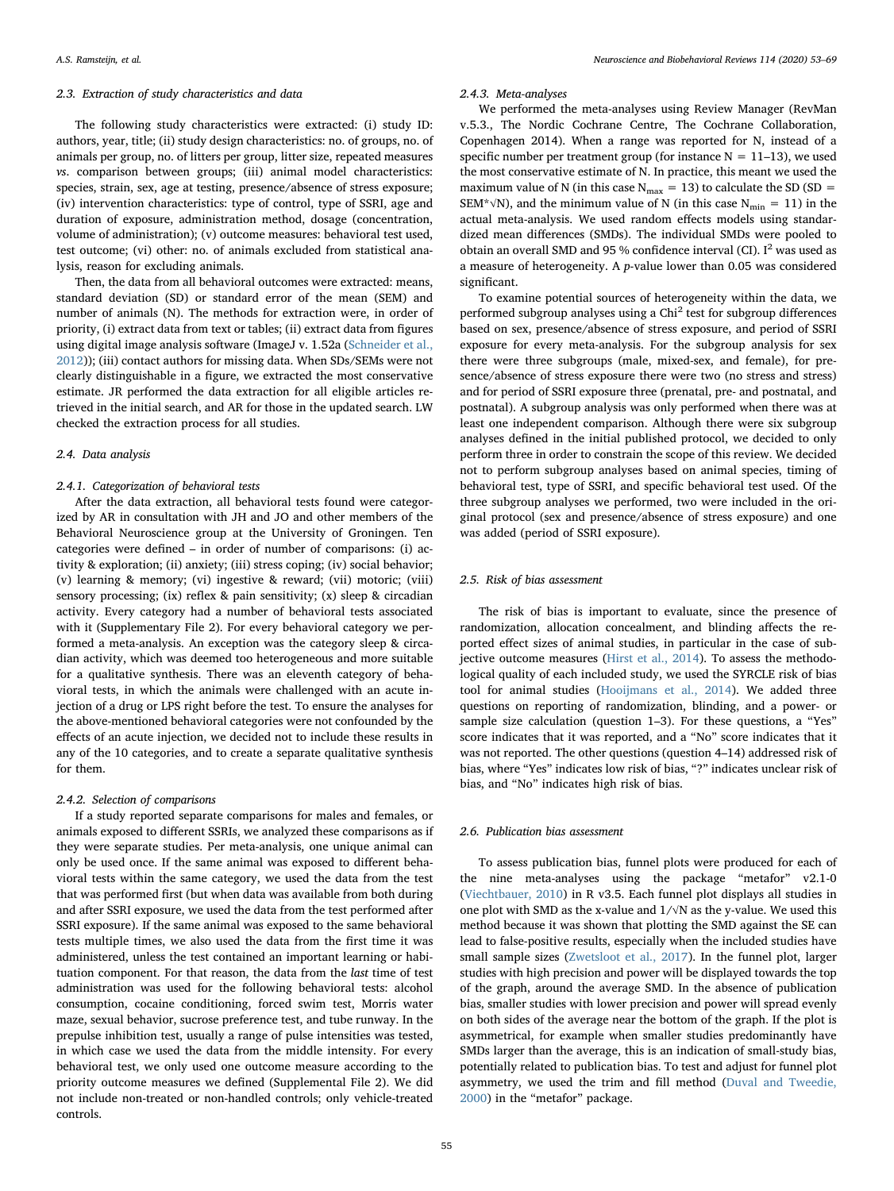#### 2.3. Extraction of study characteristics and data

The following study characteristics were extracted: (i) study ID: authors, year, title; (ii) study design characteristics: no. of groups, no. of animals per group, no. of litters per group, litter size, repeated measures vs. comparison between groups; (iii) animal model characteristics: species, strain, sex, age at testing, presence/absence of stress exposure; (iv) intervention characteristics: type of control, type of SSRI, age and duration of exposure, administration method, dosage (concentration, volume of administration); (v) outcome measures: behavioral test used, test outcome; (vi) other: no. of animals excluded from statistical analysis, reason for excluding animals.

Then, the data from all behavioral outcomes were extracted: means, standard deviation (SD) or standard error of the mean (SEM) and number of animals (N). The methods for extraction were, in order of priority, (i) extract data from text or tables; (ii) extract data from figures using digital image analysis software (ImageJ v. 1.52a [\(Schneider et al.,](#page-16-9) [2012\)](#page-16-9)); (iii) contact authors for missing data. When SDs/SEMs were not clearly distinguishable in a figure, we extracted the most conservative estimate. JR performed the data extraction for all eligible articles retrieved in the initial search, and AR for those in the updated search. LW checked the extraction process for all studies.

#### 2.4. Data analysis

#### 2.4.1. Categorization of behavioral tests

After the data extraction, all behavioral tests found were categorized by AR in consultation with JH and JO and other members of the Behavioral Neuroscience group at the University of Groningen. Ten categories were defined – in order of number of comparisons: (i) activity & exploration; (ii) anxiety; (iii) stress coping; (iv) social behavior; (v) learning & memory; (vi) ingestive & reward; (vii) motoric; (viii) sensory processing; (ix) reflex & pain sensitivity; (x) sleep & circadian activity. Every category had a number of behavioral tests associated with it (Supplementary File 2). For every behavioral category we performed a meta-analysis. An exception was the category sleep & circadian activity, which was deemed too heterogeneous and more suitable for a qualitative synthesis. There was an eleventh category of behavioral tests, in which the animals were challenged with an acute injection of a drug or LPS right before the test. To ensure the analyses for the above-mentioned behavioral categories were not confounded by the effects of an acute injection, we decided not to include these results in any of the 10 categories, and to create a separate qualitative synthesis for them.

# 2.4.2. Selection of comparisons

If a study reported separate comparisons for males and females, or animals exposed to different SSRIs, we analyzed these comparisons as if they were separate studies. Per meta-analysis, one unique animal can only be used once. If the same animal was exposed to different behavioral tests within the same category, we used the data from the test that was performed first (but when data was available from both during and after SSRI exposure, we used the data from the test performed after SSRI exposure). If the same animal was exposed to the same behavioral tests multiple times, we also used the data from the first time it was administered, unless the test contained an important learning or habituation component. For that reason, the data from the last time of test administration was used for the following behavioral tests: alcohol consumption, cocaine conditioning, forced swim test, Morris water maze, sexual behavior, sucrose preference test, and tube runway. In the prepulse inhibition test, usually a range of pulse intensities was tested, in which case we used the data from the middle intensity. For every behavioral test, we only used one outcome measure according to the priority outcome measures we defined (Supplemental File 2). We did not include non-treated or non-handled controls; only vehicle-treated controls.

# 2.4.3. Meta-analyses

We performed the meta-analyses using Review Manager (RevMan v.5.3., The Nordic Cochrane Centre, The Cochrane Collaboration, Copenhagen 2014). When a range was reported for N, instead of a specific number per treatment group (for instance  $N = 11-13$ ), we used the most conservative estimate of N. In practice, this meant we used the maximum value of N (in this case  $N_{\text{max}} = 13$ ) to calculate the SD (SD = SEM\*√N), and the minimum value of N (in this case  $N_{\text{min}} = 11$ ) in the actual meta-analysis. We used random effects models using standardized mean differences (SMDs). The individual SMDs were pooled to obtain an overall SMD and 95 % confidence interval (CI).  $I^2$  was used as a measure of heterogeneity. A p-value lower than 0.05 was considered significant.

To examine potential sources of heterogeneity within the data, we performed subgroup analyses using a Chi<sup>2</sup> test for subgroup differences based on sex, presence/absence of stress exposure, and period of SSRI exposure for every meta-analysis. For the subgroup analysis for sex there were three subgroups (male, mixed-sex, and female), for presence/absence of stress exposure there were two (no stress and stress) and for period of SSRI exposure three (prenatal, pre- and postnatal, and postnatal). A subgroup analysis was only performed when there was at least one independent comparison. Although there were six subgroup analyses defined in the initial published protocol, we decided to only perform three in order to constrain the scope of this review. We decided not to perform subgroup analyses based on animal species, timing of behavioral test, type of SSRI, and specific behavioral test used. Of the three subgroup analyses we performed, two were included in the original protocol (sex and presence/absence of stress exposure) and one was added (period of SSRI exposure).

# 2.5. Risk of bias assessment

The risk of bias is important to evaluate, since the presence of randomization, allocation concealment, and blinding affects the reported effect sizes of animal studies, in particular in the case of sub-jective outcome measures ([Hirst et al., 2014](#page-14-18)). To assess the methodological quality of each included study, we used the SYRCLE risk of bias tool for animal studies [\(Hooijmans et al., 2014\)](#page-14-19). We added three questions on reporting of randomization, blinding, and a power- or sample size calculation (question 1–3). For these questions, a "Yes" score indicates that it was reported, and a "No" score indicates that it was not reported. The other questions (question 4–14) addressed risk of bias, where "Yes" indicates low risk of bias, "?" indicates unclear risk of bias, and "No" indicates high risk of bias.

#### 2.6. Publication bias assessment

To assess publication bias, funnel plots were produced for each of the nine meta-analyses using the package "metafor" v2.1-0 ([Viechtbauer, 2010](#page-16-10)) in R v3.5. Each funnel plot displays all studies in one plot with SMD as the x-value and  $1/\sqrt{\rm N}$  as the y-value. We used this method because it was shown that plotting the SMD against the SE can lead to false-positive results, especially when the included studies have small sample sizes [\(Zwetsloot et al., 2017\)](#page-16-11). In the funnel plot, larger studies with high precision and power will be displayed towards the top of the graph, around the average SMD. In the absence of publication bias, smaller studies with lower precision and power will spread evenly on both sides of the average near the bottom of the graph. If the plot is asymmetrical, for example when smaller studies predominantly have SMDs larger than the average, this is an indication of small-study bias, potentially related to publication bias. To test and adjust for funnel plot asymmetry, we used the trim and fill method [\(Duval and Tweedie,](#page-14-20) [2000\)](#page-14-20) in the "metafor" package.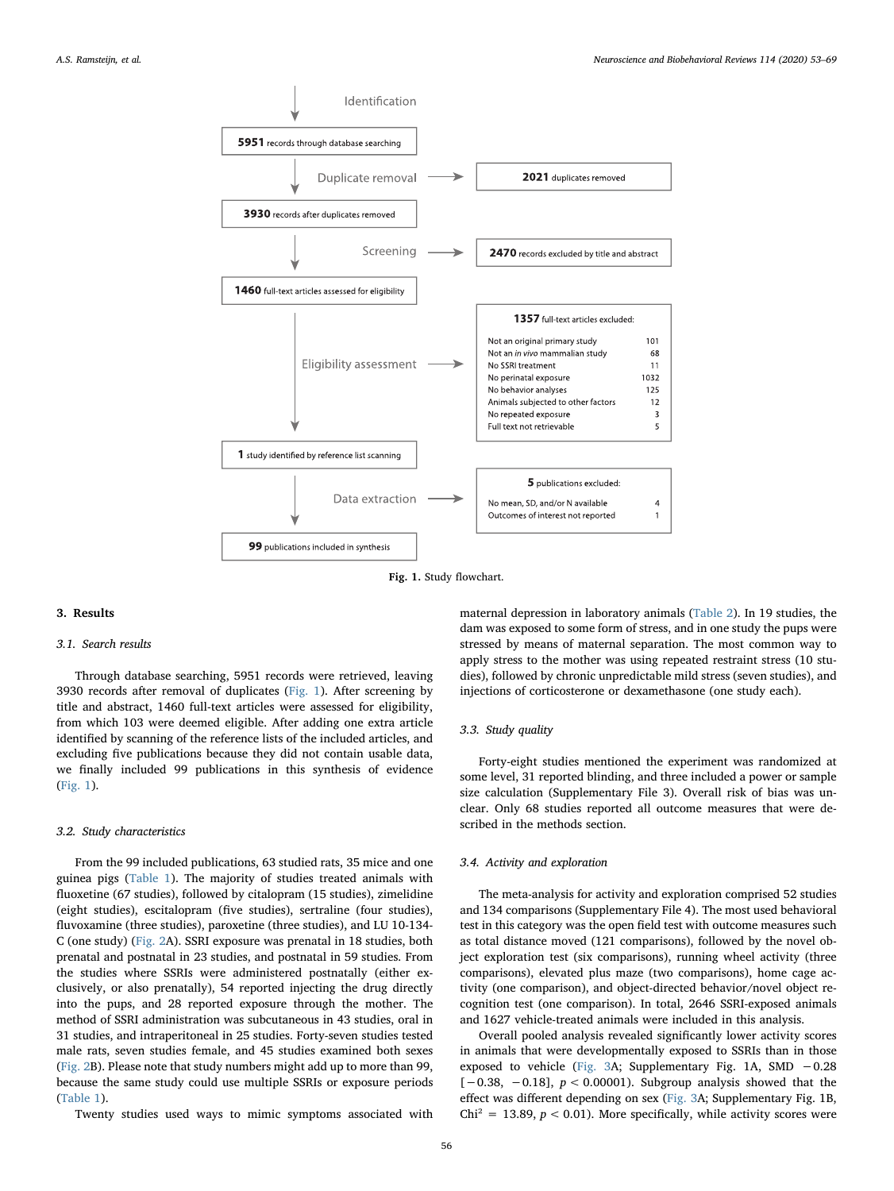<span id="page-3-0"></span>

Fig. 1. Study flowchart.

# 3. Results

#### 3.1. Search results

Through database searching, 5951 records were retrieved, leaving 3930 records after removal of duplicates ([Fig. 1\)](#page-3-0). After screening by title and abstract, 1460 full-text articles were assessed for eligibility, from which 103 were deemed eligible. After adding one extra article identified by scanning of the reference lists of the included articles, and excluding five publications because they did not contain usable data, we finally included 99 publications in this synthesis of evidence ([Fig. 1\)](#page-3-0).

#### 3.2. Study characteristics

From the 99 included publications, 63 studied rats, 35 mice and one guinea pigs [\(Table 1\)](#page-4-0). The majority of studies treated animals with fluoxetine (67 studies), followed by citalopram (15 studies), zimelidine (eight studies), escitalopram (five studies), sertraline (four studies), fluvoxamine (three studies), paroxetine (three studies), and LU 10-134- C (one study) ([Fig. 2](#page-7-0)A). SSRI exposure was prenatal in 18 studies, both prenatal and postnatal in 23 studies, and postnatal in 59 studies. From the studies where SSRIs were administered postnatally (either exclusively, or also prenatally), 54 reported injecting the drug directly into the pups, and 28 reported exposure through the mother. The method of SSRI administration was subcutaneous in 43 studies, oral in 31 studies, and intraperitoneal in 25 studies. Forty-seven studies tested male rats, seven studies female, and 45 studies examined both sexes ([Fig. 2](#page-7-0)B). Please note that study numbers might add up to more than 99, because the same study could use multiple SSRIs or exposure periods ([Table 1](#page-4-0)).

Twenty studies used ways to mimic symptoms associated with

maternal depression in laboratory animals [\(Table 2\)](#page-7-1). In 19 studies, the dam was exposed to some form of stress, and in one study the pups were stressed by means of maternal separation. The most common way to apply stress to the mother was using repeated restraint stress (10 studies), followed by chronic unpredictable mild stress (seven studies), and injections of corticosterone or dexamethasone (one study each).

#### 3.3. Study quality

Forty-eight studies mentioned the experiment was randomized at some level, 31 reported blinding, and three included a power or sample size calculation (Supplementary File 3). Overall risk of bias was unclear. Only 68 studies reported all outcome measures that were described in the methods section.

#### 3.4. Activity and exploration

The meta-analysis for activity and exploration comprised 52 studies and 134 comparisons (Supplementary File 4). The most used behavioral test in this category was the open field test with outcome measures such as total distance moved (121 comparisons), followed by the novel object exploration test (six comparisons), running wheel activity (three comparisons), elevated plus maze (two comparisons), home cage activity (one comparison), and object-directed behavior/novel object recognition test (one comparison). In total, 2646 SSRI-exposed animals and 1627 vehicle-treated animals were included in this analysis.

Overall pooled analysis revealed significantly lower activity scores in animals that were developmentally exposed to SSRIs than in those exposed to vehicle ([Fig. 3](#page-8-0)A; Supplementary Fig. 1A, SMD −0.28  $[-0.38, -0.18]$ ,  $p < 0.00001$ ). Subgroup analysis showed that the effect was different depending on sex ([Fig. 3A](#page-8-0); Supplementary Fig. 1B, Chi<sup>2</sup> = 13.89,  $p < 0.01$ ). More specifically, while activity scores were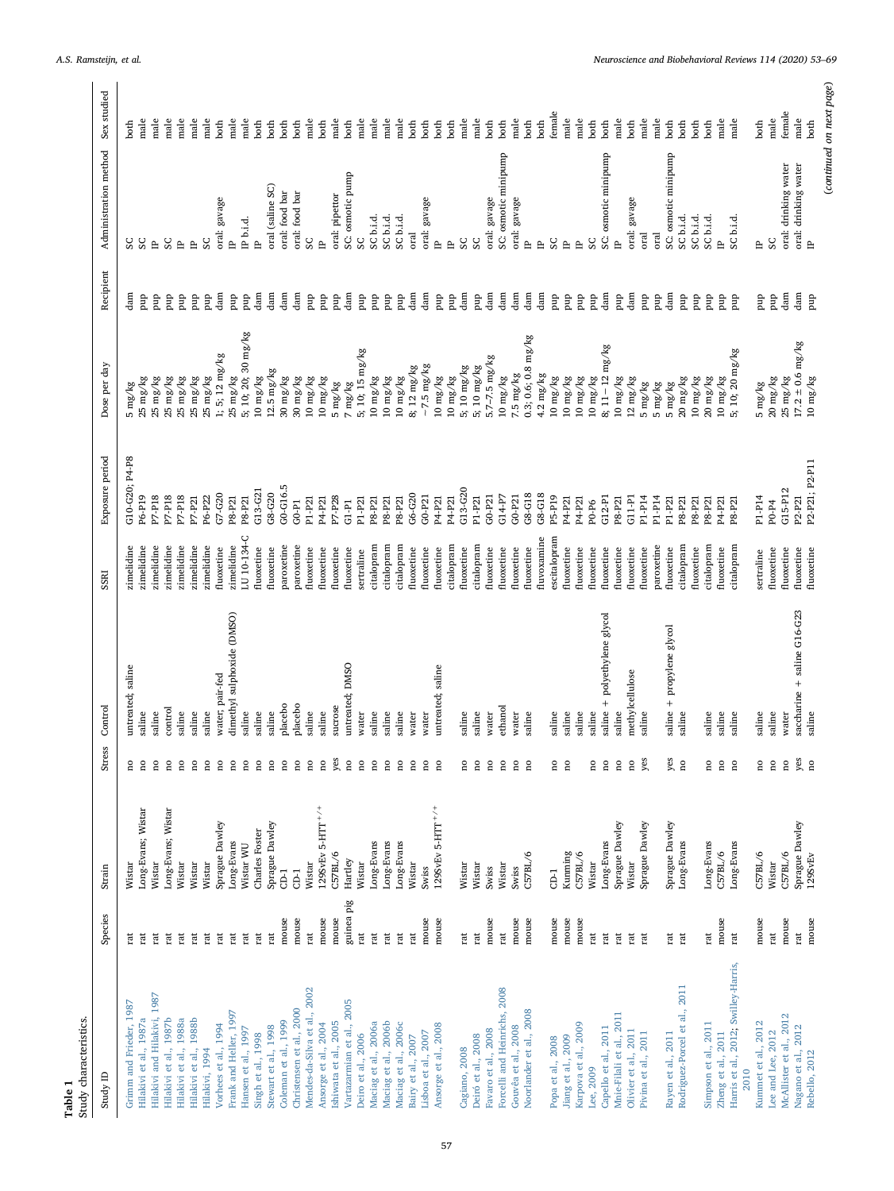<span id="page-4-0"></span>

| Study characteristics.<br>Table 1             |                 |                                                |                     |                              |                                |                  |                                                                               |               |                           |                          |
|-----------------------------------------------|-----------------|------------------------------------------------|---------------------|------------------------------|--------------------------------|------------------|-------------------------------------------------------------------------------|---------------|---------------------------|--------------------------|
| Study ID                                      | Species         | Strain                                         | Stress              | Control                      | SSRI                           | Exposure period  | Dose per day                                                                  | Recipient     | Administration method     | Sex studied              |
| Grimm and Frieder, 1987                       | tat             | Wistar                                         | g                   | untreated; saline            | zimelidine                     | G10-G20; P4-P8   | $5 \text{ mg/kg}$                                                             | dam           |                           | both                     |
| Hilakivi et al., 1987a                        | t               | Long-Evans; Wistar                             | Ξ                   | saline                       | zimelidine                     | P6-P19           | $25 \; \mathrm{mg/kg}$                                                        | quq           | S S S                     | male                     |
| Hilakivi and Hilakivi, 1987                   | rat             | Wistar                                         | g                   | saline                       | zimelidine                     | P7-P18           | $25 \text{ mg/kg}$                                                            | qnd           | $\triangleq$              | male                     |
| Hilakivi et al., 1987b                        | rat             | Long-Evans; Wistar                             | g                   | control                      | zimelidine                     | P7-P18           | $25 \text{ mg/kg}$                                                            | gind          | SC                        | male                     |
| Hilakivi et al., 1988a                        | rat             | Wistar                                         | g                   | saline                       | zimelidine                     | P7-P18           | $25 \text{ mg/kg}$                                                            | qnq           | $\triangleq$              | male                     |
| Hilakivi et al., 1988b                        | tat             | Wistar                                         | g                   | saline                       | zimelidine                     | P7-P21           | $25 \text{ mg/kg}$                                                            | qnq           | $\triangleq$              | male                     |
| Hilakivi, 1994                                | rat             | Wistar                                         | å                   | saline                       | zimelidine                     | P6-P22           | $25 \text{ mg/kg}$                                                            | qnd           | SC                        | male                     |
| Vorhees et al., 1994                          | rat             | Sprague Dawley                                 | g                   | water; pair-fed              | fluoxetine                     | $T - G20$        | $L; 5; 12 \text{ mg/kg}$                                                      | dam           | oral: gavage              | both                     |
| Frank and Heller, 1997                        | rat             | Long-Evans                                     | g                   | dimethyl sulphoxide (DMSO)   | zimelidine                     | P8-P21           | $25 \text{ mg/kg}$                                                            | qtnd          | 甴                         | male                     |
| Hansen et al., 1997                           | rat             | Wistar WU                                      | g                   | saline                       | LU 10-134-C                    | P8-P21           | 5; 10; 20; 30 mg/kg                                                           | gind          | IP b.i.d.                 | male                     |
| Singh et al., 1998                            | $_\mathrm{rat}$ | Charles Foster                                 | g                   | saline                       | fluoxetine                     | $G13-G21$        | $10 \text{ mg/kg}$                                                            | dam           | 白                         | both                     |
| Stewart et al., 1998                          | rat             | Sprague Dawley                                 | g                   | saline                       | fluoxetine                     | $G8-G20$         | $12.5 \text{ mg/kg}$                                                          | dam           | oral (saline SC)          | both                     |
| Coleman et al., 1999                          | mouse           | $\overline{C}$                                 | å                   | placebo                      | paroxetine                     | G.O-G16.5<br>GP1 | $30 \; \mathrm{mg/kg}$                                                        | dam           | oral: food bar            | both                     |
| Christensen et al., 2000                      | mouse           | $\ddot{\theta}$                                | $\mathbf{a}$        | placebo                      | paroxetine                     |                  | $30 \text{ mg/kg}$                                                            | $\dim$        | oral: food bar            | both                     |
| Mendes-da-Silva et al., 2002                  | rat             | $1298$<br>v<br>Ev $5$ -HTT $^+$ $^+$<br>Wistar | $\mathbf{a}$        | saline                       | fluoxetine                     | P4-P21<br>P1-P21 | $10 \text{ mg/kg}$                                                            | qnd           | SC<br>$\mathbb{R}$        | male                     |
| Ansorge et al., 2004<br>Ishiwata et al., 2005 | mouse<br>mouse  | C57BL/6                                        | yes<br>$\mathbf{S}$ | sucrose<br>saline            | fluoxetine<br>fluoxetine       | P7-P28           | $10 \text{ mg/kg}$<br>$5 \mathrm{~mg/kg}$                                     | gind<br>gind  | oral: pipettor            | male<br>both             |
| Vartazarmian et al., 2005                     | guinea pig      | Hartley                                        | no                  | untreated; DMSO              | fluoxetine                     | $G1-P1$          | $7 \mathrm{~mg/kg}$                                                           | $\dim$        | SC: osmotic pump          | both                     |
| Deiro et al., 2006                            | rat             | Wistar                                         | g                   | water                        | sertraline                     | P1-P21           | 5; 10; 15 mg/kg                                                               | gind          | SC                        | male                     |
| Maciag et al., 2006a                          | rat             | Long-Evans                                     | <b>n</b>            | saline                       | citalopram                     | P8-P21           | $10 \text{ mg/kg}$                                                            | qnd           | SC b.i.d.                 | male                     |
| Maciag et al., 2006b                          | rat             | $Long-Fvars$                                   | g                   | saline                       | citalopram                     | P8-P21           | $10 \text{ mg/kg}$                                                            | gind          | SC b.i.d                  | male                     |
| Maciag et al., 2006c                          | rat             | Long-Evans                                     | å                   | saline                       | citalopram                     | P8-P21           | $10 \text{ mg/kg}$                                                            | gind          | SC b.i.d.                 | male                     |
| Bairy et al., 2007                            | rat             | Wistar                                         | g                   | water                        | fluoxetine                     | G6-G20           | $8:12 \text{ mg/kg}$                                                          | $\dim$        | oral                      | both                     |
| Lisboa et al., 2007                           | mouse           | Swiss                                          | g                   | water                        | fluoxetine                     | $G0-P21$         | $\sim$ 7.5 mg/kg                                                              | $\dim$        | oral: gavage              | both                     |
| Ansorge et al., 2008                          | mouse           | $1298\mathrm{vEv}$ 5-HTT $^+$ $^+$             | g                   | untreated; saline            | fluoxetine                     | P4-P21           | $10~\mathrm{mg/kg}$                                                           | gind          | 白                         | both                     |
|                                               |                 |                                                |                     |                              | citalopram                     | P4-P21           | $10 \; \mathrm{mg/kg}$                                                        | gind          | $\triangle$               | both                     |
| Cagiano, 2008                                 | rat             | Wistar                                         | g                   | saline                       | fluoxetine                     | G20<br>G20       | 5; 10 mg/kg                                                                   | dam           | SC                        | male                     |
| Deiró et al., 2008                            | rat             | Wistar                                         | g                   | saline                       | citalopram                     | P1-P21           | 5; 10 mg/kg                                                                   | gind          | SC                        | male                     |
| Favaro et al., 2008                           | mouse           | Swiss                                          | g                   | water                        | fluoxetine                     | G4-P21           | $5.7 - 7.5$ mg/kg                                                             | $\dim$        | oral: gavage              | both                     |
| Forcelli and Heinrichs, 2008                  | rat             | Wistar                                         | g                   | ethanol                      | fluoxetine                     | $G14-P7$         | $10~{\rm mg/kg}$                                                              | dam           | SC: osmotic minipump      | both                     |
| Gouvêa et al., 2008                           | mouse           | Swiss                                          | g                   | water                        | fluoxetine                     | $GQ-P21$         | $7.5 \text{ mg/kg}$                                                           | dam           | oral: gavage              | male                     |
| Noorlander et al., 2008                       | mouse           | C57BL/6                                        | g                   | saline                       | fluoxetine                     | $G8-G18$         | 0.3; 0.6; 0.8 mg/kg                                                           | dam           | $\triangle$               | both                     |
|                                               |                 |                                                |                     |                              | fluvoxamine                    | $G8-G18$         | $4.2 \text{ mg/kg}$                                                           | dam           | $\triangle$               | both                     |
| Popa et al., 2008                             | mouse           | $\overline{d}$                                 | g                   | saline                       | escitalopram                   | P5-P19           | $10 \text{ mg/kg}$                                                            | gind          | SC                        | female                   |
| Jiang et al., 2009                            | mouse           | Kunming                                        | g                   | saline                       | fluoxetine                     | P4-P21           | $10 \text{ mg/kg}$                                                            | quq           | 白<br>$\triangle$          | male                     |
| Karpova et al., 2009<br>Lee, 2009             | mouse           | C57BL/6<br>Wistar                              |                     | saline<br>saline             | <b>luoxetine</b><br>fluoxetine | P4-P21<br>PO-P6  | $10 \; \mathrm{mg/kg}$                                                        | gind          | SC                        | male<br>both             |
| Capello et al., 2011                          | rat<br>rat      | Long-Evans                                     | g<br>g              | saline + polyethylene glycol | fluoxetine                     | $G12-P1$         | $\begin{array}{c} 10 \text{ mg/kg} \\ 8; 11\!-\!12 \text{ mg/kg} \end{array}$ | $d$ am<br>qnd | SC: osmotic minipump      | both                     |
| Mnie-Filali et al., 2011                      | rat             | Sprague Dawley                                 | $\mathbf{a}$        | saline                       | fluoxetine                     | P8-P21           | $10 \text{ mg/kg}$                                                            | gind          | $\triangle$               | male                     |
| Olivier et al., 2011                          | rat             | Wistar                                         | $\mathbf{S}$        | methylcellulose              | fluoxetine                     | $G1-PI$          | $12 \text{ mg/kg}$                                                            | $\dim$        | oral: gavage              | both                     |
| Pivina et al., 2011                           | rat             | Sprague Dawley                                 | yes                 | saline                       | fluoxetine                     | P1-P14           | $5 \mathrm{~mg/kg}$                                                           | gind          | oral                      | male                     |
|                                               |                 |                                                |                     |                              | paroxetine                     | P1-P14           | $5 \text{ mg/kg}$                                                             | qnd           | oral                      | male                     |
| Rayen et al., 2011                            | rat             | Sprague Dawley                                 | yes                 | + propylene glycol<br>saline | <b>Tuoxetine</b>               | P1-P21           | $5 \text{ mg/kg}$                                                             | $\dim$        | SC: osmotic minipump      | both                     |
| Rodriguez-Porcel et al., 2011                 | rat             | Long-Evans                                     | g                   | saline                       | citalopram                     | P8-P21           | $20 \text{ mg/kg}$                                                            | gtnd          | SC <sub>b.i.d</sub>       | both                     |
|                                               |                 |                                                |                     |                              | fluoxetine                     | P8-P21           | $10 \text{ mg/kg}$                                                            | gind          | SC b.i.d                  | both                     |
| Simpson et al., 2011<br>Zheng et al., 2011    | mouse<br>rat    | Long-Evans<br>C57BL/6                          | g<br>g              | saline<br>saline             | citalopram<br>fluoxetine       | P8-P21<br>P4-P21 | $20 \text{ mg/kg}$                                                            | gtnd          | SC b.i.d.<br>$\triangleq$ | male<br>both             |
|                                               |                 |                                                |                     |                              |                                |                  | $10 \text{ mg/kg}$                                                            | gind          | SC b.i.d.                 |                          |
| Harris et al., 2012; Swilley-Harris,<br>2010  | rat             | Long-Evans                                     | g                   | saline                       | citalopram                     | P8-P21           | 5; 10; 20 mg/kg                                                               | gind          |                           | male                     |
| Kummet et al., 2012                           | mouse           | C57BL/6                                        | g                   | saline                       | sertraline                     | P1-P14           | $5 \text{ mg/kg}$                                                             | quq           | 白                         | both                     |
| Lee and Lee, 2012                             | rat             | Wistar                                         | $\mathbf{S}$        | saline                       | fluoxetine                     | $PQ-P4$          | $20 \text{ mg/kg}$                                                            | dnd           | SC                        | male                     |
| McAllister et al., 2012                       | mouse           | C57BL/6                                        | $\mathbf{S}$        | water                        | fluoxetine                     | $G15-P12$        | $25 \; \mathrm{mg/kg}$                                                        | $\dim$        | oral: drinking water      | female                   |
| Nagano et al., 2012                           | rat             | Sprague Dawley                                 | yes                 | saccharine + saline G16-G23  | fluoxetine                     | P2-P21           | $17.2\,\pm\,0.6$ mg/kg                                                        | $\dim$        | oral: drinking water      | male                     |
| Rebello, 2012                                 | mouse           | 129SvEv                                        | g                   | saline                       | fluoxetine                     | P2-P21; P2-P11   | $10~\mathrm{mg/kg}$                                                           | gind          | $\mathbb{R}$              | both                     |
|                                               |                 |                                                |                     |                              |                                |                  |                                                                               |               |                           | (continued on next page) |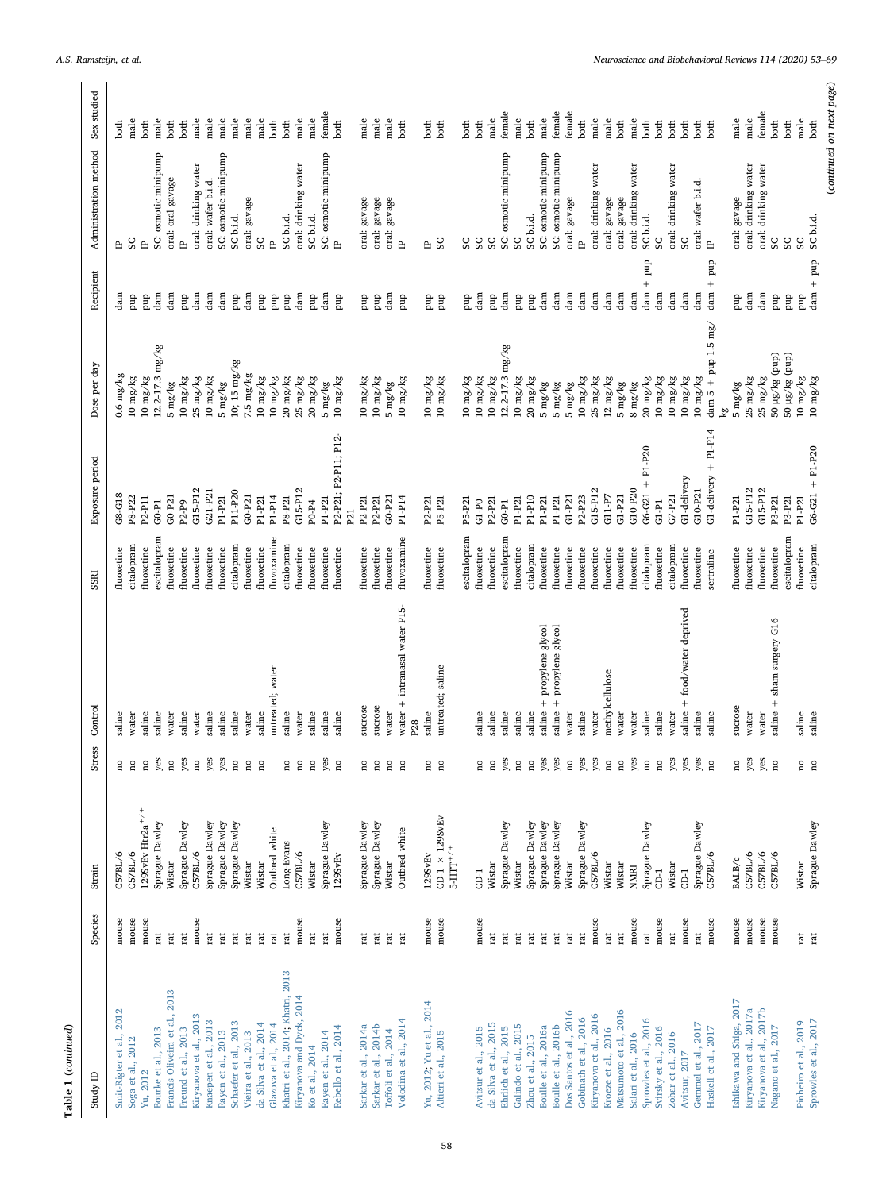| Table 1 (continued)               |         |                               |              |                                      |                 |                                 |                                     |                        |                       |                          |
|-----------------------------------|---------|-------------------------------|--------------|--------------------------------------|-----------------|---------------------------------|-------------------------------------|------------------------|-----------------------|--------------------------|
| Study ID                          | Species | Strain                        | Stress       | Control                              | SSRI            | Exposure period                 | Dose per day                        | Recipient              | Administration method | Sex studied              |
| Smit-Rigter et al., 2012          | mouse   | C57BL/6                       | g            | saline                               | <b>Noxetine</b> | $-618$                          | $0.6 \text{ mg/kg}$                 | dam                    | 白                     | both                     |
| Soga et al., 2012                 | mouse   | C57BL/6                       | Ξ            | water                                | citalopram      | P8-P22                          | $10 \; \mathrm{mg/kg}$              | qnq                    | င္တ                   | male                     |
| Yu, 2012                          | mouse   | $1298$ v<br>Ev Htr2a $^{+/-}$ | g            | saline                               | fluoxetine      | P <sub>2-P11</sub>              | $10 \text{ mg/kg}$                  | gind                   | $\mathbb{R}$          | both                     |
| Bourke et al., 2013               | rat     | Sprague Dawley                | yes          | saline                               | escitalopram    | $GP-1$                          | $12.2 - 17.3$ mg/kg                 | dam                    | SC: osmotic minipump  | male                     |
| Francis-Oliveira et al., 2013     | rat     | Wistar                        | g            | water                                | fluoxetine      | G <sub>0-P21</sub>              | $5 \text{ mg/kg}$                   | $\dim$                 | oral: oral gavage     | both                     |
| Freund et al., 2013               | rat     | Sprague Dawley                | yes          | saline                               | fluoxetine      | P2-P9                           | $10 \; \mathrm{mg/kg}$              | qnd                    | $\triangleright$      | both                     |
| Kiryanova et al., 2013            | mouse   | C57BL/6                       | no           | water                                | fluoxetine      | $G15-P12$                       | $25 \text{ mg/kg}$                  | dam                    | oral: drinking water  | male                     |
| Knaepen et al., 2013              | rat     | Sprague Dawley                | yes          | saline                               | fluoxetine      | G21-P21                         | $10 \text{ mg/kg}$                  | dam                    | oral: wafer b.i.d.    | male                     |
| Rayen et al., 2013                | rat     | Sprague Dawley                | yes          | saline                               | fluoxetine      | P1-P21                          | $5 \text{ mg/kg}$                   | dam                    | SC: osmotic minipump  | male                     |
| Schaefer et al., 2013             | rat     | Sprague Dawley                | g            | saline                               | citalopram      | P11-P20                         | $10; 15 \text{ mg/kg}$              | qnq                    | SC b.i.d.             | male                     |
| Vieira et al., 2013               | rat     | Wistar                        | å            | water                                | fluoxetine      | $G0-P21$                        | $7.5 \text{ mg/kg}$                 | dam                    | oral: gavage          | male                     |
| da Silva et al., 2014             | rat     | Wistar                        | e.           | saline                               | fluoxetine      | P1-P21                          | $10 \; \mathrm{mg/kg}$              | gind                   | SC                    | male                     |
| Glazova et al., 2014              | rat     | Outbred white                 |              | untreated; water                     | fluvoxamine     | P1-P14                          | $10 \text{ mg/kg}$                  | gind                   | $\triangle$           | both                     |
| Khatri et al., 2014, Khatri, 2013 | rat     | Long-Evans                    | S            | saline                               | citalopram      | P8-P21                          | $20 \text{ mg/kg}$                  | gind                   | SC b.i.d.             | both                     |
| Kiryanova and Dyck, 2014          | mouse   | C57BL/6                       | g            | water                                | fluoxetine      | $G15 - P12$                     | $25 \text{ mg/kg}$                  | $\dim$                 | oral: drinking water  | male                     |
| Ko et al., 2014                   | rat     | Wistar                        | g            | saline                               | fluoxetine      | $PQ-P4$                         | $20 \text{ mg/kg}$                  | pup                    | SC b.i.d.             | male                     |
| Rayen et al., 2014                | rat     | Sprague Dawley                | yes          | saline                               | fluoxetine      | P1-P21                          | $5 \text{ mg/kg}$                   | dam                    | SC: osmotic minipump  | female                   |
| Rebello et al., 2014              | mouse   | 129SvEv                       | g            | saline                               | fluoxetine      | P2-P21; P2-P11; P12-            | $10 \text{ mg/kg}$                  | gind                   | $\triangleright$      | both                     |
|                                   |         |                               |              |                                      |                 | P <sub>21</sub>                 |                                     |                        |                       |                          |
| Sarkar et al., 2014a              | rat     | Sprague Dawley                | g            | sucrose                              | fluoxetine      | P2-P21                          | $10 \text{ mg/kg}$                  | dnd                    | oral: gavage          | male                     |
| Sarkar et al., 2014b              | rat     | Sprague Dawley                | g            | sucrose                              | fluoxetine      | P <sub>2-</sub> P <sub>21</sub> | $10 \text{ mg/kg}$                  | gind                   | oral: gavage          | male                     |
| Toffoli et al., 2014              | rat     | Wistar                        | $\mathbf{a}$ | water                                | fluoxetine      | GQ-P21                          | $5 \text{ mg/kg}$                   | dam                    | oral: gavage          | male                     |
| Volodina et al., 2014             | rat     | Outbred white                 | g            | water + intranasal water P15-        | fluvoxamine     | P1-P14                          | $10~\mathrm{mg/kg}$                 | gind                   | $\triangle$           | both                     |
|                                   |         |                               |              | P <sub>28</sub>                      |                 |                                 |                                     |                        |                       |                          |
| Yu, 2012; Yu et al., 2014         | mouse   | 129SvEv                       | g            | saline                               | fluoxetine      | P2-P21                          | $10 \; \mathrm{mg/kg}$              | dnd                    | 白                     | both                     |
| Altieri et al., 2015              | mouse   | $CD-1 \times 129SvEv$         | $\epsilon$   | untreated; saline                    | fluoxetine      | P5-P21                          | $10 \; \mathrm{mg/kg}$              | gind                   | SC                    | both                     |
|                                   |         | $5$ HTT $^+$ $^+$             |              |                                      |                 |                                 |                                     |                        |                       |                          |
|                                   |         |                               |              |                                      | escitalopram    | P5-P21                          | $10 \text{ mg/kg}$                  | dnd                    | SS<br>SS              | both                     |
| Avitsur et al., 2015              | mouse   | $\ddot{\theta}$               | g            | saline                               | fluoxetine      | $GP-FO$                         | $10 \text{ mg/kg}$                  | dam                    |                       | both                     |
| da Silva et al., 2015             | rat     | Wistar                        | g            | saline                               | fluoxetine      | P2-P21                          | $10 \text{ mg/kg}$                  | gind                   | SC                    | male                     |
| Ehrlich et al., 2015              | rat     | Sprague Dawley                | yes          | saline                               | escitalopram    | $GP-1$                          | $12.2 - 17.3$ mg/kg                 | dam                    | SC: osmotic minipump  | female                   |
| Galindo et al., 2015              | rat     | Wistar                        | g            | saline                               | fluoxetine      | P1-P21                          | $10 \text{ mg/kg}$                  | gind                   | SC                    | male                     |
| Zhou et al., 2015                 | rat     | Sprague Dawley                | <b>n</b>     | saline                               | citalopram      | P1-P10                          | $20 \text{ mg/kg}$                  | quq                    | SC b.i.d.             | both                     |
| Boulle et al., 2016a              | rat     | Sprague Dawley                | yes          | + propylene glycol<br>saline         | fluoxetine      | P1-P21                          | $5 \text{ mg/kg}$                   | dam                    | SC: osmotic minipump  | male                     |
| Boulle et al., 2016b              | rat     | Sprague Dawley                | yes          | propylene glycol<br>$^{+}$<br>saline | fluoxetine      | P1-P21                          | $5 \text{ mg/kg}$                   | $\dim$                 | SC: osmotic minipump  | female                   |
| Dos Santos et al., 2016           | rat     | Wistar                        | $\mathbf{e}$ | water                                | fluoxetine      | $G1-P21$                        | $5 \text{ mg/kg}$                   | $\dim$                 | oral: gavage          | female                   |
| Gobinath et al., 2016             | rat     | Sprague Dawley                | yes          | saline                               | fluoxetine      | P <sub>2-</sub> P <sub>23</sub> | $10 \text{ mg/kg}$                  | $\dim$                 | $\overline{a}$        | both                     |
| Kiryanova et al., 2016            | mouse   | C57BL/6                       | yes          | water                                | fluoxetine      | G15-P12                         | $25 \text{ mg/kg}$                  | dam                    | oral: drinking water  | male                     |
| Kroeze et al., 2016               | rat     | Wistar                        | g            | methylcellulose                      | fluoxetine      | $G11-P7$                        | $12 \text{ mg/kg}$                  | dam                    | oral: gavage          | male                     |
| Matsumoto et al., 2016            | rat     | Wistar                        | å            | water                                | fluoxetine      | $G1-P21$                        | $5 \text{ mg/kg}$                   | dam                    | oral: gavage          | both                     |
| Salari et al., 2016               | mouse   | NMRI                          | yes          | water                                | fluoxetine      | G10-P20                         | $8 \mathrm{\ mg/kg}$                | dam                    | oral: drinking water  | male                     |
| Sprowles et al., 2016             | rat     | Sprague Dawley                | g            | saline                               | citalopram      | $G6-G21 + P1-P20$               | $20~{\rm mg/kg}$                    | ęп<br>$^{+}$<br>$\dim$ | SC <sub>b.i.d</sub>   | both                     |
| Svirsky et al., 2016              | mouse   | $\vec{B}$                     | $\mathbf{e}$ | saline                               | fluoxetine      | $G-P1$                          | $10 \text{ mg/kg}$                  | dam                    | SC                    | both                     |
| Zohar et al., 2016                | rat     | Wistar                        | yes          | water                                | citalopram      | $C7 - P21$                      | $10 \text{ mg/kg}$                  | dam                    | oral: drinking water  | both                     |
| Avitsur, 2017                     | mouse   | $\overline{d}$                | yes          | saline + food/water deprived         | fluoxetine      | G1-delivery                     | $10 \text{ mg/kg}$                  | dam                    | SC                    | both                     |
| Gemmel et al., 2017               | rat     | Sprague Dawley                | yes          | saline                               | fluoxetine      | G10-P21                         | $10 \text{ mg/kg}$                  | dam                    | oral: wafer b.i.d.    | both                     |
| Haskell et al., 2017              | mouse   | C57BL/6                       | å            | saline                               | sertraline      | G1-delivery + P1-P14            | dam $5 + \text{pup} 1.5 \text{ mg}$ | $+$ pup<br>dam         | $\mathbb{R}$          | both                     |
| Ishikawa and Shiga, 2017          | mouse   | BALB/c                        | g            | sucrose                              | fluoxetine      | P1-P21                          | $5 \text{ mg/kg}$<br>kg             | gind                   | oral: gavage          | male                     |
| Kiryanova et al., 2017a           | mouse   | C57BL/6                       | yes          | water                                | fluoxetine      | $G15-P12$                       | $25 \; \mathrm{mg/kg}$              | $\dim$                 | oral: drinking water  | male                     |
| Kiryanova et al., 2017b           | mouse   | C57BL/6                       | yes          | water                                | fluoxetine      | G15-P12                         | $25 \text{ mg/kg}$                  | dam                    | oral: drinking water  | female                   |
| Nagano et al., 2017               | mouse   | C57BL/6                       | g            | saline + sham surgery G16            | fluoxetine      | P3-P21                          | (dnd) 8x/8n 05                      | qnd                    | SC                    | both                     |
|                                   |         |                               |              |                                      | escitalopram    | P3-P21                          | (dnd) 8x/8n 05                      | gind                   | SC                    | both                     |
| Pinheiro et al., 2019             | rat     | Wistar                        | g            | saline                               | fluoxetine      | P1-P21                          | $10 \; \mathrm{mg/kg}$              | gind                   | SC                    | male                     |
| Sprowles et al., 2017             | rat     | Sprague Dawley                | å            | saline                               | citalopram      | $G6-G21 + P1-P20$               | $10~\mathrm{mg/kg}$                 | $d$ am + pup           | SC b.i.d.             | both                     |
|                                   |         |                               |              |                                      |                 |                                 |                                     |                        |                       | (continued on next page) |
|                                   |         |                               |              |                                      |                 |                                 |                                     |                        |                       |                          |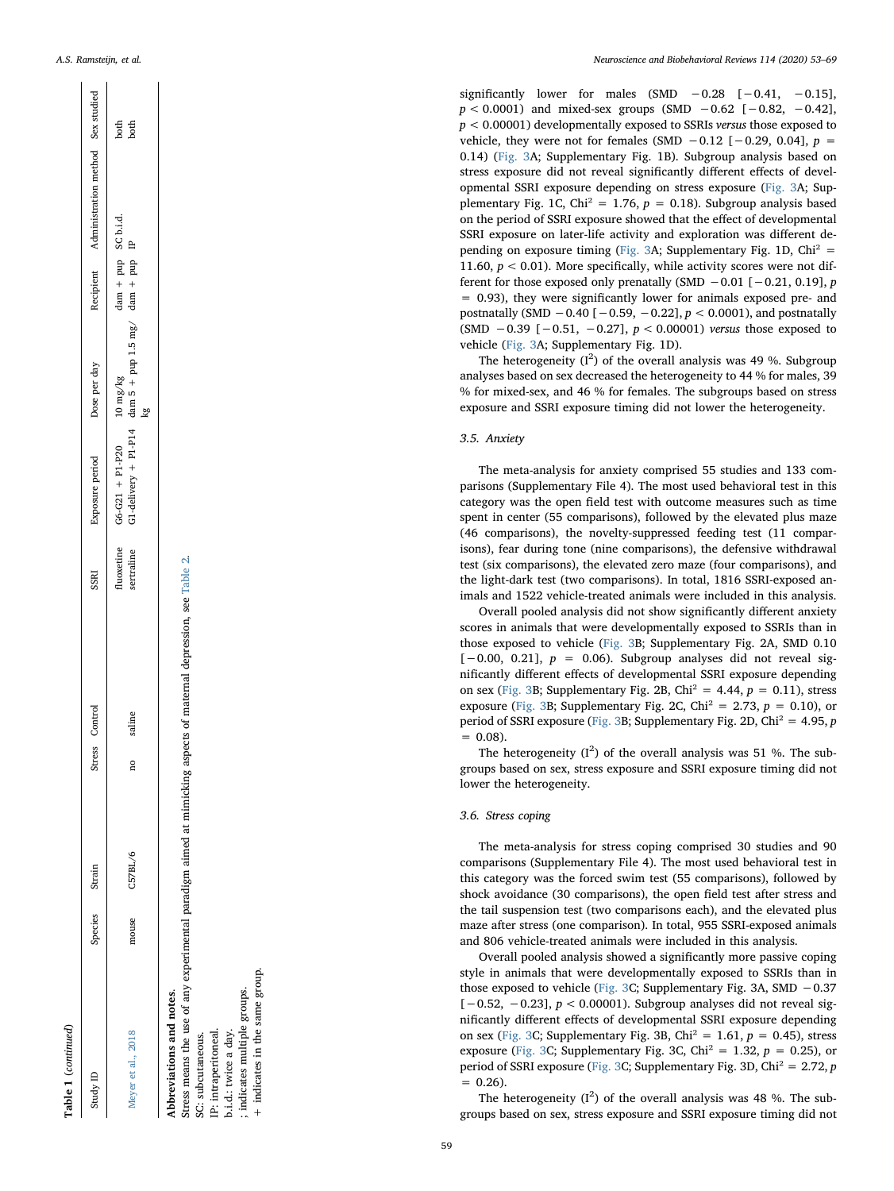$\mathbb{R}$ 

|                                   | both<br>poth                                                                            |
|-----------------------------------|-----------------------------------------------------------------------------------------|
| Administration method Sex studied |                                                                                         |
| Recipient                         | dam + pup SC b.i.d.                                                                     |
| Dose per day                      | G6-G21 + P1-P20 10 mg/kg<br>G1-delivery + P1-P14 dan 5 + pup 1.5 mg/ dam + pup 1P<br>kg |
| 'xposure period                   |                                                                                         |
| SSRI                              | luoxetine<br>sertraline                                                                 |
| Control<br><b>Stress</b>          | saline<br>g                                                                             |
| Strain                            | C57BL/6                                                                                 |
| Species                           | nouse                                                                                   |
| study ID                          | leyer et al., 2018                                                                      |

# Abbreviations and notes. Abbreviations and notes.

Table 1

(continued)

Stress means the use of any experimental paradigm aimed at mimicking aspects of maternal depression, see [Table](#page-7-1) 2. Stress means the use of any experimental paradigm aimed at mimicking aspects of maternal depression, see Table

SC: subcutaneous. SC: subcutaneous. Ë

intraperitoneal IP: intraperitoneal.

b.i.d.: twice a dav. b.i.d.: twice a day.

; indicates multiple groups. ; indicates multiple groups.

indicates in the same group. + indicates in the same group.

A.S. Ramsteijn, et al. *Neuroscience and Biobehavioral Reviews 114 (2020) 53–69*

significantly lower for males  $(SMD -0.28 [-0.41, -0.15],$  $p < 0.0001$ ) and mixed-sex groups (SMD  $-0.62$  [ $-0.82$ ,  $-0.42$ ],  $p < 0.00001$ ) developmentally exposed to SSRIs versus those exposed to vehicle, they were not for females (SMD  $-0.12$  [ $-0.29$ , 0.04],  $p =$ 0.14) ([Fig. 3](#page-8-0)A; Supplementary Fig. 1B). Subgroup analysis based on stress exposure did not reveal signi ficantly di fferent e ffects of developmental SSRI exposure depending on stress exposure [\(Fig. 3](#page-8-0)A; Supplementary Fig. 1C, Chi<sup>2</sup> = 1.76,  $p = 0.18$ ). Subgroup analysis based on the period of SSRI exposure showed that the e ffect of developmental SSRI exposure on later-life activity and exploration was different de-pending on exposure timing [\(Fig. 3A](#page-8-0); Supplementary Fig. 1D,  $\text{Chi}^2$  = 11.60,  $p < 0.01$ ). More specifically, while activity scores were not different for those exposed only prenatally  $(SMD - 0.01$  [-0.21, 0.19], p = 0.93), they were signi ficantly lower for animals exposed pre- and postnatally (SMD  $-0.40$  [ $-0.59, -0.22$ ],  $p < 0.0001$ ), and postnatally (SMD −0.39 [−0.51, −0.27],  $p$  < 0.00001) versus those exposed to vehicle [\(Fig. 3A](#page-8-0); Supplementary Fig. 1D).

The heterogeneity  $(I^2)$  of the overall analysis was 49 %. Subgroup analyses based on sex decreased the heterogeneity to 44 % for males, 39 % for mixed-sex, and 46 % for females. The subgroups based on stress exposure and SSRI exposure timing did not lower the heterogeneity.

# 3.5. Anxiety

The meta-analysis for anxiety comprised 55 studies and 133 comparisons (Supplementary File 4). The most used behavioral test in this category was the open field test with outcome measures such as time spent in center (55 comparisons), followed by the elevated plus maze (46 comparisons), the novelty-suppressed feeding test (11 comparisons), fear during tone (nine comparisons), the defensive withdrawal test (six comparisons), the elevated zero maze (four comparisons), and the light-dark test (two comparisons). In total, 1816 SSRI-exposed animals and 1522 vehicle-treated animals were included in this analysis.

Overall pooled analysis did not show signi ficantly di fferent anxiety scores in animals that were developmentally exposed to SSRIs than in those exposed to vehicle [\(Fig. 3](#page-8-0)B; Supplementary Fig. 2A, SMD 0.10  $[-0.00, 0.21]$ ,  $p = 0.06$ ). Subgroup analyses did not reveal significantly different effects of developmental SSRI exposure depending on sex ([Fig. 3B](#page-8-0); Supplementary Fig. 2B, Chi<sup>2</sup> = 4.44,  $p = 0.11$ ), stress exposure ([Fig. 3](#page-8-0)B; Supplementary Fig. 2C,  $Chi^2 = 2.73$ ,  $p = 0.10$ ), or period of SSRI exposure [\(Fig. 3B](#page-8-0); Supplementary Fig. 2D, Chi<sup>2</sup> = 4.95, p  $= 0.08$ .

The heterogeneity  $(I^2)$  of the overall analysis was 51 %. The subgroups based on sex, stress exposure and SSRI exposure timing did not lower the heterogeneity.

# 3.6. Stress coping

The meta-analysis for stress coping comprised 30 studies and 90 comparisons (Supplementary File 4). The most used behavioral test in this category was the forced swim test (55 comparisons), followed by shock avoidance (30 comparisons), the open field test after stress and the tail suspension test (two comparisons each), and the elevated plus maze after stress (one comparison). In total, 955 SSRI-exposed animals and 806 vehicle-treated animals were included in this analysis.

Overall pooled analysis showed a signi ficantly more passive coping style in animals that were developmentally exposed to SSRIs than in those exposed to vehicle ([Fig. 3](#page-8-0)C; Supplementary Fig. 3A, SMD  $-0.37$ [ $-0.52$ ,  $-0.23$ ],  $p < 0.00001$ ). Subgroup analyses did not reveal significantly different effects of developmental SSRI exposure depending on sex ([Fig. 3C](#page-8-0); Supplementary Fig. 3B, Chi<sup>2</sup> = 1.61,  $p = 0.45$ ), stress exposure ([Fig. 3](#page-8-0)C; Supplementary Fig. 3C, Chi<sup>2</sup> = 1.32,  $p = 0.25$ ), or period of SSRI exposure [\(Fig. 3C](#page-8-0); Supplementary Fig. 3D, Chi<sup>2</sup> = 2.72, p  $= 0.26$ ).

The heterogeneity  $(I^2)$  of the overall analysis was 48 %. The subgroups based on sex, stress exposure and SSRI exposure timing did not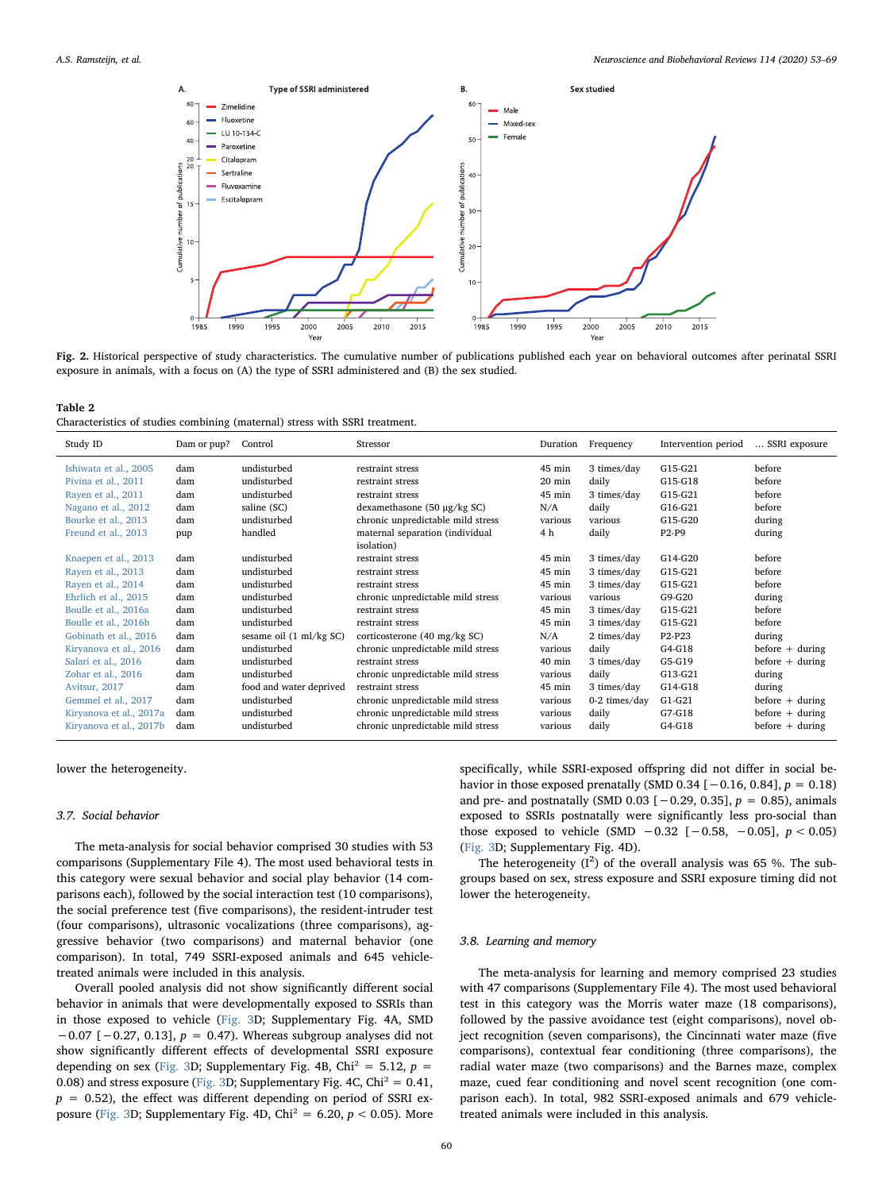<span id="page-7-0"></span>

Fig. 2. Historical perspective of study characteristics. The cumulative number of publications published each year on behavioral outcomes after perinatal SSRI exposure in animals, with a focus on (A) the type of SSRI administered and (B) the sex studied.

#### <span id="page-7-1"></span>Table 2

Characteristics of studies combining (maternal) stress with SSRI treatment.

| Study ID                | Dam or pup? | Control                 | Stressor                                       | Duration         | Frequency       | Intervention period | SSRI exposure     |
|-------------------------|-------------|-------------------------|------------------------------------------------|------------------|-----------------|---------------------|-------------------|
| Ishiwata et al., 2005   | dam         | undisturbed             | restraint stress                               | 45 min           | 3 times/day     | $G15-G21$           | before            |
| Pivina et al., 2011     | dam         | undisturbed             | restraint stress                               | $20$ min         | daily           | $G15-G18$           | before            |
| Rayen et al., 2011      | dam         | undisturbed             | restraint stress                               | 45 min           | 3 times/day     | $G15-G21$           | before            |
| Nagano et al., 2012     | dam         | saline (SC)             | dexamethasone $(50 \mu g/kg SC)$               | N/A              | daily           | G16-G21             | before            |
| Bourke et al., 2013     | dam         | undisturbed             | chronic unpredictable mild stress              | various          | various         | G15-G20             | during            |
| Freund et al., 2013     | pup         | handled                 | maternal separation (individual<br>isolation)  | 4 h              | daily           | $P2-P9$             | during            |
| Knaepen et al., 2013    | dam         | undisturbed             | restraint stress                               | 45 min           | 3 times/day     | G14-G20             | before            |
| Rayen et al., 2013      | dam         | undisturbed             | restraint stress                               | 45 min           | 3 times/day     | G15-G21             | before            |
| Rayen et al., 2014      | dam         | undisturbed             | restraint stress                               | 45 min           | 3 times/day     | G15-G21             | before            |
| Ehrlich et al., 2015    | dam         | undisturbed             | chronic unpredictable mild stress              | various          | various         | $G9-G20$            | during            |
| Boulle et al., 2016a    | dam         | undisturbed             | restraint stress                               | 45 min           | 3 times/day     | $G15-G21$           | before            |
| Boulle et al., 2016b    | dam         | undisturbed             | restraint stress                               | 45 min           | 3 times/day     | G15-G21             | before            |
| Gobinath et al., 2016   | dam         | sesame oil (1 ml/kg SC) | corticosterone $(40 \text{ mg/kg} \text{ SC})$ | N/A              | 2 times/day     | P2-P23              | during            |
| Kiryanova et al., 2016  | dam         | undisturbed             | chronic unpredictable mild stress              | various          | daily           | $G4-G18$            | $before + during$ |
| Salari et al., 2016     | dam         | undisturbed             | restraint stress                               | $40$ min         | 3 times/day     | G5-G19              | before $+$ during |
| Zohar et al., 2016      | dam         | undisturbed             | chronic unpredictable mild stress              | various          | daily           | $G13-G21$           | during            |
| Avitsur, 2017           | dam         | food and water deprived | restraint stress                               | $45 \text{ min}$ | 3 times/day     | G14-G18             | during            |
| Gemmel et al., 2017     | dam         | undisturbed             | chronic unpredictable mild stress              | various          | $0-2$ times/day | $G1-G21$            | before $+$ during |
| Kiryanova et al., 2017a | dam         | undisturbed             | chronic unpredictable mild stress              | various          | daily           | $G7-G18$            | before $+$ during |
| Kiryanova et al., 2017b | dam         | undisturbed             | chronic unpredictable mild stress              | various          | daily           | G4-G18              | before $+$ during |

#### lower the heterogeneity.

#### 3.7. Social behavior

The meta-analysis for social behavior comprised 30 studies with 53 comparisons (Supplementary File 4). The most used behavioral tests in this category were sexual behavior and social play behavior (14 comparisons each), followed by the social interaction test (10 comparisons), the social preference test (five comparisons), the resident-intruder test (four comparisons), ultrasonic vocalizations (three comparisons), aggressive behavior (two comparisons) and maternal behavior (one comparison). In total, 749 SSRI-exposed animals and 645 vehicletreated animals were included in this analysis.

Overall pooled analysis did not show significantly different social behavior in animals that were developmentally exposed to SSRIs than in those exposed to vehicle [\(Fig. 3](#page-8-0)D; Supplementary Fig. 4A, SMD  $-0.07$  [ $-0.27$ , 0.13],  $p = 0.47$ ). Whereas subgroup analyses did not show significantly different effects of developmental SSRI exposure depending on sex [\(Fig. 3D](#page-8-0); Supplementary Fig. 4B, Chi<sup>2</sup> = 5.12,  $p =$ 0.08) and stress exposure ([Fig. 3](#page-8-0)D; Supplementary Fig. 4C,  $Chi^2 = 0.41$ ,  $p = 0.52$ ), the effect was different depending on period of SSRI ex-posure ([Fig. 3D](#page-8-0); Supplementary Fig. 4D,  $Chi^2 = 6.20$ ,  $p < 0.05$ ). More specifically, while SSRI-exposed offspring did not differ in social behavior in those exposed prenatally (SMD 0.34 [ $-0.16$ , 0.84],  $p = 0.18$ ) and pre- and postnatally (SMD 0.03 [ $-0.29$ , 0.35],  $p = 0.85$ ), animals exposed to SSRIs postnatally were significantly less pro-social than those exposed to vehicle (SMD  $-0.32$  [ $-0.58$ ,  $-0.05$ ],  $p < 0.05$ ) ([Fig. 3D](#page-8-0); Supplementary Fig. 4D).

The heterogeneity  $(I^2)$  of the overall analysis was 65 %. The subgroups based on sex, stress exposure and SSRI exposure timing did not lower the heterogeneity.

# 3.8. Learning and memory

The meta-analysis for learning and memory comprised 23 studies with 47 comparisons (Supplementary File 4). The most used behavioral test in this category was the Morris water maze (18 comparisons), followed by the passive avoidance test (eight comparisons), novel object recognition (seven comparisons), the Cincinnati water maze (five comparisons), contextual fear conditioning (three comparisons), the radial water maze (two comparisons) and the Barnes maze, complex maze, cued fear conditioning and novel scent recognition (one comparison each). In total, 982 SSRI-exposed animals and 679 vehicletreated animals were included in this analysis.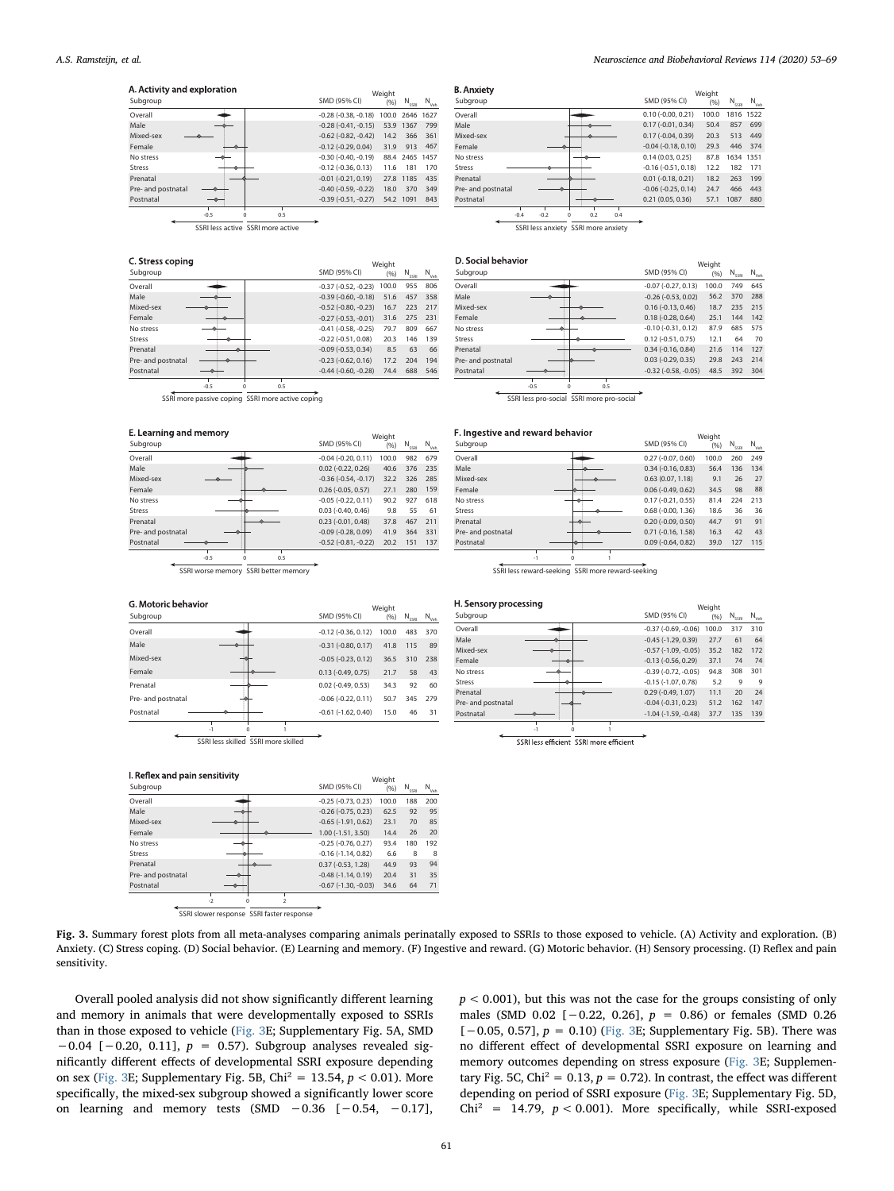$-0.07 (-0.27, 0.13)$ 

0.16 (-0.13, 0.46) 0.18 (-0.28, 0.64) -0.10 (-0.31, 0.12) 0.12 (-0.51, 0.75) 0.34 (-0.16, 0.84) 0.03 (-0.29, 0.35)

-0.26 (-0.53, 0.02) 56.2 370 288

100.0 18.7 25.1 144 142 87.9 12.1 21.6 114 127 29.8 243 214

Weight<br>(%)

 $N_{SSRI}$   $N_{Veh}$ 

645

70

-0.32 (-0.58, -0.05) 48.5 392 304

<span id="page-8-0"></span>

| A. Activity and exploration |        |     |                          | Weight |               |                  |
|-----------------------------|--------|-----|--------------------------|--------|---------------|------------------|
| Subgroup                    |        |     | SMD (95% CI)             | (96)   | $N_{\rm cca}$ | $N_{\text{voh}}$ |
| Overall                     |        |     | $-0.28$ $(-0.38, -0.18)$ | 100.0  | 2646 1627     |                  |
| Male                        |        |     | $-0.28(-0.41,-0.15)$     | 53.9   | 1367          | 799              |
| Mixed-sex                   |        |     | $-0.62$ $(-0.82, -0.42)$ | 14.2   | 366           | 361              |
| Female                      |        |     | $-0.12$ $(-0.29, 0.04)$  | 31.9   | 913           | 467              |
| No stress                   |        |     | $-0.30$ $(-0.40, -0.19)$ | 88.4   | 2465 1457     |                  |
| Stress                      |        |     | $-0.12$ $(-0.36, 0.13)$  | 11.6   | 181           | 170              |
| Prenatal                    |        |     | $-0.01(-0.21, 0.19)$     | 27.8   | 1185          | 435              |
| Pre- and postnatal          |        |     | $-0.40$ $(-0.59, -0.22)$ | 18.0   | 370           | 349              |
| Postnatal                   |        |     | $-0.39(-0.51,-0.27)$     | 54.2   | 1091          | 843              |
|                             | $-0.5$ | 0.5 |                          |        |               |                  |

SSRI less active SSRI more active

| <b>B.</b> Anxiety  |                       |     |     |                         | Weight |                |                  |
|--------------------|-----------------------|-----|-----|-------------------------|--------|----------------|------------------|
| Subgroup           |                       |     |     | SMD (95% CI)            | (96)   | $N_{cc\alpha}$ | $N_{\text{vsh}}$ |
| Overall            |                       |     |     | $0.10 (-0.00, 0.21)$    | 100.0  | 1816           | 1522             |
| Male               |                       |     |     | $0.17(-0.01, 0.34)$     | 50.4   | 857            | 699              |
| Mixed-sex          |                       |     |     | $0.17(-0.04, 0.39)$     | 20.3   | 513            | 449              |
| Female             |                       |     |     | $-0.04$ $(-0.18, 0.10)$ | 29.3   | 446            | 374              |
| No stress          |                       |     |     | 0.14(0.03, 0.25)        | 87.8   | 1634 1351      |                  |
| Stress             |                       |     |     | $-0.16(-0.51, 0.18)$    | 12.2   | 182            | 171              |
| Prenatal           |                       |     |     | $0.01 (-0.18, 0.21)$    | 18.2   | 263            | 199              |
| Pre- and postnatal |                       |     |     | $-0.06$ $(-0.25, 0.14)$ | 24.7   | 466            | 443              |
| Postnatal          |                       |     |     | 0.21(0.05, 0.36)        | 57.1   | 1087           | 880              |
| $-0.4$             | $-0.2$<br>$\mathbf 0$ | 0.2 | 0.4 |                         |        |                |                  |

SSRI less anxiety SSRI more anxiety

Subgroup SMD (95% CI)

Postnatal Pre- and po Prenatal Stress No stress Female Mixed-sex Male **Overall** 

D. Social behavior

Weight

| C. Stress coping<br>Subgroup |        |          |     | SMD (95% CI)             | Weight<br>(96) | $N_{\rm \scriptscriptstyle SSRI}$ | $N_{\rm Veh}$ |
|------------------------------|--------|----------|-----|--------------------------|----------------|-----------------------------------|---------------|
| Overall                      |        |          |     | $-0.37(-0.52,-0.23)$     | 100.0          | 955                               | 806           |
| Male                         |        |          |     | $-0.39$ $(-0.60, -0.18)$ | 51.6           | 457                               | 358           |
| Mixed-sex                    | ۰      |          |     | $-0.52$ $(-0.80, -0.23)$ | 16.7           | 223                               | 217           |
| Female                       |        |          |     | $-0.27$ $(-0.53, -0.01)$ | 31.6           | 275                               | 231           |
| No stress                    |        |          |     | $-0.41$ $(-0.58, -0.25)$ | 79.7           | 809                               | 667           |
| Stress                       |        |          |     | $-0.22$ $(-0.51, 0.08)$  | 20.3           | 146                               | 139           |
| Prenatal                     |        | ▵        |     | $-0.09$ $(-0.53, 0.34)$  | 8.5            | 63                                | 66            |
| Pre- and postnatal           |        |          |     | $-0.23$ $(-0.62, 0.16)$  | 17.2           | 204                               | 194           |
| Postnatal                    |        |          |     | $-0.44$ $(-0.60, -0.28)$ | 74.4           | 688                               | 546           |
|                              | $-0.5$ | $\Omega$ | 0.5 |                          |                |                                   |               |

SSRI more passive coping SSRI more active coping

|  | E. Learning and memory |
|--|------------------------|
|  |                        |

| Subgroup           |        |     | SMD (95% CI)             | weight<br>(96) | $N_{\rm cca}$ | $N_{\text{veh}}$ |
|--------------------|--------|-----|--------------------------|----------------|---------------|------------------|
|                    |        |     |                          |                |               |                  |
| Overall            |        |     | $-0.04$ $(-0.20, 0.11)$  | 100.0          | 982           | 679              |
| Male               |        |     | $0.02$ ( $-0.22, 0.26$ ) | 40.6           | 376           | 235              |
| Mixed-sex          |        |     | $-0.36(-0.54,-0.17)$     | 32.2           | 326           | 285              |
| Female             |        |     | $0.26$ (-0.05, 0.57)     | 27.1           | 280           | 159              |
| No stress          |        |     | $-0.05(-0.22, 0.11)$     | 90.2           | 927           | 618              |
| Stress             |        |     | $0.03$ (-0.40, 0.46)     | 9.8            | 55            | 61               |
| Prenatal           |        |     | $0.23(-0.01, 0.48)$      | 37.8           | 467           | 211              |
| Pre- and postnatal |        |     | $-0.09$ $(-0.28, 0.09)$  | 41.9           | 364           | 331              |
| Postnatal          |        |     | $-0.52$ $(-0.81, -0.22)$ | 20.2           | 151           | 137              |
|                    | $-0.5$ | 0.5 |                          |                |               |                  |

SSRI worse memory SSRI better memory

| F. Ingestive and reward behavior<br>Subgroup | SMD (95% CI)                | Weight<br>(96) | $N_{\rm ccel}$ | $N_{\rm Veh}$ |
|----------------------------------------------|-----------------------------|----------------|----------------|---------------|
| Overall                                      | $0.27(-0.07, 0.60)$         | 100.0          | 260            | 249           |
| Male                                         | $0.34$ ( $-0.16$ , $0.83$ ) | 56.4           | 136            | 134           |
| Mixed-sex                                    | 0.63(0.07, 1.18)            | 9.1            | 26             | 27            |
| Female                                       | $0.06(-0.49, 0.62)$         | 34.5           | 98             | 88            |
| No stress                                    | $0.17(-0.21, 0.55)$         | 81.4           | 224            | 213           |
| Stress                                       | $0.68(-0.00, 1.36)$         | 18.6           | 36             | 36            |
| Prenatal                                     | $0.20$ ( $-0.09$ , $0.50$ ) | 44.7           | 91             | 91            |
| Pre- and postnatal                           | $0.71(-0.16, 1.58)$         | 16.3           | 42             | 43            |
| Postnatal                                    | $0.09$ ( $-0.64$ , $0.82$ ) | 39.0           | 127            | 115           |

SSRI less reward-seeking SSRI more reward-seeking

SSRI less pro-social SSRI more pro-social -0.5 0 0.5

| G. Motoric behavior |    |                         | Weight |               |                  |
|---------------------|----|-------------------------|--------|---------------|------------------|
| Subgroup            |    | SMD (95% CI)            | (96)   | $N_{\rm cca}$ | $N_{\text{vsh}}$ |
| Overall             |    | $-0.12$ $(-0.36, 0.12)$ | 100.0  | 483           | 370              |
| Male                |    | $-0.31$ $(-0.80, 0.17)$ | 41.8   | 115           | 89               |
| Mixed-sex           |    | $-0.05 (-0.23, 0.12)$   | 36.5   | 310           | 238              |
| Female              |    | $0.13(-0.49, 0.75)$     | 21.7   | 58            | 43               |
| Prenatal            |    | $0.02(-0.49, 0.53)$     | 34.3   | 92            | 60               |
| Pre- and postnatal  |    | $-0.06(-0.22, 0.11)$    | 50.7   | 345           | 279              |
| Postnatal           |    | $-0.61$ $(-1.62, 0.40)$ | 15.0   | 46            | 31               |
|                     | -1 |                         |        |               |                  |



| H. Sensory processing |  |                          | Weight |                |                  |
|-----------------------|--|--------------------------|--------|----------------|------------------|
| Subgroup              |  | SMD (95% CI)             | (96)   | $N_{cc\alpha}$ | $N_{\text{veh}}$ |
| Overall               |  | $-0.37$ $(-0.69, -0.06)$ | 100.0  | 317            | 310              |
| Male                  |  | $-0.45(-1.29, 0.39)$     | 27.7   | 61             | 64               |
| Mixed-sex             |  | $-0.57$ $(-1.09, -0.05)$ | 35.2   | 182            | 172              |
| Female                |  | $-0.13$ $(-0.56, 0.29)$  | 37.1   | 74             | 74               |
| No stress             |  | $-0.39(-0.72,-0.05)$     | 94.8   | 308            | 301              |
| <b>Stress</b>         |  | $-0.15(-1.07, 0.78)$     | 5.2    | 9              | 9                |
| Prenatal              |  | $0.29(-0.49, 1.07)$      | 11.1   | 20             | 24               |
| Pre- and postnatal    |  | $-0.04$ $(-0.31, 0.23)$  | 51.2   | 162            | 147              |
| Postnatal             |  | $-1.04$ $(-1.59, -0.48)$ | 37.7   | 135            | 139              |
|                       |  |                          |        |                |                  |

SSRI less efficient SSRI more efficient

| I. Reflex and pain sensitivity |                                           |                          | Weight                   |       |            |               |
|--------------------------------|-------------------------------------------|--------------------------|--------------------------|-------|------------|---------------|
| Subgroup                       |                                           |                          | SMD (95% CI)             | (96)  | $N_{SSRI}$ | $N_{\rm Veb}$ |
| Overall                        |                                           |                          | $-0.25$ $(-0.73, 0.23)$  | 100.0 | 188        | 200           |
| Male                           |                                           |                          | $-0.26$ $(-0.75, 0.23)$  | 62.5  | 92         | 95            |
| Mixed-sex                      |                                           |                          | $-0.65(-1.91, 0.62)$     | 23.1  | 70         | 85            |
| Female                         |                                           |                          | $1.00(-1.51, 3.50)$      | 14.4  | 26         | 20            |
| No stress                      |                                           |                          | $-0.25$ $(-0.76, 0.27)$  | 93.4  | 180        | 192           |
| Stress                         |                                           |                          | $-0.16(-1.14, 0.82)$     | 6.6   | 8          | 8             |
| Prenatal                       |                                           |                          | $0.37(-0.53, 1.28)$      | 44.9  | 93         | 94            |
| Pre- and postnatal             |                                           |                          | $-0.48(-1.14, 0.19)$     | 20.4  | 31         | 35            |
| Postnatal                      |                                           |                          | $-0.67$ $(-1.30, -0.03)$ | 34.6  | 64         | 71            |
|                                | $-2$                                      | $\overline{\phantom{a}}$ |                          |       |            |               |
|                                | SSRI slower response SSRI faster response |                          |                          |       |            |               |

Fig. 3. Summary forest plots from all meta-analyses comparing animals perinatally exposed to SSRIs to those exposed to vehicle. (A) Activity and exploration. (B) Anxiety. (C) Stress coping. (D) Social behavior. (E) Learning and memory. (F) Ingestive and reward. (G) Motoric behavior. (H) Sensory processing. (I) Reflex and pain sensitivity.

Overall pooled analysis did not show significantly different learning and memory in animals that were developmentally exposed to SSRIs than in those exposed to vehicle [\(Fig. 3](#page-8-0)E; Supplementary Fig. 5A, SMD −0.04 [−0.20, 0.11], p = 0.57). Subgroup analyses revealed significantly different effects of developmental SSRI exposure depending on sex [\(Fig. 3](#page-8-0)E; Supplementary Fig. 5B, Chi<sup>2</sup> = 13.54,  $p < 0.01$ ). More specifically, the mixed-sex subgroup showed a significantly lower score on learning and memory tests (SMD −0.36 [−0.54, −0.17],

 $p < 0.001$ ), but this was not the case for the groups consisting of only males (SMD 0.02 [ $-0.22$ , 0.26],  $p = 0.86$ ) or females (SMD 0.26 [-0.05, 0.57], p = 0.10) [\(Fig. 3E](#page-8-0); Supplementary Fig. 5B). There was no different effect of developmental SSRI exposure on learning and memory outcomes depending on stress exposure ([Fig. 3](#page-8-0)E; Supplementary Fig. 5C, Chi<sup>2</sup> = 0.13,  $p = 0.72$ ). In contrast, the effect was different depending on period of SSRI exposure ([Fig. 3E](#page-8-0); Supplementary Fig. 5D, Chi<sup>2</sup> = 14.79,  $p < 0.001$ ). More specifically, while SSRI-exposed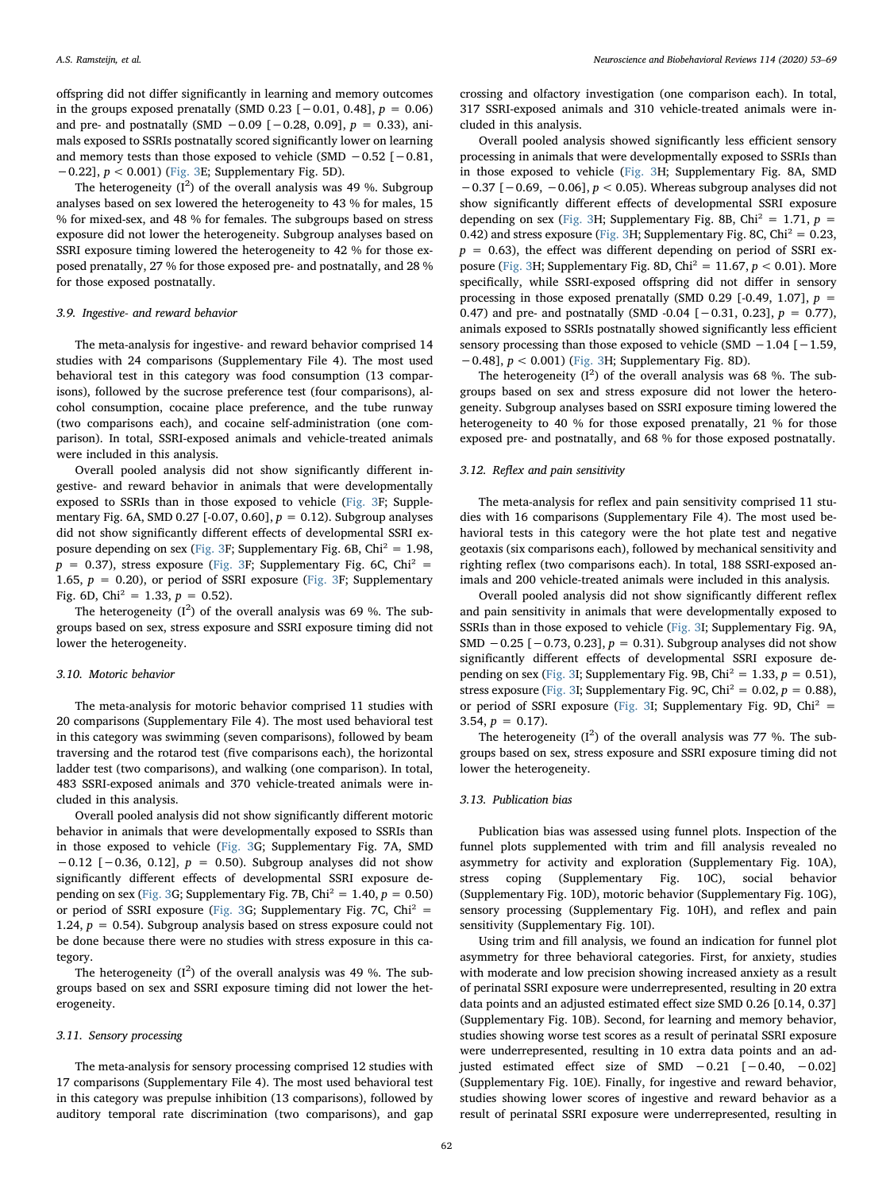offspring did not differ significantly in learning and memory outcomes in the groups exposed prenatally (SMD 0.23 [ $-0.01$ , 0.48],  $p = 0.06$ ) and pre- and postnatally (SMD  $-0.09$  [ $-0.28$ , 0.09],  $p = 0.33$ ), animals exposed to SSRIs postnatally scored significantly lower on learning and memory tests than those exposed to vehicle (SMD −0.52 [−0.81, −0.22], p < 0.001) [\(Fig. 3E](#page-8-0); Supplementary Fig. 5D).

The heterogeneity  $(I^2)$  of the overall analysis was 49 %. Subgroup analyses based on sex lowered the heterogeneity to 43 % for males, 15 % for mixed-sex, and 48 % for females. The subgroups based on stress exposure did not lower the heterogeneity. Subgroup analyses based on SSRI exposure timing lowered the heterogeneity to 42 % for those exposed prenatally, 27 % for those exposed pre- and postnatally, and 28 % for those exposed postnatally.

# 3.9. Ingestive- and reward behavior

The meta-analysis for ingestive- and reward behavior comprised 14 studies with 24 comparisons (Supplementary File 4). The most used behavioral test in this category was food consumption (13 comparisons), followed by the sucrose preference test (four comparisons), alcohol consumption, cocaine place preference, and the tube runway (two comparisons each), and cocaine self-administration (one comparison). In total, SSRI-exposed animals and vehicle-treated animals were included in this analysis.

Overall pooled analysis did not show significantly different ingestive- and reward behavior in animals that were developmentally exposed to SSRIs than in those exposed to vehicle ([Fig. 3](#page-8-0)F; Supplementary Fig. 6A, SMD 0.27 [-0.07, 0.60],  $p = 0.12$ ). Subgroup analyses did not show significantly different effects of developmental SSRI ex-posure depending on sex [\(Fig. 3F](#page-8-0); Supplementary Fig. 6B,  $Chi^2 = 1.98$ ,  $p = 0.37$ ), stress exposure [\(Fig. 3](#page-8-0)F; Supplementary Fig. 6C, Chi<sup>2</sup> = 1.65,  $p = 0.20$ ), or period of SSRI exposure ([Fig. 3F](#page-8-0); Supplementary Fig. 6D, Chi<sup>2</sup> = 1.33,  $p = 0.52$ ).

The heterogeneity  $(I^2)$  of the overall analysis was 69 %. The subgroups based on sex, stress exposure and SSRI exposure timing did not lower the heterogeneity.

#### 3.10. Motoric behavior

The meta-analysis for motoric behavior comprised 11 studies with 20 comparisons (Supplementary File 4). The most used behavioral test in this category was swimming (seven comparisons), followed by beam traversing and the rotarod test (five comparisons each), the horizontal ladder test (two comparisons), and walking (one comparison). In total, 483 SSRI-exposed animals and 370 vehicle-treated animals were included in this analysis.

Overall pooled analysis did not show significantly different motoric behavior in animals that were developmentally exposed to SSRIs than in those exposed to vehicle [\(Fig. 3](#page-8-0)G; Supplementary Fig. 7A, SMD  $-0.12$  [ $-0.36$ , 0.12],  $p = 0.50$ ). Subgroup analyses did not show significantly different effects of developmental SSRI exposure de-pending on sex ([Fig. 3](#page-8-0)G; Supplementary Fig. 7B,  $Chi^2 = 1.40$ ,  $p = 0.50$ ) or period of SSRI exposure [\(Fig. 3](#page-8-0)G; Supplementary Fig. 7C,  $Chi^2 =$ 1.24,  $p = 0.54$ ). Subgroup analysis based on stress exposure could not be done because there were no studies with stress exposure in this category.

The heterogeneity  $(I^2)$  of the overall analysis was 49 %. The subgroups based on sex and SSRI exposure timing did not lower the heterogeneity.

#### 3.11. Sensory processing

The meta-analysis for sensory processing comprised 12 studies with 17 comparisons (Supplementary File 4). The most used behavioral test in this category was prepulse inhibition (13 comparisons), followed by auditory temporal rate discrimination (two comparisons), and gap

crossing and olfactory investigation (one comparison each). In total, 317 SSRI-exposed animals and 310 vehicle-treated animals were included in this analysis.

Overall pooled analysis showed significantly less efficient sensory processing in animals that were developmentally exposed to SSRIs than in those exposed to vehicle [\(Fig. 3](#page-8-0)H; Supplementary Fig. 8A, SMD  $-0.37$  [ $-0.69$ ,  $-0.06$ ],  $p < 0.05$ ). Whereas subgroup analyses did not show significantly different effects of developmental SSRI exposure depending on sex [\(Fig. 3H](#page-8-0); Supplementary Fig. 8B, Chi<sup>2</sup> = 1.71,  $p =$ 0.42) and stress exposure ([Fig. 3](#page-8-0)H; Supplementary Fig. 8C,  $Chi^2 = 0.23$ ,  $p = 0.63$ ), the effect was different depending on period of SSRI ex-posure [\(Fig. 3H](#page-8-0); Supplementary Fig. 8D,  $\text{Chi}^2 = 11.67$ ,  $p < 0.01$ ). More specifically, while SSRI-exposed offspring did not differ in sensory processing in those exposed prenatally (SMD 0.29 [-0.49, 1.07],  $p =$ 0.47) and pre- and postnatally (SMD -0.04 [ $-0.31$ , 0.23],  $p = 0.77$ ), animals exposed to SSRIs postnatally showed significantly less efficient sensory processing than those exposed to vehicle (SMD -1.04 [-1.59, −0.48], p < 0.001) [\(Fig. 3H](#page-8-0); Supplementary Fig. 8D).

The heterogeneity  $(I^2)$  of the overall analysis was 68 %. The subgroups based on sex and stress exposure did not lower the heterogeneity. Subgroup analyses based on SSRI exposure timing lowered the heterogeneity to 40 % for those exposed prenatally, 21 % for those exposed pre- and postnatally, and 68 % for those exposed postnatally.

# 3.12. Reflex and pain sensitivity

The meta-analysis for reflex and pain sensitivity comprised 11 studies with 16 comparisons (Supplementary File 4). The most used behavioral tests in this category were the hot plate test and negative geotaxis (six comparisons each), followed by mechanical sensitivity and righting reflex (two comparisons each). In total, 188 SSRI-exposed animals and 200 vehicle-treated animals were included in this analysis.

Overall pooled analysis did not show significantly different reflex and pain sensitivity in animals that were developmentally exposed to SSRIs than in those exposed to vehicle [\(Fig. 3](#page-8-0)I; Supplementary Fig. 9A, SMD  $-0.25$  [ $-0.73$ , 0.23],  $p = 0.31$ ). Subgroup analyses did not show significantly different effects of developmental SSRI exposure de-pending on sex [\(Fig. 3I](#page-8-0); Supplementary Fig. 9B, Chi<sup>2</sup> = 1.33,  $p = 0.51$ ), stress exposure [\(Fig. 3I](#page-8-0); Supplementary Fig. 9C, Chi<sup>2</sup> = 0.02,  $p = 0.88$ ), or period of SSRI exposure [\(Fig. 3](#page-8-0)I; Supplementary Fig. 9D,  $Chi^2 =$ 3.54,  $p = 0.17$ ).

The heterogeneity  $(I^2)$  of the overall analysis was 77 %. The subgroups based on sex, stress exposure and SSRI exposure timing did not lower the heterogeneity.

# 3.13. Publication bias

Publication bias was assessed using funnel plots. Inspection of the funnel plots supplemented with trim and fill analysis revealed no asymmetry for activity and exploration (Supplementary Fig. 10A), stress coping (Supplementary Fig. 10C), social behavior (Supplementary Fig. 10D), motoric behavior (Supplementary Fig. 10G), sensory processing (Supplementary Fig. 10H), and reflex and pain sensitivity (Supplementary Fig. 10I).

Using trim and fill analysis, we found an indication for funnel plot asymmetry for three behavioral categories. First, for anxiety, studies with moderate and low precision showing increased anxiety as a result of perinatal SSRI exposure were underrepresented, resulting in 20 extra data points and an adjusted estimated effect size SMD 0.26 [0.14, 0.37] (Supplementary Fig. 10B). Second, for learning and memory behavior, studies showing worse test scores as a result of perinatal SSRI exposure were underrepresented, resulting in 10 extra data points and an adjusted estimated effect size of SMD  $-0.21$  [ $-0.40$ ,  $-0.02$ ] (Supplementary Fig. 10E). Finally, for ingestive and reward behavior, studies showing lower scores of ingestive and reward behavior as a result of perinatal SSRI exposure were underrepresented, resulting in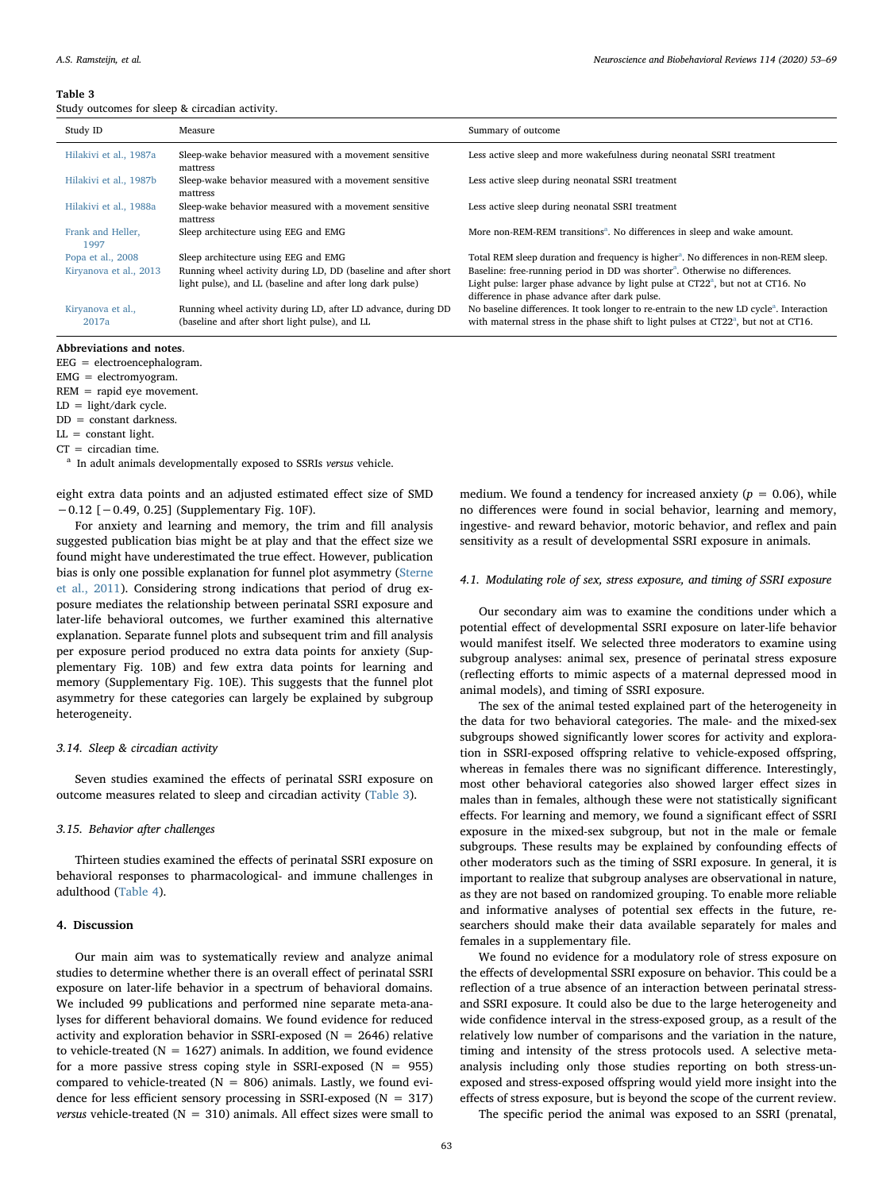<span id="page-10-0"></span>Study outcomes for sleep & circadian activity.

| Study ID                  | Measure                                                            | Summary of outcome                                                                                                                           |
|---------------------------|--------------------------------------------------------------------|----------------------------------------------------------------------------------------------------------------------------------------------|
| Hilakivi et al., 1987a    | Sleep-wake behavior measured with a movement sensitive<br>mattress | Less active sleep and more wakefulness during neonatal SSRI treatment                                                                        |
| Hilakivi et al., 1987b    | Sleep-wake behavior measured with a movement sensitive<br>mattress | Less active sleep during neonatal SSRI treatment                                                                                             |
| Hilakivi et al., 1988a    | Sleep-wake behavior measured with a movement sensitive<br>mattress | Less active sleep during neonatal SSRI treatment                                                                                             |
| Frank and Heller,<br>1997 | Sleep architecture using EEG and EMG                               | More non-REM-REM transitions <sup>a</sup> . No differences in sleep and wake amount.                                                         |
| Popa et al., 2008         | Sleep architecture using EEG and EMG                               | Total REM sleep duration and frequency is higher <sup>a</sup> . No differences in non-REM sleep.                                             |
| Kiryanova et al., 2013    | Running wheel activity during LD, DD (baseline and after short     | Baseline: free-running period in DD was shorter <sup>a</sup> . Otherwise no differences.                                                     |
|                           | light pulse), and LL (baseline and after long dark pulse)          | Light pulse: larger phase advance by light pulse at CT22 <sup>a</sup> , but not at CT16. No<br>difference in phase advance after dark pulse. |
| Kiryanova et al.,         | Running wheel activity during LD, after LD advance, during DD      | No baseline differences. It took longer to re-entrain to the new LD cycle <sup>a</sup> . Interaction                                         |
| 2017a                     | (baseline and after short light pulse), and LL                     | with maternal stress in the phase shift to light pulses at $CT22a$ , but not at CT16.                                                        |

Abbreviations and notes.

 $EEG = electroencephalogram.$ 

EMG = electromyogram.

REM = rapid eye movement.

 $LD = light/dark cycle$ .

DD = constant darkness.

- $LL = constant$  light.
- $CT = circadian time$

<span id="page-10-1"></span><sup>a</sup> In adult animals developmentally exposed to SSRIs versus vehicle.

eight extra data points and an adjusted estimated effect size of SMD −0.12 [−0.49, 0.25] (Supplementary Fig. 10F).

For anxiety and learning and memory, the trim and fill analysis suggested publication bias might be at play and that the effect size we found might have underestimated the true effect. However, publication bias is only one possible explanation for funnel plot asymmetry [\(Sterne](#page-16-32) [et al., 2011](#page-16-32)). Considering strong indications that period of drug exposure mediates the relationship between perinatal SSRI exposure and later-life behavioral outcomes, we further examined this alternative explanation. Separate funnel plots and subsequent trim and fill analysis per exposure period produced no extra data points for anxiety (Supplementary Fig. 10B) and few extra data points for learning and memory (Supplementary Fig. 10E). This suggests that the funnel plot asymmetry for these categories can largely be explained by subgroup heterogeneity.

# 3.14. Sleep & circadian activity

Seven studies examined the effects of perinatal SSRI exposure on outcome measures related to sleep and circadian activity [\(Table 3\)](#page-10-0).

# 3.15. Behavior after challenges

Thirteen studies examined the effects of perinatal SSRI exposure on behavioral responses to pharmacological- and immune challenges in adulthood [\(Table 4\)](#page-11-0).

# 4. Discussion

Our main aim was to systematically review and analyze animal studies to determine whether there is an overall effect of perinatal SSRI exposure on later-life behavior in a spectrum of behavioral domains. We included 99 publications and performed nine separate meta-analyses for different behavioral domains. We found evidence for reduced activity and exploration behavior in SSRI-exposed ( $N = 2646$ ) relative to vehicle-treated ( $N = 1627$ ) animals. In addition, we found evidence for a more passive stress coping style in SSRI-exposed  $(N = 955)$ compared to vehicle-treated ( $N = 806$ ) animals. Lastly, we found evidence for less efficient sensory processing in SSRI-exposed ( $N = 317$ ) versus vehicle-treated ( $N = 310$ ) animals. All effect sizes were small to medium. We found a tendency for increased anxiety ( $p = 0.06$ ), while no differences were found in social behavior, learning and memory, ingestive- and reward behavior, motoric behavior, and reflex and pain sensitivity as a result of developmental SSRI exposure in animals.

# 4.1. Modulating role of sex, stress exposure, and timing of SSRI exposure

Our secondary aim was to examine the conditions under which a potential effect of developmental SSRI exposure on later-life behavior would manifest itself. We selected three moderators to examine using subgroup analyses: animal sex, presence of perinatal stress exposure (reflecting efforts to mimic aspects of a maternal depressed mood in animal models), and timing of SSRI exposure.

The sex of the animal tested explained part of the heterogeneity in the data for two behavioral categories. The male- and the mixed-sex subgroups showed significantly lower scores for activity and exploration in SSRI-exposed offspring relative to vehicle-exposed offspring, whereas in females there was no significant difference. Interestingly, most other behavioral categories also showed larger effect sizes in males than in females, although these were not statistically significant effects. For learning and memory, we found a significant effect of SSRI exposure in the mixed-sex subgroup, but not in the male or female subgroups. These results may be explained by confounding effects of other moderators such as the timing of SSRI exposure. In general, it is important to realize that subgroup analyses are observational in nature, as they are not based on randomized grouping. To enable more reliable and informative analyses of potential sex effects in the future, researchers should make their data available separately for males and females in a supplementary file.

We found no evidence for a modulatory role of stress exposure on the effects of developmental SSRI exposure on behavior. This could be a reflection of a true absence of an interaction between perinatal stressand SSRI exposure. It could also be due to the large heterogeneity and wide confidence interval in the stress-exposed group, as a result of the relatively low number of comparisons and the variation in the nature, timing and intensity of the stress protocols used. A selective metaanalysis including only those studies reporting on both stress-unexposed and stress-exposed offspring would yield more insight into the effects of stress exposure, but is beyond the scope of the current review.

The specific period the animal was exposed to an SSRI (prenatal,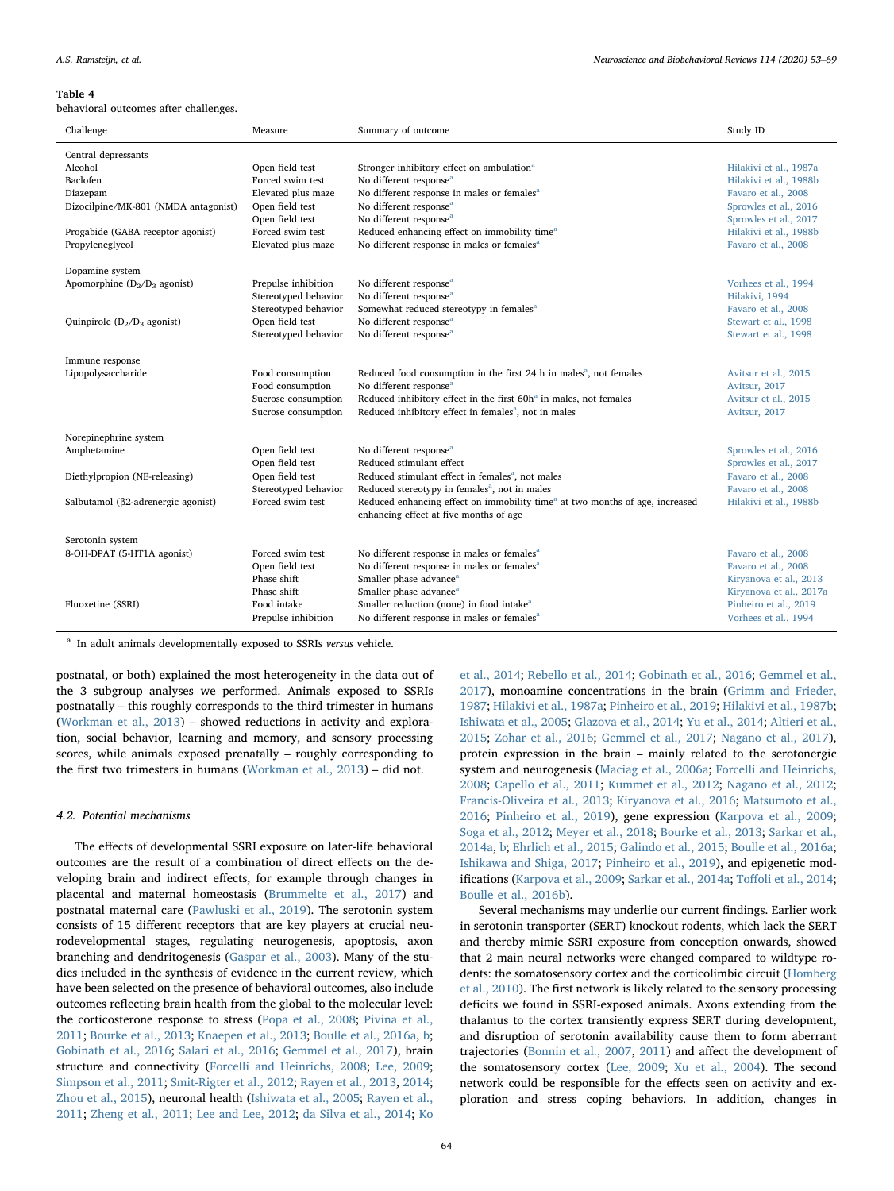#### <span id="page-11-0"></span>Table 4

behavioral outcomes after challenges.

| Challenge                                  | Measure              | Summary of outcome                                                                                                                 | Study ID                |  |
|--------------------------------------------|----------------------|------------------------------------------------------------------------------------------------------------------------------------|-------------------------|--|
| Central depressants                        |                      |                                                                                                                                    |                         |  |
| Alcohol                                    | Open field test      | Stronger inhibitory effect on ambulation <sup>a</sup>                                                                              | Hilakivi et al., 1987a  |  |
| Baclofen                                   | Forced swim test     | No different response <sup>a</sup>                                                                                                 | Hilakivi et al., 1988b  |  |
| Diazepam                                   | Elevated plus maze   | No different response in males or females <sup>a</sup>                                                                             | Favaro et al., 2008     |  |
| Dizocilpine/MK-801 (NMDA antagonist)       | Open field test      | No different response <sup>a</sup>                                                                                                 | Sprowles et al., 2016   |  |
|                                            | Open field test      | No different response <sup>a</sup>                                                                                                 | Sprowles et al., 2017   |  |
| Progabide (GABA receptor agonist)          | Forced swim test     | Reduced enhancing effect on immobility time <sup>a</sup>                                                                           | Hilakivi et al., 1988b  |  |
| Propyleneglycol                            | Elevated plus maze   | No different response in males or females <sup>a</sup>                                                                             | Favaro et al., 2008     |  |
| Dopamine system                            |                      |                                                                                                                                    |                         |  |
| Apomorphine $(D_2/D_3$ agonist)            | Prepulse inhibition  | No different response <sup>a</sup>                                                                                                 | Vorhees et al., 1994    |  |
|                                            | Stereotyped behavior | No different response <sup>a</sup>                                                                                                 | Hilakivi, 1994          |  |
|                                            | Stereotyped behavior | Somewhat reduced stereotypy in females <sup>a</sup>                                                                                | Favaro et al., 2008     |  |
| Quinpirole $(D_2/D_3$ agonist)             | Open field test      | No different response <sup>a</sup>                                                                                                 | Stewart et al., 1998    |  |
|                                            | Stereotyped behavior | No different response <sup>a</sup>                                                                                                 | Stewart et al., 1998    |  |
| Immune response                            |                      |                                                                                                                                    |                         |  |
| Lipopolysaccharide                         | Food consumption     | Reduced food consumption in the first 24 h in males <sup><math>a</math></sup> , not females                                        | Avitsur et al., 2015    |  |
|                                            | Food consumption     | No different response <sup>a</sup>                                                                                                 | Avitsur, 2017           |  |
|                                            | Sucrose consumption  | Reduced inhibitory effect in the first 60h <sup>a</sup> in males, not females                                                      | Avitsur et al., 2015    |  |
|                                            | Sucrose consumption  | Reduced inhibitory effect in females <sup>a</sup> , not in males                                                                   | Avitsur, 2017           |  |
| Norepinephrine system                      |                      |                                                                                                                                    |                         |  |
| Amphetamine                                | Open field test      | No different response <sup>a</sup>                                                                                                 | Sprowles et al., 2016   |  |
|                                            | Open field test      | Reduced stimulant effect                                                                                                           | Sprowles et al., 2017   |  |
| Diethylpropion (NE-releasing)              | Open field test      | Reduced stimulant effect in females <sup>a</sup> , not males                                                                       | Favaro et al., 2008     |  |
|                                            | Stereotyped behavior | Reduced stereotypy in females <sup>a</sup> , not in males                                                                          | Favaro et al., 2008     |  |
| Salbutamol ( $\beta$ 2-adrenergic agonist) | Forced swim test     | Reduced enhancing effect on immobility time <sup>a</sup> at two months of age, increased<br>enhancing effect at five months of age | Hilakivi et al., 1988b  |  |
| Serotonin system                           |                      |                                                                                                                                    |                         |  |
| 8-OH-DPAT (5-HT1A agonist)                 | Forced swim test     | No different response in males or females <sup>a</sup>                                                                             | Favaro et al., 2008     |  |
|                                            | Open field test      | No different response in males or females <sup>a</sup>                                                                             | Favaro et al., 2008     |  |
|                                            | Phase shift          | Smaller phase advance <sup>a</sup>                                                                                                 | Kiryanova et al., 2013  |  |
|                                            | Phase shift          | Smaller phase advance <sup>a</sup>                                                                                                 | Kiryanova et al., 2017a |  |
| Fluoxetine (SSRI)                          | Food intake          | Smaller reduction (none) in food intake <sup>a</sup>                                                                               | Pinheiro et al., 2019   |  |
|                                            | Prepulse inhibition  | No different response in males or females <sup>a</sup>                                                                             | Vorhees et al., 1994    |  |

<span id="page-11-1"></span><sup>a</sup> In adult animals developmentally exposed to SSRIs versus vehicle.

postnatal, or both) explained the most heterogeneity in the data out of the 3 subgroup analyses we performed. Animals exposed to SSRIs postnatally – this roughly corresponds to the third trimester in humans ([Workman et al., 2013](#page-16-8)) – showed reductions in activity and exploration, social behavior, learning and memory, and sensory processing scores, while animals exposed prenatally – roughly corresponding to the first two trimesters in humans ([Workman et al., 2013](#page-16-8)) – did not.

#### 4.2. Potential mechanisms

The effects of developmental SSRI exposure on later-life behavioral outcomes are the result of a combination of direct effects on the developing brain and indirect effects, for example through changes in placental and maternal homeostasis [\(Brummelte et al., 2017\)](#page-14-4) and postnatal maternal care [\(Pawluski et al., 2019](#page-15-54)). The serotonin system consists of 15 different receptors that are key players at crucial neurodevelopmental stages, regulating neurogenesis, apoptosis, axon branching and dendritogenesis ([Gaspar et al., 2003](#page-14-3)). Many of the studies included in the synthesis of evidence in the current review, which have been selected on the presence of behavioral outcomes, also include outcomes reflecting brain health from the global to the molecular level: the corticosterone response to stress ([Popa et al., 2008](#page-15-20); [Pivina et al.,](#page-15-25) [2011;](#page-15-25) [Bourke et al., 2013](#page-14-41); [Knaepen et al., 2013](#page-15-34); [Boulle et al., 2016a,](#page-14-50) [b](#page-14-51); [Gobinath et al., 2016](#page-14-53); [Salari et al., 2016;](#page-15-47) [Gemmel et al., 2017](#page-14-54)), brain structure and connectivity ([Forcelli and Heinrichs, 2008;](#page-14-37) [Lee, 2009](#page-15-23); [Simpson et al., 2011](#page-16-16); [Smit-Rigter et al., 2012;](#page-16-19) [Rayen et al., 2013](#page-15-35), [2014](#page-15-40); [Zhou et al., 2015](#page-16-27)), neuronal health [\(Ishiwata et al., 2005;](#page-15-15) [Rayen et al.,](#page-15-26) [2011;](#page-15-26) [Zheng et al., 2011](#page-16-17); [Lee and Lee, 2012;](#page-15-29) [da Silva et al., 2014](#page-14-44); [Ko](#page-15-39)

[et al., 2014](#page-15-39); [Rebello et al., 2014](#page-15-41); [Gobinath et al., 2016](#page-14-53); [Gemmel](#page-14-54) et al., [2017\)](#page-14-54), monoamine concentrations in the brain [\(Grimm and Frieder,](#page-14-21) [1987;](#page-14-21) [Hilakivi et al., 1987a](#page-14-22); [Pinheiro et al., 2019](#page-15-52); [Hilakivi et al., 1987b](#page-14-24); [Ishiwata et al., 2005](#page-15-15); [Glazova et al., 2014](#page-14-45); [Yu et al., 2014](#page-16-26); [Altieri et al.,](#page-13-4) [2015;](#page-13-4) [Zohar et al., 2016;](#page-16-30) [Gemmel et al., 2017](#page-14-54); [Nagano et al., 2017](#page-15-51)), protein expression in the brain – mainly related to the serotonergic system and neurogenesis ([Maciag et al., 2006a](#page-15-16); [Forcelli and Heinrichs,](#page-14-37) [2008;](#page-14-37) [Capello et al., 2011](#page-14-39); [Kummet et al., 2012](#page-15-28); [Nagano et al., 2012](#page-15-31); [Francis-Oliveira et al., 2013](#page-14-42); [Kiryanova et al., 2016](#page-15-44); [Matsumoto et al.,](#page-15-46) [2016;](#page-15-46) [Pinheiro et al., 2019\)](#page-15-52), gene expression ([Karpova et al., 2009](#page-15-22); [Soga et al., 2012](#page-16-20); [Meyer et al., 2018;](#page-15-53) [Bourke et al., 2013;](#page-14-41) [Sarkar et al.,](#page-15-42) [2014a,](#page-15-42) [b](#page-15-43); [Ehrlich et al., 2015;](#page-14-48) [Galindo et al., 2015;](#page-14-49) [Boulle et al., 2016a](#page-14-50); [Ishikawa and Shiga, 2017;](#page-15-48) [Pinheiro et al., 2019](#page-15-52)), and epigenetic modifications ([Karpova et al., 2009](#page-15-22); [Sarkar et al., 2014a;](#page-15-42) Toff[oli et al., 2014](#page-16-24); [Boulle et al., 2016b\)](#page-14-51).

Several mechanisms may underlie our current findings. Earlier work in serotonin transporter (SERT) knockout rodents, which lack the SERT and thereby mimic SSRI exposure from conception onwards, showed that 2 main neural networks were changed compared to wildtype rodents: the somatosensory cortex and the corticolimbic circuit ([Homberg](#page-14-5) [et al., 2010\)](#page-14-5). The first network is likely related to the sensory processing deficits we found in SSRI-exposed animals. Axons extending from the thalamus to the cortex transiently express SERT during development, and disruption of serotonin availability cause them to form aberrant trajectories ([Bonnin et al., 2007](#page-14-56), [2011](#page-14-57)) and affect the development of the somatosensory cortex ([Lee, 2009](#page-15-23); [Xu et al., 2004\)](#page-16-33). The second network could be responsible for the effects seen on activity and exploration and stress coping behaviors. In addition, changes in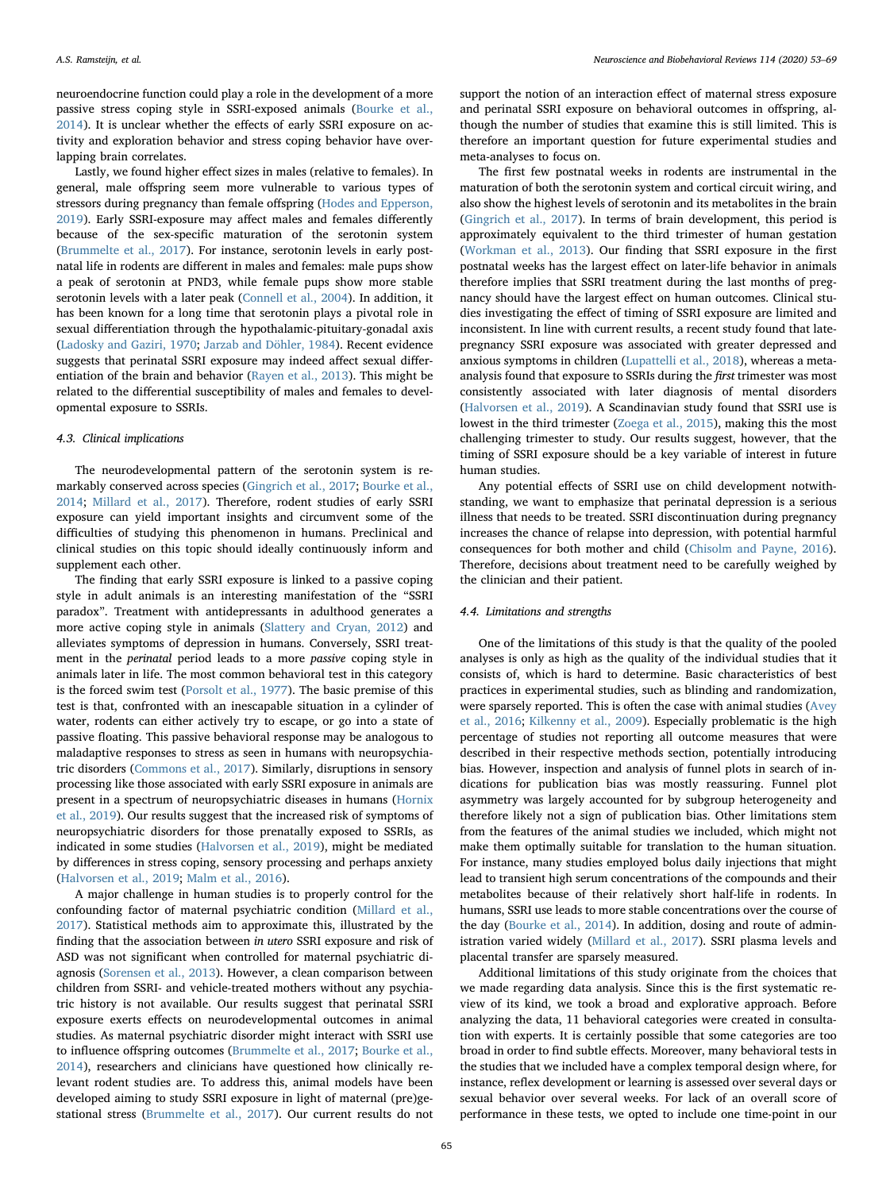neuroendocrine function could play a role in the development of a more passive stress coping style in SSRI-exposed animals [\(Bourke et al.,](#page-14-16) [2014\)](#page-14-16). It is unclear whether the effects of early SSRI exposure on activity and exploration behavior and stress coping behavior have overlapping brain correlates.

Lastly, we found higher effect sizes in males (relative to females). In general, male offspring seem more vulnerable to various types of stressors during pregnancy than female offspring ([Hodes and Epperson,](#page-14-58) [2019\)](#page-14-58). Early SSRI-exposure may affect males and females differently because of the sex-specific maturation of the serotonin system ([Brummelte et al., 2017](#page-14-4)). For instance, serotonin levels in early postnatal life in rodents are different in males and females: male pups show a peak of serotonin at PND3, while female pups show more stable serotonin levels with a later peak ([Connell et al., 2004\)](#page-14-59). In addition, it has been known for a long time that serotonin plays a pivotal role in sexual differentiation through the hypothalamic-pituitary-gonadal axis ([Ladosky and Gaziri, 1970](#page-15-55); [Jarzab and Döhler, 1984\)](#page-15-56). Recent evidence suggests that perinatal SSRI exposure may indeed affect sexual differentiation of the brain and behavior ([Rayen et al., 2013](#page-15-35)). This might be related to the differential susceptibility of males and females to developmental exposure to SSRIs.

# 4.3. Clinical implications

The neurodevelopmental pattern of the serotonin system is remarkably conserved across species ([Gingrich et al., 2017](#page-14-13); [Bourke et al.,](#page-14-16) [2014;](#page-14-16) [Millard et al., 2017\)](#page-15-11). Therefore, rodent studies of early SSRI exposure can yield important insights and circumvent some of the difficulties of studying this phenomenon in humans. Preclinical and clinical studies on this topic should ideally continuously inform and supplement each other.

The finding that early SSRI exposure is linked to a passive coping style in adult animals is an interesting manifestation of the "SSRI paradox". Treatment with antidepressants in adulthood generates a more active coping style in animals [\(Slattery and Cryan, 2012\)](#page-16-34) and alleviates symptoms of depression in humans. Conversely, SSRI treatment in the perinatal period leads to a more passive coping style in animals later in life. The most common behavioral test in this category is the forced swim test ([Porsolt et al., 1977\)](#page-15-57). The basic premise of this test is that, confronted with an inescapable situation in a cylinder of water, rodents can either actively try to escape, or go into a state of passive floating. This passive behavioral response may be analogous to maladaptive responses to stress as seen in humans with neuropsychiatric disorders ([Commons et al., 2017](#page-14-60)). Similarly, disruptions in sensory processing like those associated with early SSRI exposure in animals are present in a spectrum of neuropsychiatric diseases in humans [\(Hornix](#page-14-61) [et al., 2019\)](#page-14-61). Our results suggest that the increased risk of symptoms of neuropsychiatric disorders for those prenatally exposed to SSRIs, as indicated in some studies ([Halvorsen et al., 2019](#page-14-10)), might be mediated by differences in stress coping, sensory processing and perhaps anxiety ([Halvorsen et al., 2019;](#page-14-10) [Malm et al., 2016](#page-15-58)).

A major challenge in human studies is to properly control for the confounding factor of maternal psychiatric condition ([Millard et al.,](#page-15-11) [2017\)](#page-15-11). Statistical methods aim to approximate this, illustrated by the finding that the association between in utero SSRI exposure and risk of ASD was not significant when controlled for maternal psychiatric diagnosis ([Sorensen et al., 2013\)](#page-16-35). However, a clean comparison between children from SSRI- and vehicle-treated mothers without any psychiatric history is not available. Our results suggest that perinatal SSRI exposure exerts effects on neurodevelopmental outcomes in animal studies. As maternal psychiatric disorder might interact with SSRI use to influence offspring outcomes ([Brummelte et al., 2017;](#page-14-4) [Bourke et al.,](#page-14-16) [2014\)](#page-14-16), researchers and clinicians have questioned how clinically relevant rodent studies are. To address this, animal models have been developed aiming to study SSRI exposure in light of maternal (pre)gestational stress [\(Brummelte et al., 2017\)](#page-14-4). Our current results do not support the notion of an interaction effect of maternal stress exposure and perinatal SSRI exposure on behavioral outcomes in offspring, although the number of studies that examine this is still limited. This is therefore an important question for future experimental studies and meta-analyses to focus on.

The first few postnatal weeks in rodents are instrumental in the maturation of both the serotonin system and cortical circuit wiring, and also show the highest levels of serotonin and its metabolites in the brain ([Gingrich et al., 2017](#page-14-13)). In terms of brain development, this period is approximately equivalent to the third trimester of human gestation ([Workman et al., 2013\)](#page-16-8). Our finding that SSRI exposure in the first postnatal weeks has the largest effect on later-life behavior in animals therefore implies that SSRI treatment during the last months of pregnancy should have the largest effect on human outcomes. Clinical studies investigating the effect of timing of SSRI exposure are limited and inconsistent. In line with current results, a recent study found that latepregnancy SSRI exposure was associated with greater depressed and anxious symptoms in children [\(Lupattelli et al., 2018\)](#page-15-5), whereas a metaanalysis found that exposure to SSRIs during the first trimester was most consistently associated with later diagnosis of mental disorders ([Halvorsen et al., 2019](#page-14-10)). A Scandinavian study found that SSRI use is lowest in the third trimester ([Zoega et al., 2015](#page-16-1)), making this the most challenging trimester to study. Our results suggest, however, that the timing of SSRI exposure should be a key variable of interest in future human studies.

Any potential effects of SSRI use on child development notwithstanding, we want to emphasize that perinatal depression is a serious illness that needs to be treated. SSRI discontinuation during pregnancy increases the chance of relapse into depression, with potential harmful consequences for both mother and child [\(Chisolm and Payne, 2016](#page-14-62)). Therefore, decisions about treatment need to be carefully weighed by the clinician and their patient.

# 4.4. Limitations and strengths

One of the limitations of this study is that the quality of the pooled analyses is only as high as the quality of the individual studies that it consists of, which is hard to determine. Basic characteristics of best practices in experimental studies, such as blinding and randomization, were sparsely reported. This is often the case with animal studies ([Avey](#page-13-6) [et al., 2016;](#page-13-6) [Kilkenny et al., 2009](#page-15-59)). Especially problematic is the high percentage of studies not reporting all outcome measures that were described in their respective methods section, potentially introducing bias. However, inspection and analysis of funnel plots in search of indications for publication bias was mostly reassuring. Funnel plot asymmetry was largely accounted for by subgroup heterogeneity and therefore likely not a sign of publication bias. Other limitations stem from the features of the animal studies we included, which might not make them optimally suitable for translation to the human situation. For instance, many studies employed bolus daily injections that might lead to transient high serum concentrations of the compounds and their metabolites because of their relatively short half-life in rodents. In humans, SSRI use leads to more stable concentrations over the course of the day [\(Bourke et al., 2014\)](#page-14-16). In addition, dosing and route of administration varied widely ([Millard et al., 2017\)](#page-15-11). SSRI plasma levels and placental transfer are sparsely measured.

Additional limitations of this study originate from the choices that we made regarding data analysis. Since this is the first systematic review of its kind, we took a broad and explorative approach. Before analyzing the data, 11 behavioral categories were created in consultation with experts. It is certainly possible that some categories are too broad in order to find subtle effects. Moreover, many behavioral tests in the studies that we included have a complex temporal design where, for instance, reflex development or learning is assessed over several days or sexual behavior over several weeks. For lack of an overall score of performance in these tests, we opted to include one time-point in our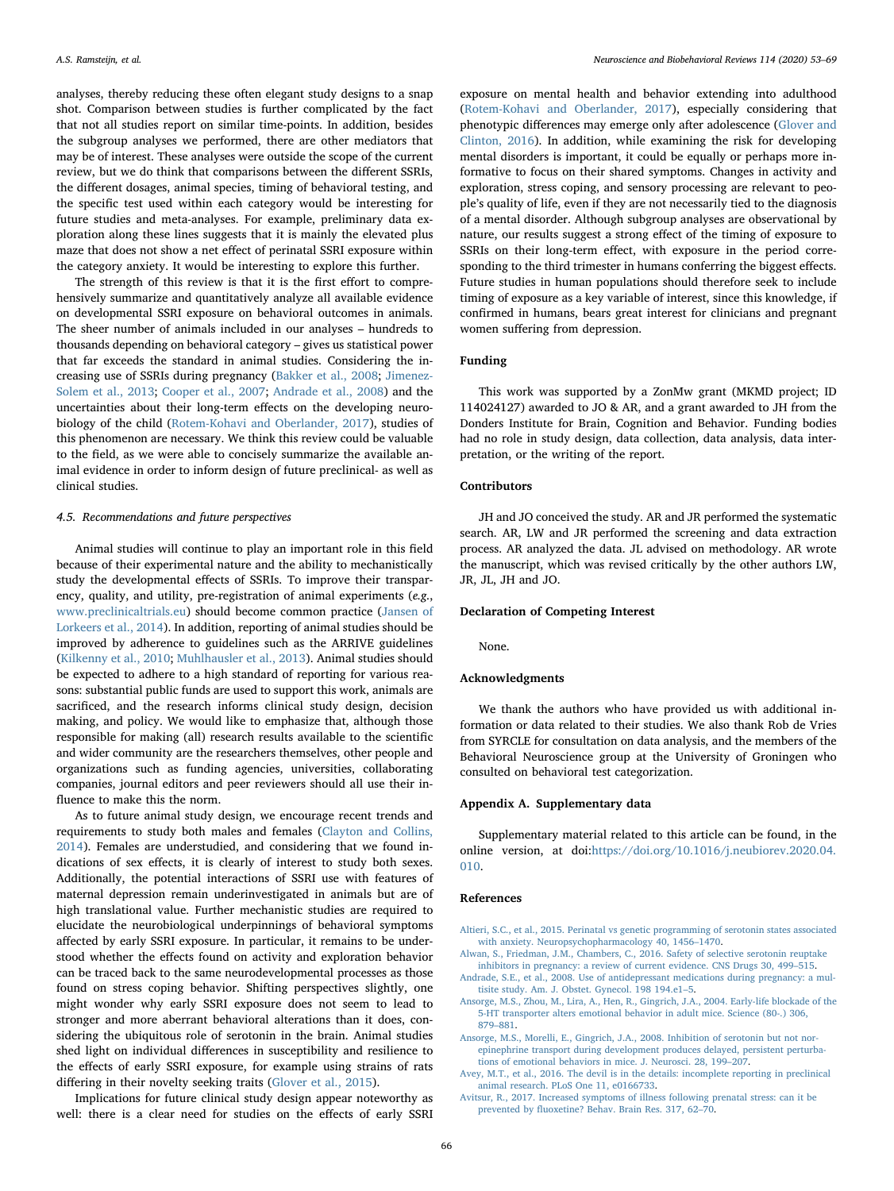analyses, thereby reducing these often elegant study designs to a snap shot. Comparison between studies is further complicated by the fact that not all studies report on similar time-points. In addition, besides the subgroup analyses we performed, there are other mediators that may be of interest. These analyses were outside the scope of the current review, but we do think that comparisons between the different SSRIs, the different dosages, animal species, timing of behavioral testing, and the specific test used within each category would be interesting for future studies and meta-analyses. For example, preliminary data exploration along these lines suggests that it is mainly the elevated plus maze that does not show a net effect of perinatal SSRI exposure within the category anxiety. It would be interesting to explore this further.

The strength of this review is that it is the first effort to comprehensively summarize and quantitatively analyze all available evidence on developmental SSRI exposure on behavioral outcomes in animals. The sheer number of animals included in our analyses – hundreds to thousands depending on behavioral category – gives us statistical power that far exceeds the standard in animal studies. Considering the increasing use of SSRIs during pregnancy ([Bakker et al., 2008](#page-14-0); [Jimenez-](#page-15-0)[Solem et al., 2013;](#page-15-0) [Cooper et al., 2007;](#page-14-1) [Andrade et al., 2008\)](#page-13-0) and the uncertainties about their long-term effects on the developing neurobiology of the child [\(Rotem-Kohavi and Oberlander, 2017](#page-15-60)), studies of this phenomenon are necessary. We think this review could be valuable to the field, as we were able to concisely summarize the available animal evidence in order to inform design of future preclinical- as well as clinical studies.

#### 4.5. Recommendations and future perspectives

Animal studies will continue to play an important role in this field because of their experimental nature and the ability to mechanistically study the developmental effects of SSRIs. To improve their transparency, quality, and utility, pre-registration of animal experiments (e.g., [www.preclinicaltrials.eu](http://www.preclinicaltrials.eu)) should become common practice ([Jansen of](#page-15-61) [Lorkeers et al., 2014\)](#page-15-61). In addition, reporting of animal studies should be improved by adherence to guidelines such as the ARRIVE guidelines ([Kilkenny et al., 2010;](#page-15-62) [Muhlhausler et al., 2013\)](#page-15-63). Animal studies should be expected to adhere to a high standard of reporting for various reasons: substantial public funds are used to support this work, animals are sacrificed, and the research informs clinical study design, decision making, and policy. We would like to emphasize that, although those responsible for making (all) research results available to the scientific and wider community are the researchers themselves, other people and organizations such as funding agencies, universities, collaborating companies, journal editors and peer reviewers should all use their influence to make this the norm.

As to future animal study design, we encourage recent trends and requirements to study both males and females ([Clayton and Collins,](#page-14-63) [2014\)](#page-14-63). Females are understudied, and considering that we found indications of sex effects, it is clearly of interest to study both sexes. Additionally, the potential interactions of SSRI use with features of maternal depression remain underinvestigated in animals but are of high translational value. Further mechanistic studies are required to elucidate the neurobiological underpinnings of behavioral symptoms affected by early SSRI exposure. In particular, it remains to be understood whether the effects found on activity and exploration behavior can be traced back to the same neurodevelopmental processes as those found on stress coping behavior. Shifting perspectives slightly, one might wonder why early SSRI exposure does not seem to lead to stronger and more aberrant behavioral alterations than it does, considering the ubiquitous role of serotonin in the brain. Animal studies shed light on individual differences in susceptibility and resilience to the effects of early SSRI exposure, for example using strains of rats differing in their novelty seeking traits [\(Glover et al., 2015](#page-14-64)).

Implications for future clinical study design appear noteworthy as well: there is a clear need for studies on the effects of early SSRI

exposure on mental health and behavior extending into adulthood ([Rotem-Kohavi and Oberlander, 2017\)](#page-15-60), especially considering that phenotypic differences may emerge only after adolescence ([Glover and](#page-14-14) [Clinton, 2016](#page-14-14)). In addition, while examining the risk for developing mental disorders is important, it could be equally or perhaps more informative to focus on their shared symptoms. Changes in activity and exploration, stress coping, and sensory processing are relevant to people's quality of life, even if they are not necessarily tied to the diagnosis of a mental disorder. Although subgroup analyses are observational by nature, our results suggest a strong effect of the timing of exposure to SSRIs on their long-term effect, with exposure in the period corresponding to the third trimester in humans conferring the biggest effects. Future studies in human populations should therefore seek to include timing of exposure as a key variable of interest, since this knowledge, if confirmed in humans, bears great interest for clinicians and pregnant women suffering from depression.

# Funding

This work was supported by a ZonMw grant (MKMD project; ID 114024127) awarded to JO & AR, and a grant awarded to JH from the Donders Institute for Brain, Cognition and Behavior. Funding bodies had no role in study design, data collection, data analysis, data interpretation, or the writing of the report.

#### **Contributors**

JH and JO conceived the study. AR and JR performed the systematic search. AR, LW and JR performed the screening and data extraction process. AR analyzed the data. JL advised on methodology. AR wrote the manuscript, which was revised critically by the other authors LW, JR, JL, JH and JO.

# Declaration of Competing Interest

None.

# Acknowledgments

We thank the authors who have provided us with additional information or data related to their studies. We also thank Rob de Vries from SYRCLE for consultation on data analysis, and the members of the Behavioral Neuroscience group at the University of Groningen who consulted on behavioral test categorization.

### Appendix A. Supplementary data

Supplementary material related to this article can be found, in the online version, at doi[:https://doi.org/10.1016/j.neubiorev.2020.04.](https://doi.org/10.1016/j.neubiorev.2020.04.010) [010](https://doi.org/10.1016/j.neubiorev.2020.04.010).

# References

- <span id="page-13-4"></span>[Altieri, S.C., et al., 2015. Perinatal vs genetic programming of serotonin states associated](http://refhub.elsevier.com/S0149-7634(19)31120-0/sbref0005) [with anxiety. Neuropsychopharmacology 40, 1456](http://refhub.elsevier.com/S0149-7634(19)31120-0/sbref0005)–1470.
- <span id="page-13-1"></span>[Alwan, S., Friedman, J.M., Chambers, C., 2016. Safety of selective serotonin reuptake](http://refhub.elsevier.com/S0149-7634(19)31120-0/sbref0010) [inhibitors in pregnancy: a review of current evidence. CNS Drugs 30, 499](http://refhub.elsevier.com/S0149-7634(19)31120-0/sbref0010)–515.
- <span id="page-13-0"></span>[Andrade, S.E., et al., 2008. Use of antidepressant medications during pregnancy: a mul](http://refhub.elsevier.com/S0149-7634(19)31120-0/sbref0015)[tisite study. Am. J. Obstet. Gynecol. 198 194.e1](http://refhub.elsevier.com/S0149-7634(19)31120-0/sbref0015)–5.
- <span id="page-13-2"></span>[Ansorge, M.S., Zhou, M., Lira, A., Hen, R., Gingrich, J.A., 2004. Early-life blockade of the](http://refhub.elsevier.com/S0149-7634(19)31120-0/sbref0020) [5-HT transporter alters emotional behavior in adult mice. Science \(80-.\) 306,](http://refhub.elsevier.com/S0149-7634(19)31120-0/sbref0020) 879–[881](http://refhub.elsevier.com/S0149-7634(19)31120-0/sbref0020).
- <span id="page-13-3"></span>[Ansorge, M.S., Morelli, E., Gingrich, J.A., 2008. Inhibition of serotonin but not nor](http://refhub.elsevier.com/S0149-7634(19)31120-0/sbref0025)[epinephrine transport during development produces delayed, persistent perturba](http://refhub.elsevier.com/S0149-7634(19)31120-0/sbref0025)[tions of emotional behaviors in mice. J. Neurosci. 28, 199](http://refhub.elsevier.com/S0149-7634(19)31120-0/sbref0025)–207.
- <span id="page-13-6"></span>[Avey, M.T., et al., 2016. The devil is in the details: incomplete reporting in preclinical](http://refhub.elsevier.com/S0149-7634(19)31120-0/sbref0030) [animal research. PLoS One 11, e0166733](http://refhub.elsevier.com/S0149-7634(19)31120-0/sbref0030).
- <span id="page-13-5"></span>[Avitsur, R., 2017. Increased symptoms of illness following prenatal stress: can it be](http://refhub.elsevier.com/S0149-7634(19)31120-0/sbref0035) prevented by fl[uoxetine? Behav. Brain Res. 317, 62](http://refhub.elsevier.com/S0149-7634(19)31120-0/sbref0035)–70.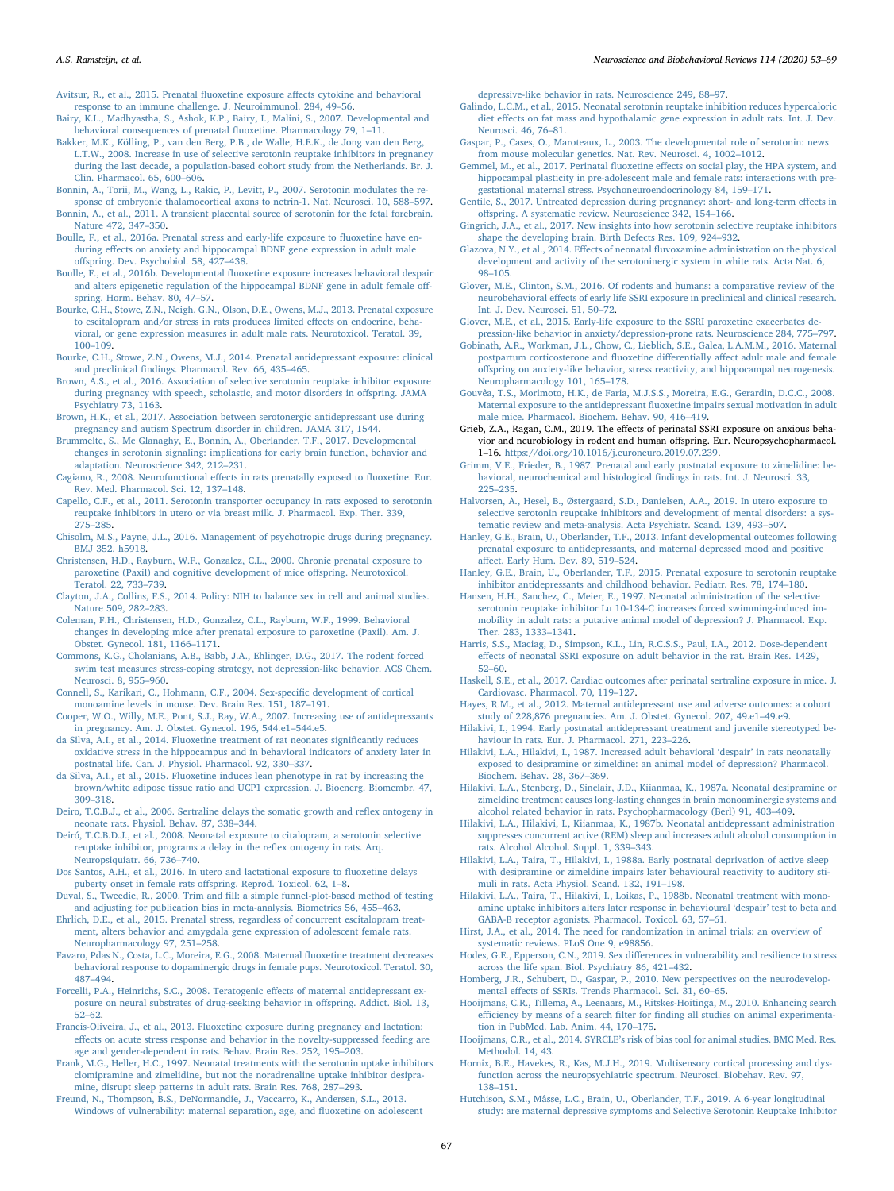- <span id="page-14-46"></span>[Avitsur, R., et al., 2015. Prenatal](http://refhub.elsevier.com/S0149-7634(19)31120-0/sbref0040) fluoxetine exposure affects cytokine and behavioral [response to an immune challenge. J. Neuroimmunol. 284, 49](http://refhub.elsevier.com/S0149-7634(19)31120-0/sbref0040)–56.
- <span id="page-14-33"></span>[Bairy, K.L., Madhyastha, S., Ashok, K.P., Bairy, I., Malini, S., 2007. Developmental and](http://refhub.elsevier.com/S0149-7634(19)31120-0/sbref0045) [behavioral consequences of prenatal](http://refhub.elsevier.com/S0149-7634(19)31120-0/sbref0045) fluoxetine. Pharmacology 79, 1–11.
- <span id="page-14-0"></span>[Bakker, M.K., Kölling, P., van den Berg, P.B., de Walle, H.E.K., de Jong van den Berg,](http://refhub.elsevier.com/S0149-7634(19)31120-0/sbref0050) [L.T.W., 2008. Increase in use of selective serotonin reuptake inhibitors in pregnancy](http://refhub.elsevier.com/S0149-7634(19)31120-0/sbref0050) [during the last decade, a population-based cohort study from the Netherlands. Br. J.](http://refhub.elsevier.com/S0149-7634(19)31120-0/sbref0050) [Clin. Pharmacol. 65, 600](http://refhub.elsevier.com/S0149-7634(19)31120-0/sbref0050)–606.
- <span id="page-14-56"></span>[Bonnin, A., Torii, M., Wang, L., Rakic, P., Levitt, P., 2007. Serotonin modulates the re](http://refhub.elsevier.com/S0149-7634(19)31120-0/sbref0055)[sponse of embryonic thalamocortical axons to netrin-1. Nat. Neurosci. 10, 588](http://refhub.elsevier.com/S0149-7634(19)31120-0/sbref0055)–597. [Bonnin, A., et al., 2011. A transient placental source of serotonin for the fetal forebrain.](http://refhub.elsevier.com/S0149-7634(19)31120-0/sbref0060)
- <span id="page-14-57"></span><span id="page-14-50"></span>[Nature 472, 347](http://refhub.elsevier.com/S0149-7634(19)31120-0/sbref0060)–350. [Boulle, F., et al., 2016a. Prenatal stress and early-life exposure to](http://refhub.elsevier.com/S0149-7634(19)31120-0/sbref0065) fluoxetine have en-
- during eff[ects on anxiety and hippocampal BDNF gene expression in adult male](http://refhub.elsevier.com/S0149-7634(19)31120-0/sbref0065) off[spring. Dev. Psychobiol. 58, 427](http://refhub.elsevier.com/S0149-7634(19)31120-0/sbref0065)–438.
- <span id="page-14-51"></span>Boulle, F., et al., 2016b. Developmental fl[uoxetine exposure increases behavioral despair](http://refhub.elsevier.com/S0149-7634(19)31120-0/sbref0070) [and alters epigenetic regulation of the hippocampal BDNF gene in adult female o](http://refhub.elsevier.com/S0149-7634(19)31120-0/sbref0070)ff[spring. Horm. Behav. 80, 47](http://refhub.elsevier.com/S0149-7634(19)31120-0/sbref0070)–57.
- <span id="page-14-41"></span>[Bourke, C.H., Stowe, Z.N., Neigh, G.N., Olson, D.E., Owens, M.J., 2013. Prenatal exposure](http://refhub.elsevier.com/S0149-7634(19)31120-0/sbref0075) [to escitalopram and/or stress in rats produces limited e](http://refhub.elsevier.com/S0149-7634(19)31120-0/sbref0075)ffects on endocrine, beha[vioral, or gene expression measures in adult male rats. Neurotoxicol. Teratol. 39,](http://refhub.elsevier.com/S0149-7634(19)31120-0/sbref0075) 100–[109](http://refhub.elsevier.com/S0149-7634(19)31120-0/sbref0075).
- <span id="page-14-16"></span>[Bourke, C.H., Stowe, Z.N., Owens, M.J., 2014. Prenatal antidepressant exposure: clinical](http://refhub.elsevier.com/S0149-7634(19)31120-0/sbref0080) and preclinical fi[ndings. Pharmacol. Rev. 66, 435](http://refhub.elsevier.com/S0149-7634(19)31120-0/sbref0080)–465.
- <span id="page-14-9"></span>[Brown, A.S., et al., 2016. Association of selective serotonin reuptake inhibitor exposure](http://refhub.elsevier.com/S0149-7634(19)31120-0/sbref0085) [during pregnancy with speech, scholastic, and motor disorders in o](http://refhub.elsevier.com/S0149-7634(19)31120-0/sbref0085)ffspring. JAMA [Psychiatry 73, 1163.](http://refhub.elsevier.com/S0149-7634(19)31120-0/sbref0085)
- <span id="page-14-11"></span>[Brown, H.K., et al., 2017. Association between serotonergic antidepressant use during](http://refhub.elsevier.com/S0149-7634(19)31120-0/sbref0090) [pregnancy and autism Spectrum disorder in children. JAMA 317, 1544](http://refhub.elsevier.com/S0149-7634(19)31120-0/sbref0090).
- <span id="page-14-4"></span>[Brummelte, S., Mc Glanaghy, E., Bonnin, A., Oberlander, T.F., 2017. Developmental](http://refhub.elsevier.com/S0149-7634(19)31120-0/sbref0095) [changes in serotonin signaling: implications for early brain function, behavior and](http://refhub.elsevier.com/S0149-7634(19)31120-0/sbref0095) [adaptation. Neuroscience 342, 212](http://refhub.elsevier.com/S0149-7634(19)31120-0/sbref0095)–231.
- <span id="page-14-34"></span>[Cagiano, R., 2008. Neurofunctional e](http://refhub.elsevier.com/S0149-7634(19)31120-0/sbref0100)ffects in rats prenatally exposed to fluoxetine. Eur. [Rev. Med. Pharmacol. Sci. 12, 137](http://refhub.elsevier.com/S0149-7634(19)31120-0/sbref0100)–148.
- <span id="page-14-39"></span>[Capello, C.F., et al., 2011. Serotonin transporter occupancy in rats exposed to serotonin](http://refhub.elsevier.com/S0149-7634(19)31120-0/sbref0105) [reuptake inhibitors in utero or via breast milk. J. Pharmacol. Exp. Ther. 339,](http://refhub.elsevier.com/S0149-7634(19)31120-0/sbref0105) 275–[285](http://refhub.elsevier.com/S0149-7634(19)31120-0/sbref0105).
- <span id="page-14-62"></span>[Chisolm, M.S., Payne, J.L., 2016. Management of psychotropic drugs during pregnancy.](http://refhub.elsevier.com/S0149-7634(19)31120-0/sbref0110) [BMJ 352, h5918.](http://refhub.elsevier.com/S0149-7634(19)31120-0/sbref0110)
- <span id="page-14-31"></span>[Christensen, H.D., Rayburn, W.F., Gonzalez, C.L., 2000. Chronic prenatal exposure to](http://refhub.elsevier.com/S0149-7634(19)31120-0/sbref0115) paroxetine [\(Paxil\) and cognitive development of mice o](http://refhub.elsevier.com/S0149-7634(19)31120-0/sbref0115)ffspring. Neurotoxicol. [Teratol. 22, 733](http://refhub.elsevier.com/S0149-7634(19)31120-0/sbref0115)–739.
- <span id="page-14-63"></span>[Clayton, J.A., Collins, F.S., 2014. Policy: NIH to balance sex in cell and animal studies.](http://refhub.elsevier.com/S0149-7634(19)31120-0/sbref0120) [Nature 509, 282](http://refhub.elsevier.com/S0149-7634(19)31120-0/sbref0120)–283.
- <span id="page-14-30"></span>[Coleman, F.H., Christensen, H.D., Gonzalez, C.L., Rayburn, W.F., 1999. Behavioral](http://refhub.elsevier.com/S0149-7634(19)31120-0/sbref0125) [changes in developing mice after prenatal exposure to paroxetine \(Paxil\). Am. J.](http://refhub.elsevier.com/S0149-7634(19)31120-0/sbref0125) [Obstet. Gynecol. 181, 1166](http://refhub.elsevier.com/S0149-7634(19)31120-0/sbref0125)–1171.
- <span id="page-14-60"></span>[Commons, K.G., Cholanians, A.B., Babb, J.A., Ehlinger, D.G., 2017. The rodent forced](http://refhub.elsevier.com/S0149-7634(19)31120-0/sbref0130) [swim test measures stress-coping strategy, not depression-like behavior. ACS Chem.](http://refhub.elsevier.com/S0149-7634(19)31120-0/sbref0130) [Neurosci. 8, 955](http://refhub.elsevier.com/S0149-7634(19)31120-0/sbref0130)–960.
- <span id="page-14-59"></span>[Connell, S., Karikari, C., Hohmann, C.F., 2004. Sex-speci](http://refhub.elsevier.com/S0149-7634(19)31120-0/sbref0135)fic development of cortical [monoamine levels in mouse. Dev. Brain Res. 151, 187](http://refhub.elsevier.com/S0149-7634(19)31120-0/sbref0135)–191.
- <span id="page-14-1"></span>[Cooper, W.O., Willy, M.E., Pont, S.J., Ray, W.A., 2007. Increasing use of antidepressants](http://refhub.elsevier.com/S0149-7634(19)31120-0/sbref0140) [in pregnancy. Am. J. Obstet. Gynecol. 196, 544.e1](http://refhub.elsevier.com/S0149-7634(19)31120-0/sbref0140)–544.e5.
- <span id="page-14-44"></span>[da Silva, A.I., et al., 2014. Fluoxetine treatment of rat neonates signi](http://refhub.elsevier.com/S0149-7634(19)31120-0/sbref0145)ficantly reduces [oxidative stress in the hippocampus and in behavioral indicators of anxiety later in](http://refhub.elsevier.com/S0149-7634(19)31120-0/sbref0145) [postnatal life. Can. J. Physiol. Pharmacol. 92, 330](http://refhub.elsevier.com/S0149-7634(19)31120-0/sbref0145)–337.
- <span id="page-14-47"></span>[da Silva, A.I., et al., 2015. Fluoxetine induces lean phenotype in rat by increasing the](http://refhub.elsevier.com/S0149-7634(19)31120-0/sbref0150) [brown/white adipose tissue ratio and UCP1 expression. J. Bioenerg. Biomembr. 47,](http://refhub.elsevier.com/S0149-7634(19)31120-0/sbref0150) 309–[318](http://refhub.elsevier.com/S0149-7634(19)31120-0/sbref0150).
- <span id="page-14-32"></span>[Deiro, T.C.B.J., et al., 2006. Sertraline delays the somatic growth and re](http://refhub.elsevier.com/S0149-7634(19)31120-0/sbref0155)flex ontogeny in [neonate rats. Physiol. Behav. 87, 338](http://refhub.elsevier.com/S0149-7634(19)31120-0/sbref0155)–344.
- <span id="page-14-35"></span>[Deiró, T.C.B.D.J., et al., 2008. Neonatal exposure to citalopram, a serotonin selective](http://refhub.elsevier.com/S0149-7634(19)31120-0/sbref0160) [reuptake inhibitor, programs a delay in the re](http://refhub.elsevier.com/S0149-7634(19)31120-0/sbref0160)flex ontogeny in rats. Arq. [Neuropsiquiatr. 66, 736](http://refhub.elsevier.com/S0149-7634(19)31120-0/sbref0160)–740.
- <span id="page-14-52"></span>[Dos Santos, A.H., et al., 2016. In utero and lactational exposure to](http://refhub.elsevier.com/S0149-7634(19)31120-0/sbref0165) fluoxetine delays [puberty onset in female rats o](http://refhub.elsevier.com/S0149-7634(19)31120-0/sbref0165)ffspring. Reprod. Toxicol. 62, 1–8.
- <span id="page-14-20"></span>Duval, S., Tweedie, R., 2000. Trim and fi[ll: a simple funnel-plot-based method of testing](http://refhub.elsevier.com/S0149-7634(19)31120-0/sbref0170) [and adjusting for publication bias in meta-analysis. Biometrics 56, 455](http://refhub.elsevier.com/S0149-7634(19)31120-0/sbref0170)–463.
- <span id="page-14-48"></span>[Ehrlich, D.E., et al., 2015. Prenatal stress, regardless of concurrent escitalopram treat](http://refhub.elsevier.com/S0149-7634(19)31120-0/sbref0175)[ment, alters behavior and amygdala gene expression of adolescent female rats.](http://refhub.elsevier.com/S0149-7634(19)31120-0/sbref0175) [Neuropharmacology 97, 251](http://refhub.elsevier.com/S0149-7634(19)31120-0/sbref0175)–258.
- <span id="page-14-36"></span>[Favaro, Pdas N., Costa, L.C., Moreira, E.G., 2008. Maternal](http://refhub.elsevier.com/S0149-7634(19)31120-0/sbref0180) fluoxetine treatment decreases [behavioral response to dopaminergic drugs in female pups. Neurotoxicol. Teratol. 30,](http://refhub.elsevier.com/S0149-7634(19)31120-0/sbref0180) 487–[494](http://refhub.elsevier.com/S0149-7634(19)31120-0/sbref0180).
- <span id="page-14-37"></span>[Forcelli, P.A., Heinrichs, S.C., 2008. Teratogenic e](http://refhub.elsevier.com/S0149-7634(19)31120-0/sbref0185)ffects of maternal antidepressant ex[posure on neural substrates of drug-seeking behavior in o](http://refhub.elsevier.com/S0149-7634(19)31120-0/sbref0185)ffspring. Addict. Biol. 13, 52–[62](http://refhub.elsevier.com/S0149-7634(19)31120-0/sbref0185).
- <span id="page-14-42"></span>Francis-Oliveira, [J., et al., 2013. Fluoxetine exposure during pregnancy and lactation:](http://refhub.elsevier.com/S0149-7634(19)31120-0/sbref0190) eff[ects on acute stress response and behavior in the novelty-suppressed feeding are](http://refhub.elsevier.com/S0149-7634(19)31120-0/sbref0190) [age and gender-dependent in rats. Behav. Brain Res. 252, 195](http://refhub.elsevier.com/S0149-7634(19)31120-0/sbref0190)–203.
- <span id="page-14-28"></span>[Frank, M.G., Heller, H.C., 1997. Neonatal treatments with the serotonin uptake inhibitors](http://refhub.elsevier.com/S0149-7634(19)31120-0/sbref0195) [clomipramine and zimelidine, but not the noradrenaline uptake inhibitor desipra](http://refhub.elsevier.com/S0149-7634(19)31120-0/sbref0195)[mine, disrupt sleep patterns in adult rats. Brain Res. 768, 287](http://refhub.elsevier.com/S0149-7634(19)31120-0/sbref0195)–293.
- <span id="page-14-43"></span>[Freund, N., Thompson, B.S., DeNormandie, J., Vaccarro, K., Andersen, S.L., 2013.](http://refhub.elsevier.com/S0149-7634(19)31120-0/sbref0200) [Windows of vulnerability: maternal separation, age, and](http://refhub.elsevier.com/S0149-7634(19)31120-0/sbref0200) fluoxetine on adolescent

[depressive-like behavior in rats. Neuroscience 249, 88](http://refhub.elsevier.com/S0149-7634(19)31120-0/sbref0200)–97.

- <span id="page-14-49"></span>[Galindo, L.C.M., et al., 2015. Neonatal serotonin reuptake inhibition reduces hypercaloric](http://refhub.elsevier.com/S0149-7634(19)31120-0/sbref0205) diet eff[ects on fat mass and hypothalamic gene expression in adult rats. Int. J. Dev.](http://refhub.elsevier.com/S0149-7634(19)31120-0/sbref0205) [Neurosci. 46, 76](http://refhub.elsevier.com/S0149-7634(19)31120-0/sbref0205)–81.
- <span id="page-14-3"></span>[Gaspar, P., Cases, O., Maroteaux, L., 2003. The developmental role of serotonin: news](http://refhub.elsevier.com/S0149-7634(19)31120-0/sbref0210) [from mouse molecular genetics. Nat. Rev. Neurosci. 4, 1002](http://refhub.elsevier.com/S0149-7634(19)31120-0/sbref0210)–1012.
- <span id="page-14-54"></span>Gemmel, M., et al., 2017. Perinatal fluoxetine eff[ects on social play, the HPA system, and](http://refhub.elsevier.com/S0149-7634(19)31120-0/sbref0215) [hippocampal plasticity in pre-adolescent male and female rats: interactions with pre](http://refhub.elsevier.com/S0149-7634(19)31120-0/sbref0215)[gestational maternal stress. Psychoneuroendocrinology 84, 159](http://refhub.elsevier.com/S0149-7634(19)31120-0/sbref0215)–171.
- <span id="page-14-12"></span>[Gentile, S., 2017. Untreated depression during pregnancy: short- and long-term e](http://refhub.elsevier.com/S0149-7634(19)31120-0/sbref0220)ffects in off[spring. A systematic review. Neuroscience 342, 154](http://refhub.elsevier.com/S0149-7634(19)31120-0/sbref0220)–166.
- <span id="page-14-13"></span>[Gingrich, J.A., et al., 2017. New insights into how serotonin selective reuptake inhibitors](http://refhub.elsevier.com/S0149-7634(19)31120-0/sbref0225) [shape the developing brain. Birth Defects Res. 109, 924](http://refhub.elsevier.com/S0149-7634(19)31120-0/sbref0225)–932.
- <span id="page-14-45"></span>Glazova, N.Y., et al., 2014. Effects of neonatal fl[uvoxamine administration on the physical](http://refhub.elsevier.com/S0149-7634(19)31120-0/sbref0230) [development and activity of the serotoninergic system in white rats. Acta Nat. 6,](http://refhub.elsevier.com/S0149-7634(19)31120-0/sbref0230) 98–[105.](http://refhub.elsevier.com/S0149-7634(19)31120-0/sbref0230)
- <span id="page-14-14"></span>[Glover, M.E., Clinton, S.M., 2016. Of rodents and humans: a comparative review of the](http://refhub.elsevier.com/S0149-7634(19)31120-0/sbref0235) neurobehavioral eff[ects of early life SSRI exposure in preclinical and clinical research.](http://refhub.elsevier.com/S0149-7634(19)31120-0/sbref0235) [Int. J. Dev. Neurosci. 51, 50](http://refhub.elsevier.com/S0149-7634(19)31120-0/sbref0235)–72.
- <span id="page-14-64"></span>[Glover, M.E., et al., 2015. Early-life exposure to the SSRI paroxetine exacerbates de-](http://refhub.elsevier.com/S0149-7634(19)31120-0/sbref0240)
- <span id="page-14-53"></span>[pression-like behavior in anxiety/depression-prone rats. Neuroscience 284, 775](http://refhub.elsevier.com/S0149-7634(19)31120-0/sbref0240)–797. [Gobinath, A.R., Workman, J.L., Chow, C., Lieblich, S.E., Galea, L.A.M.M., 2016. Maternal](http://refhub.elsevier.com/S0149-7634(19)31120-0/sbref0245) [postpartum corticosterone and](http://refhub.elsevier.com/S0149-7634(19)31120-0/sbref0245) fluoxetine differentially affect adult male and female off[spring on anxiety-like behavior, stress reactivity, and hippocampal neurogenesis.](http://refhub.elsevier.com/S0149-7634(19)31120-0/sbref0245) [Neuropharmacology 101, 165](http://refhub.elsevier.com/S0149-7634(19)31120-0/sbref0245)–178.
- <span id="page-14-38"></span>Gouvêa, [T.S., Morimoto, H.K., de Faria, M.J.S.S., Moreira, E.G., Gerardin, D.C.C., 2008.](http://refhub.elsevier.com/S0149-7634(19)31120-0/sbref0250) Maternal exposure to the antidepressant fl[uoxetine impairs sexual motivation in adult](http://refhub.elsevier.com/S0149-7634(19)31120-0/sbref0250) [male mice. Pharmacol. Biochem. Behav. 90, 416](http://refhub.elsevier.com/S0149-7634(19)31120-0/sbref0250)–419.
- <span id="page-14-15"></span>Grieb, Z.A., Ragan, C.M., 2019. The effects of perinatal SSRI exposure on anxious behavior and neurobiology in rodent and human offspring. Eur. Neuropsychopharmacol. 1–16. [https://doi.org/10.1016/j.euroneuro.2019.07.239.](https://doi.org/10.1016/j.euroneuro.2019.07.239)
- <span id="page-14-21"></span>[Grimm, V.E., Frieder, B., 1987. Prenatal and early postnatal exposure to zimelidine: be](http://refhub.elsevier.com/S0149-7634(19)31120-0/sbref0260)[havioral, neurochemical and histological](http://refhub.elsevier.com/S0149-7634(19)31120-0/sbref0260) findings in rats. Int. J. Neurosci. 33, 225–[235](http://refhub.elsevier.com/S0149-7634(19)31120-0/sbref0260).
- <span id="page-14-10"></span>[Halvorsen, A., Hesel, B., Østergaard, S.D., Danielsen, A.A., 2019. In utero exposure to](http://refhub.elsevier.com/S0149-7634(19)31120-0/sbref0265) [selective serotonin reuptake inhibitors and development of mental disorders: a sys](http://refhub.elsevier.com/S0149-7634(19)31120-0/sbref0265)[tematic review and meta-analysis. Acta Psychiatr. Scand. 139, 493](http://refhub.elsevier.com/S0149-7634(19)31120-0/sbref0265)–507.
- <span id="page-14-7"></span>[Hanley, G.E., Brain, U., Oberlander, T.F., 2013. Infant developmental outcomes following](http://refhub.elsevier.com/S0149-7634(19)31120-0/sbref0270) [prenatal exposure to antidepressants, and maternal depressed mood and positive](http://refhub.elsevier.com/S0149-7634(19)31120-0/sbref0270) aff[ect. Early Hum. Dev. 89, 519](http://refhub.elsevier.com/S0149-7634(19)31120-0/sbref0270)–524.
- <span id="page-14-6"></span>[Hanley, G.E., Brain, U., Oberlander, T.F., 2015. Prenatal exposure to serotonin reuptake](http://refhub.elsevier.com/S0149-7634(19)31120-0/sbref0275) [inhibitor antidepressants and childhood behavior. Pediatr. Res. 78, 174](http://refhub.elsevier.com/S0149-7634(19)31120-0/sbref0275)–180.
- <span id="page-14-29"></span>[Hansen, H.H., Sanchez, C., Meier, E., 1997. Neonatal administration of the selective](http://refhub.elsevier.com/S0149-7634(19)31120-0/sbref0280) [serotonin reuptake inhibitor Lu 10-134-C increases forced swimming-induced im](http://refhub.elsevier.com/S0149-7634(19)31120-0/sbref0280)[mobility in adult rats: a putative animal model of depression? J. Pharmacol. Exp.](http://refhub.elsevier.com/S0149-7634(19)31120-0/sbref0280) [Ther. 283, 1333](http://refhub.elsevier.com/S0149-7634(19)31120-0/sbref0280)–1341.
- <span id="page-14-40"></span>[Harris, S.S., Maciag, D., Simpson, K.L., Lin, R.C.S.S., Paul, I.A., 2012. Dose-dependent](http://refhub.elsevier.com/S0149-7634(19)31120-0/sbref0285) eff[ects of neonatal SSRI exposure on adult behavior in the rat. Brain Res. 1429,](http://refhub.elsevier.com/S0149-7634(19)31120-0/sbref0285) 52–[60](http://refhub.elsevier.com/S0149-7634(19)31120-0/sbref0285).
- <span id="page-14-55"></span>[Haskell, S.E., et al., 2017. Cardiac outcomes after perinatal sertraline exposure in mice. J.](http://refhub.elsevier.com/S0149-7634(19)31120-0/sbref0290) [Cardiovasc. Pharmacol. 70, 119](http://refhub.elsevier.com/S0149-7634(19)31120-0/sbref0290)–127.
- <span id="page-14-2"></span>[Hayes, R.M., et al., 2012. Maternal antidepressant use and adverse outcomes: a cohort](http://refhub.elsevier.com/S0149-7634(19)31120-0/sbref0295) [study of 228,876 pregnancies. Am. J. Obstet. Gynecol. 207, 49.e1](http://refhub.elsevier.com/S0149-7634(19)31120-0/sbref0295)–49.e9.
- <span id="page-14-27"></span>[Hilakivi, I., 1994. Early postnatal antidepressant treatment and juvenile stereotyped be](http://refhub.elsevier.com/S0149-7634(19)31120-0/sbref0300)[haviour in rats. Eur. J. Pharmacol. 271, 223](http://refhub.elsevier.com/S0149-7634(19)31120-0/sbref0300)–226.
- <span id="page-14-23"></span>[Hilakivi, L.A., Hilakivi, I., 1987. Increased adult behavioral](http://refhub.elsevier.com/S0149-7634(19)31120-0/sbref0305) 'despair' in rats neonatally [exposed to desipramine or zimeldine: an animal model of depression? Pharmacol.](http://refhub.elsevier.com/S0149-7634(19)31120-0/sbref0305) [Biochem. Behav. 28, 367](http://refhub.elsevier.com/S0149-7634(19)31120-0/sbref0305)–369.
- <span id="page-14-22"></span>[Hilakivi, L.A., Stenberg, D., Sinclair, J.D., Kiianmaa, K., 1987a. Neonatal desipramine or](http://refhub.elsevier.com/S0149-7634(19)31120-0/sbref0310) [zimeldine treatment causes long-lasting changes in brain monoaminergic systems and](http://refhub.elsevier.com/S0149-7634(19)31120-0/sbref0310) [alcohol related behavior in rats. Psychopharmacology \(Berl\) 91, 403](http://refhub.elsevier.com/S0149-7634(19)31120-0/sbref0310)–409.
- <span id="page-14-24"></span>[Hilakivi, L.A., Hilakivi, I., Kiianmaa, K., 1987b. Neonatal antidepressant administration](http://refhub.elsevier.com/S0149-7634(19)31120-0/sbref0315) [suppresses concurrent active \(REM\) sleep and increases adult alcohol consumption in](http://refhub.elsevier.com/S0149-7634(19)31120-0/sbref0315) [rats. Alcohol Alcohol. Suppl. 1, 339](http://refhub.elsevier.com/S0149-7634(19)31120-0/sbref0315)–343.
- <span id="page-14-25"></span>[Hilakivi, L.A., Taira, T., Hilakivi, I., 1988a. Early postnatal deprivation of active sleep](http://refhub.elsevier.com/S0149-7634(19)31120-0/sbref0320) [with desipramine or zimeldine impairs later behavioural reactivity to auditory sti](http://refhub.elsevier.com/S0149-7634(19)31120-0/sbref0320)[muli in rats. Acta Physiol. Scand. 132, 191](http://refhub.elsevier.com/S0149-7634(19)31120-0/sbref0320)–198.
- <span id="page-14-26"></span>Hilakivi, [L.A., Taira, T., Hilakivi, I., Loikas, P., 1988b. Neonatal treatment with mono](http://refhub.elsevier.com/S0149-7634(19)31120-0/sbref0325)[amine uptake inhibitors alters later response in behavioural](http://refhub.elsevier.com/S0149-7634(19)31120-0/sbref0325) 'despair' test to beta and [GABA-B receptor agonists. Pharmacol. Toxicol. 63, 57](http://refhub.elsevier.com/S0149-7634(19)31120-0/sbref0325)–61.
- <span id="page-14-18"></span>[Hirst, J.A., et al., 2014. The need for randomization in animal trials: an overview of](http://refhub.elsevier.com/S0149-7634(19)31120-0/sbref0330) [systematic reviews. PLoS One 9, e98856.](http://refhub.elsevier.com/S0149-7634(19)31120-0/sbref0330)
- <span id="page-14-58"></span>Hodes, G.E., Epperson, C.N., 2019. Sex diff[erences in vulnerability and resilience to stress](http://refhub.elsevier.com/S0149-7634(19)31120-0/sbref0335) [across the life span. Biol. Psychiatry 86, 421](http://refhub.elsevier.com/S0149-7634(19)31120-0/sbref0335)–432.
- <span id="page-14-5"></span>[Homberg, J.R., Schubert, D., Gaspar, P., 2010. New perspectives on the neurodevelop](http://refhub.elsevier.com/S0149-7634(19)31120-0/sbref0340)mental eff[ects of SSRIs. Trends Pharmacol. Sci. 31, 60](http://refhub.elsevier.com/S0149-7634(19)31120-0/sbref0340)–65.
- <span id="page-14-17"></span>[Hooijmans, C.R., Tillema, A., Leenaars, M., Ritskes-Hoitinga, M., 2010. Enhancing search](http://refhub.elsevier.com/S0149-7634(19)31120-0/sbref0345) efficiency by means of a search filter for fi[nding all studies on animal experimenta](http://refhub.elsevier.com/S0149-7634(19)31120-0/sbref0345)[tion in PubMed. Lab. Anim. 44, 170](http://refhub.elsevier.com/S0149-7634(19)31120-0/sbref0345)–175.
- <span id="page-14-19"></span>Hooijmans, C.R., et al., 2014. SYRCLE'[s risk of bias tool for animal studies. BMC Med. Res.](http://refhub.elsevier.com/S0149-7634(19)31120-0/sbref0350) [Methodol. 14, 43.](http://refhub.elsevier.com/S0149-7634(19)31120-0/sbref0350)
- <span id="page-14-61"></span>[Hornix, B.E., Havekes, R., Kas, M.J.H., 2019. Multisensory cortical processing and dys](http://refhub.elsevier.com/S0149-7634(19)31120-0/sbref0355)[function across the neuropsychiatric spectrum. Neurosci. Biobehav. Rev. 97,](http://refhub.elsevier.com/S0149-7634(19)31120-0/sbref0355) 138–[151](http://refhub.elsevier.com/S0149-7634(19)31120-0/sbref0355).
- <span id="page-14-8"></span>[Hutchison, S.M., Mâsse, L.C., Brain, U., Oberlander, T.F., 2019. A 6-year longitudinal](http://refhub.elsevier.com/S0149-7634(19)31120-0/sbref0360) [study: are maternal depressive symptoms and Selective Serotonin Reuptake Inhibitor](http://refhub.elsevier.com/S0149-7634(19)31120-0/sbref0360)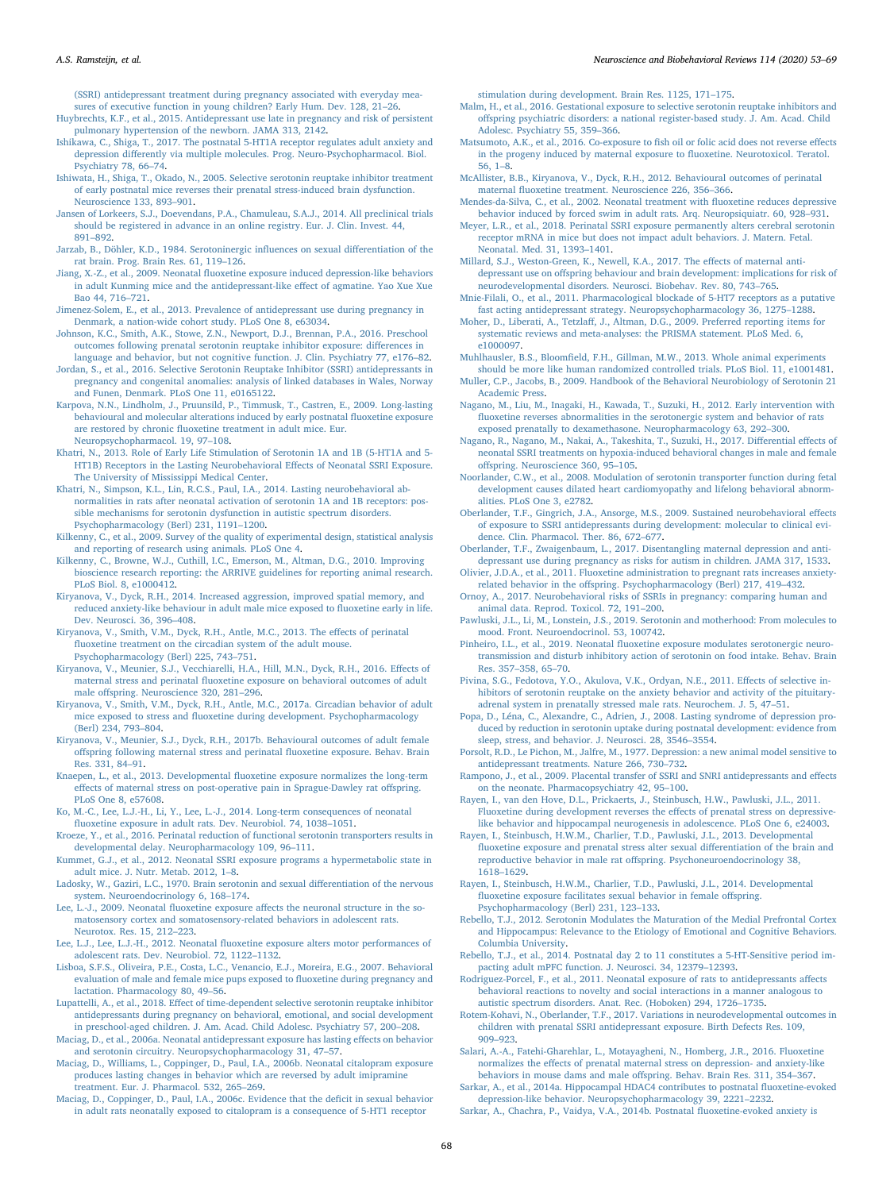[\(SSRI\) antidepressant treatment during pregnancy associated with everyday mea](http://refhub.elsevier.com/S0149-7634(19)31120-0/sbref0360)[sures of executive function in young children? Early Hum. Dev. 128, 21](http://refhub.elsevier.com/S0149-7634(19)31120-0/sbref0360)–26.

- <span id="page-15-2"></span>[Huybrechts, K.F., et al., 2015. Antidepressant use late in pregnancy and risk of persistent](http://refhub.elsevier.com/S0149-7634(19)31120-0/sbref0365) [pulmonary hypertension of the newborn. JAMA 313, 2142](http://refhub.elsevier.com/S0149-7634(19)31120-0/sbref0365).
- <span id="page-15-48"></span>[Ishikawa, C., Shiga, T., 2017. The postnatal 5-HT1A receptor regulates adult anxiety and](http://refhub.elsevier.com/S0149-7634(19)31120-0/sbref0370) depression diff[erently via multiple molecules. Prog. Neuro-Psychopharmacol. Biol.](http://refhub.elsevier.com/S0149-7634(19)31120-0/sbref0370) [Psychiatry 78, 66](http://refhub.elsevier.com/S0149-7634(19)31120-0/sbref0370)–74.
- <span id="page-15-15"></span>[Ishiwata, H., Shiga, T., Okado, N., 2005. Selective serotonin reuptake inhibitor treatment](http://refhub.elsevier.com/S0149-7634(19)31120-0/sbref0375) [of early postnatal mice reverses their prenatal stress-induced brain dysfunction.](http://refhub.elsevier.com/S0149-7634(19)31120-0/sbref0375) [Neuroscience 133, 893](http://refhub.elsevier.com/S0149-7634(19)31120-0/sbref0375)–901.
- <span id="page-15-61"></span>[Jansen of Lorkeers, S.J., Doevendans, P.A., Chamuleau, S.A.J., 2014. All preclinical trials](http://refhub.elsevier.com/S0149-7634(19)31120-0/sbref0380) [should be registered in advance in an online registry. Eur. J. Clin. Invest. 44,](http://refhub.elsevier.com/S0149-7634(19)31120-0/sbref0380) 891–[892](http://refhub.elsevier.com/S0149-7634(19)31120-0/sbref0380).
- <span id="page-15-56"></span>[Jarzab, B., Döhler, K.D., 1984. Serotoninergic in](http://refhub.elsevier.com/S0149-7634(19)31120-0/sbref0385)fluences on sexual differentiation of the [rat brain. Prog. Brain Res. 61, 119](http://refhub.elsevier.com/S0149-7634(19)31120-0/sbref0385)–126.
- <span id="page-15-21"></span>Jiang, X.-Z., et al., 2009. Neonatal fl[uoxetine exposure induced depression-like behaviors](http://refhub.elsevier.com/S0149-7634(19)31120-0/sbref0390) [in adult Kunming mice and the antidepressant-like e](http://refhub.elsevier.com/S0149-7634(19)31120-0/sbref0390)ffect of agmatine. Yao Xue Xue [Bao 44, 716](http://refhub.elsevier.com/S0149-7634(19)31120-0/sbref0390)–721.
- <span id="page-15-0"></span>[Jimenez-Solem, E., et al., 2013. Prevalence of antidepressant use during pregnancy in](http://refhub.elsevier.com/S0149-7634(19)31120-0/sbref0395) [Denmark, a nation-wide cohort study. PLoS One 8, e63034](http://refhub.elsevier.com/S0149-7634(19)31120-0/sbref0395).
- <span id="page-15-7"></span>[Johnson, K.C., Smith, A.K., Stowe, Z.N., Newport, D.J., Brennan, P.A., 2016. Preschool](http://refhub.elsevier.com/S0149-7634(19)31120-0/sbref0400) [outcomes following prenatal serotonin reuptake inhibitor exposure: di](http://refhub.elsevier.com/S0149-7634(19)31120-0/sbref0400)fferences in [language and behavior, but not cognitive function. J. Clin. Psychiatry 77, e176](http://refhub.elsevier.com/S0149-7634(19)31120-0/sbref0400)–82.
- <span id="page-15-1"></span>[Jordan, S., et al., 2016. Selective Serotonin Reuptake Inhibitor \(SSRI\) antidepressants in](http://refhub.elsevier.com/S0149-7634(19)31120-0/sbref0405) [pregnancy and congenital anomalies: analysis of linked databases in Wales, Norway](http://refhub.elsevier.com/S0149-7634(19)31120-0/sbref0405) [and Funen, Denmark. PLoS One 11, e0165122.](http://refhub.elsevier.com/S0149-7634(19)31120-0/sbref0405)
- <span id="page-15-22"></span>[Karpova, N.N., Lindholm, J., Pruunsild, P., Timmusk, T., Castren, E., 2009. Long-lasting](http://refhub.elsevier.com/S0149-7634(19)31120-0/sbref0410) [behavioural and molecular alterations induced by early postnatal](http://refhub.elsevier.com/S0149-7634(19)31120-0/sbref0410) fluoxetine exposure are restored by chronic fl[uoxetine treatment in adult mice. Eur.](http://refhub.elsevier.com/S0149-7634(19)31120-0/sbref0410) [Neuropsychopharmacol. 19, 97](http://refhub.elsevier.com/S0149-7634(19)31120-0/sbref0410)–108.
- <span id="page-15-37"></span>[Khatri, N., 2013. Role of Early Life Stimulation of Serotonin 1A and 1B \(5-HT1A and 5-](http://refhub.elsevier.com/S0149-7634(19)31120-0/sbref0415) [HT1B\) Receptors in the Lasting Neurobehavioral E](http://refhub.elsevier.com/S0149-7634(19)31120-0/sbref0415)ffects of Neonatal SSRI Exposure. [The University of Mississippi Medical Center.](http://refhub.elsevier.com/S0149-7634(19)31120-0/sbref0415)
- <span id="page-15-36"></span>[Khatri, N., Simpson, K.L., Lin, R.C.S., Paul, I.A., 2014. Lasting neurobehavioral ab](http://refhub.elsevier.com/S0149-7634(19)31120-0/sbref0420)[normalities in rats after neonatal activation of serotonin 1A and 1B receptors: pos](http://refhub.elsevier.com/S0149-7634(19)31120-0/sbref0420)[sible mechanisms for serotonin dysfunction in autistic spectrum disorders.](http://refhub.elsevier.com/S0149-7634(19)31120-0/sbref0420) [Psychopharmacology \(Berl\) 231, 1191](http://refhub.elsevier.com/S0149-7634(19)31120-0/sbref0420)–1200.
- <span id="page-15-59"></span>[Kilkenny, C., et al., 2009. Survey of the quality of experimental design, statistical analysis](http://refhub.elsevier.com/S0149-7634(19)31120-0/sbref0425) [and reporting of research using animals. PLoS One 4](http://refhub.elsevier.com/S0149-7634(19)31120-0/sbref0425).
- <span id="page-15-62"></span>[Kilkenny, C., Browne, W.J., Cuthill, I.C., Emerson, M., Altman, D.G., 2010. Improving](http://refhub.elsevier.com/S0149-7634(19)31120-0/sbref0430) [bioscience research reporting: the ARRIVE guidelines for reporting animal research.](http://refhub.elsevier.com/S0149-7634(19)31120-0/sbref0430) [PLoS Biol. 8, e1000412](http://refhub.elsevier.com/S0149-7634(19)31120-0/sbref0430).
- <span id="page-15-38"></span>[Kiryanova, V., Dyck, R.H., 2014. Increased aggression, improved spatial memory, and](http://refhub.elsevier.com/S0149-7634(19)31120-0/sbref0435) [reduced anxiety-like behaviour in adult male mice exposed to](http://refhub.elsevier.com/S0149-7634(19)31120-0/sbref0435) fluoxetine early in life. [Dev. Neurosci. 36, 396](http://refhub.elsevier.com/S0149-7634(19)31120-0/sbref0435)–408.
- <span id="page-15-33"></span>[Kiryanova, V., Smith, V.M., Dyck, R.H., Antle, M.C., 2013. The e](http://refhub.elsevier.com/S0149-7634(19)31120-0/sbref0440)ffects of perinatal fluoxetine [treatment on the circadian system of the adult mouse.](http://refhub.elsevier.com/S0149-7634(19)31120-0/sbref0440) [Psychopharmacology \(Berl\) 225, 743](http://refhub.elsevier.com/S0149-7634(19)31120-0/sbref0440)–751.
- <span id="page-15-44"></span>[Kiryanova, V., Meunier, S.J., Vecchiarelli, H.A., Hill, M.N., Dyck, R.H., 2016. E](http://refhub.elsevier.com/S0149-7634(19)31120-0/sbref0445)ffects of maternal stress and perinatal fl[uoxetine exposure on behavioral outcomes of adult](http://refhub.elsevier.com/S0149-7634(19)31120-0/sbref0445) male off[spring. Neuroscience 320, 281](http://refhub.elsevier.com/S0149-7634(19)31120-0/sbref0445)–296.
- <span id="page-15-49"></span>[Kiryanova, V., Smith, V.M., Dyck, R.H., Antle, M.C., 2017a. Circadian behavior of adult](http://refhub.elsevier.com/S0149-7634(19)31120-0/sbref0450) mice exposed to stress and fl[uoxetine during development. Psychopharmacology](http://refhub.elsevier.com/S0149-7634(19)31120-0/sbref0450) [\(Berl\) 234, 793](http://refhub.elsevier.com/S0149-7634(19)31120-0/sbref0450)–804.
- <span id="page-15-50"></span>[Kiryanova, V., Meunier, S.J., Dyck, R.H., 2017b. Behavioural outcomes of adult female](http://refhub.elsevier.com/S0149-7634(19)31120-0/sbref0455) off[spring following maternal stress and perinatal](http://refhub.elsevier.com/S0149-7634(19)31120-0/sbref0455) fluoxetine exposure. Behav. Brain [Res. 331, 84](http://refhub.elsevier.com/S0149-7634(19)31120-0/sbref0455)–91.
- <span id="page-15-34"></span>Knaepen, L., et al., 2013. Developmental fl[uoxetine exposure normalizes the long-term](http://refhub.elsevier.com/S0149-7634(19)31120-0/sbref0460) eff[ects of maternal stress on post-operative pain in Sprague-Dawley rat o](http://refhub.elsevier.com/S0149-7634(19)31120-0/sbref0460)ffspring. [PLoS One 8, e57608.](http://refhub.elsevier.com/S0149-7634(19)31120-0/sbref0460)
- <span id="page-15-39"></span>[Ko, M.-C., Lee, L.J.-H., Li, Y., Lee, L.-J., 2014. Long-term consequences of neonatal](http://refhub.elsevier.com/S0149-7634(19)31120-0/sbref0465) fl[uoxetine exposure in adult rats. Dev. Neurobiol. 74, 1038](http://refhub.elsevier.com/S0149-7634(19)31120-0/sbref0465)–1051.
- <span id="page-15-45"></span>[Kroeze, Y., et al., 2016. Perinatal reduction of functional serotonin transporters results in](http://refhub.elsevier.com/S0149-7634(19)31120-0/sbref0470) [developmental delay. Neuropharmacology 109, 96](http://refhub.elsevier.com/S0149-7634(19)31120-0/sbref0470)–111.
- <span id="page-15-28"></span>[Kummet, G.J., et al., 2012. Neonatal SSRI exposure programs a hypermetabolic state in](http://refhub.elsevier.com/S0149-7634(19)31120-0/sbref0475) [adult mice. J. Nutr. Metab. 2012, 1](http://refhub.elsevier.com/S0149-7634(19)31120-0/sbref0475)–8.
- <span id="page-15-55"></span>[Ladosky, W., Gaziri, L.C., 1970. Brain serotonin and sexual di](http://refhub.elsevier.com/S0149-7634(19)31120-0/sbref0480)fferentiation of the nervous [system. Neuroendocrinology 6, 168](http://refhub.elsevier.com/S0149-7634(19)31120-0/sbref0480)–174.
- <span id="page-15-23"></span>Lee, L.-J., 2009. Neonatal fluoxetine exposure aff[ects the neuronal structure in the so](http://refhub.elsevier.com/S0149-7634(19)31120-0/sbref0485)[matosensory cortex and somatosensory-related behaviors in adolescent rats.](http://refhub.elsevier.com/S0149-7634(19)31120-0/sbref0485) [Neurotox. Res. 15, 212](http://refhub.elsevier.com/S0149-7634(19)31120-0/sbref0485)–223.
- <span id="page-15-29"></span>Lee, L.J., Lee, L.J.-H., 2012. Neonatal fl[uoxetine exposure alters motor performances of](http://refhub.elsevier.com/S0149-7634(19)31120-0/sbref0490) [adolescent rats. Dev. Neurobiol. 72, 1122](http://refhub.elsevier.com/S0149-7634(19)31120-0/sbref0490)–1132.
- <span id="page-15-19"></span>[Lisboa, S.F.S., Oliveira, P.E., Costa, L.C., Venancio, E.J., Moreira, E.G., 2007. Behavioral](http://refhub.elsevier.com/S0149-7634(19)31120-0/sbref0495) [evaluation of male and female mice pups exposed to](http://refhub.elsevier.com/S0149-7634(19)31120-0/sbref0495) fluoxetine during pregnancy and [lactation. Pharmacology 80, 49](http://refhub.elsevier.com/S0149-7634(19)31120-0/sbref0495)–56.
- <span id="page-15-5"></span>Lupattelli, A., et al., 2018. Eff[ect of time-dependent selective serotonin reuptake inhibitor](http://refhub.elsevier.com/S0149-7634(19)31120-0/sbref0500) [antidepressants during pregnancy on behavioral, emotional, and social development](http://refhub.elsevier.com/S0149-7634(19)31120-0/sbref0500) [in preschool-aged children. J. Am. Acad. Child Adolesc. Psychiatry 57, 200](http://refhub.elsevier.com/S0149-7634(19)31120-0/sbref0500)–208.
- <span id="page-15-16"></span>Maciag, [D., et al., 2006a. Neonatal antidepressant exposure has lasting e](http://refhub.elsevier.com/S0149-7634(19)31120-0/sbref0505)ffects on behavior [and serotonin circuitry. Neuropsychopharmacology 31, 47](http://refhub.elsevier.com/S0149-7634(19)31120-0/sbref0505)–57.
- <span id="page-15-17"></span>[Maciag, D., Williams, L., Coppinger, D., Paul, I.A., 2006b. Neonatal citalopram exposure](http://refhub.elsevier.com/S0149-7634(19)31120-0/sbref0510) [produces lasting changes in behavior which are reversed by adult imipramine](http://refhub.elsevier.com/S0149-7634(19)31120-0/sbref0510) [treatment. Eur. J. Pharmacol. 532, 265](http://refhub.elsevier.com/S0149-7634(19)31120-0/sbref0510)–269.
- <span id="page-15-18"></span>[Maciag, D., Coppinger, D., Paul, I.A., 2006c. Evidence that the de](http://refhub.elsevier.com/S0149-7634(19)31120-0/sbref0515)ficit in sexual behavior [in adult rats neonatally exposed to citalopram is a consequence of 5-HT1 receptor](http://refhub.elsevier.com/S0149-7634(19)31120-0/sbref0515)

[stimulation during development. Brain Res. 1125, 171](http://refhub.elsevier.com/S0149-7634(19)31120-0/sbref0515)–175.

- <span id="page-15-58"></span>[Malm, H., et al., 2016. Gestational exposure to selective serotonin reuptake inhibitors and](http://refhub.elsevier.com/S0149-7634(19)31120-0/sbref0520) off[spring psychiatric disorders: a national register-based study. J. Am. Acad. Child](http://refhub.elsevier.com/S0149-7634(19)31120-0/sbref0520) [Adolesc. Psychiatry 55, 359](http://refhub.elsevier.com/S0149-7634(19)31120-0/sbref0520)–366.
- <span id="page-15-46"></span>[Matsumoto, A.K., et al., 2016. Co-exposure to](http://refhub.elsevier.com/S0149-7634(19)31120-0/sbref0525) fish oil or folic acid does not reverse effects [in the progeny induced by maternal exposure to](http://refhub.elsevier.com/S0149-7634(19)31120-0/sbref0525) fluoxetine. Neurotoxicol. Teratol. [56, 1](http://refhub.elsevier.com/S0149-7634(19)31120-0/sbref0525)–8.
- <span id="page-15-30"></span>[McAllister, B.B., Kiryanova, V., Dyck, R.H., 2012. Behavioural outcomes of perinatal](http://refhub.elsevier.com/S0149-7634(19)31120-0/sbref0530) maternal fl[uoxetine treatment. Neuroscience 226, 356](http://refhub.elsevier.com/S0149-7634(19)31120-0/sbref0530)–366.
- <span id="page-15-14"></span>[Mendes-da-Silva, C., et al., 2002. Neonatal treatment with](http://refhub.elsevier.com/S0149-7634(19)31120-0/sbref0535) fluoxetine reduces depressive [behavior induced by forced swim in adult rats. Arq. Neuropsiquiatr. 60, 928](http://refhub.elsevier.com/S0149-7634(19)31120-0/sbref0535)–931.
- <span id="page-15-53"></span>[Meyer, L.R., et al., 2018. Perinatal SSRI exposure permanently alters cerebral serotonin](http://refhub.elsevier.com/S0149-7634(19)31120-0/sbref0540) [receptor mRNA in mice but does not impact adult behaviors. J. Matern. Fetal.](http://refhub.elsevier.com/S0149-7634(19)31120-0/sbref0540) [Neonatal. Med. 31, 1393](http://refhub.elsevier.com/S0149-7634(19)31120-0/sbref0540)–1401.
- <span id="page-15-11"></span>[Millard, S.J., Weston-Green, K., Newell, K.A., 2017. The e](http://refhub.elsevier.com/S0149-7634(19)31120-0/sbref0545)ffects of maternal antidepressant use on off[spring behaviour and brain development: implications for risk of](http://refhub.elsevier.com/S0149-7634(19)31120-0/sbref0545) [neurodevelopmental disorders. Neurosci. Biobehav. Rev. 80, 743](http://refhub.elsevier.com/S0149-7634(19)31120-0/sbref0545)–765.
- <span id="page-15-24"></span>[Mnie-Filali, O., et al., 2011. Pharmacological blockade of 5-HT7 receptors as a putative](http://refhub.elsevier.com/S0149-7634(19)31120-0/sbref0550) [fast acting antidepressant strategy. Neuropsychopharmacology 36, 1275](http://refhub.elsevier.com/S0149-7634(19)31120-0/sbref0550)–1288.
- <span id="page-15-13"></span>Moher, D., Liberati, A., Tetzlaff[, J., Altman, D.G., 2009. Preferred reporting items for](http://refhub.elsevier.com/S0149-7634(19)31120-0/sbref0555) [systematic reviews and meta-analyses: the PRISMA statement. PLoS Med. 6,](http://refhub.elsevier.com/S0149-7634(19)31120-0/sbref0555) [e1000097.](http://refhub.elsevier.com/S0149-7634(19)31120-0/sbref0555)
- <span id="page-15-63"></span>Muhlhausler, B.S., Bloomfi[eld, F.H., Gillman, M.W., 2013. Whole animal experiments](http://refhub.elsevier.com/S0149-7634(19)31120-0/sbref0560)
- <span id="page-15-4"></span>[should be more like human randomized controlled trials. PLoS Biol. 11, e1001481.](http://refhub.elsevier.com/S0149-7634(19)31120-0/sbref0560) [Muller, C.P., Jacobs, B., 2009. Handbook of the Behavioral Neurobiology of Serotonin 21](http://refhub.elsevier.com/S0149-7634(19)31120-0/sbref0565) [Academic Press.](http://refhub.elsevier.com/S0149-7634(19)31120-0/sbref0565)
- <span id="page-15-31"></span>[Nagano, M., Liu, M., Inagaki, H., Kawada, T., Suzuki, H., 2012. Early intervention with](http://refhub.elsevier.com/S0149-7634(19)31120-0/sbref0570) fl[uoxetine reverses abnormalities in the serotonergic system and behavior of rats](http://refhub.elsevier.com/S0149-7634(19)31120-0/sbref0570) [exposed prenatally to dexamethasone. Neuropharmacology 63, 292](http://refhub.elsevier.com/S0149-7634(19)31120-0/sbref0570)–300.
- <span id="page-15-51"></span>[Nagano, R., Nagano, M., Nakai, A., Takeshita, T., Suzuki, H., 2017. Di](http://refhub.elsevier.com/S0149-7634(19)31120-0/sbref0575)fferential effects of [neonatal SSRI treatments on hypoxia-induced behavioral changes in male and female](http://refhub.elsevier.com/S0149-7634(19)31120-0/sbref0575) off[spring. Neuroscience 360, 95](http://refhub.elsevier.com/S0149-7634(19)31120-0/sbref0575)–105.
- <span id="page-15-9"></span>[Noorlander, C.W., et al., 2008. Modulation of serotonin transporter function during fetal](http://refhub.elsevier.com/S0149-7634(19)31120-0/sbref0580) [development causes dilated heart cardiomyopathy and lifelong behavioral abnorm](http://refhub.elsevier.com/S0149-7634(19)31120-0/sbref0580)[alities. PLoS One 3, e2782.](http://refhub.elsevier.com/S0149-7634(19)31120-0/sbref0580)
- <span id="page-15-6"></span>[Oberlander, T.F., Gingrich, J.A., Ansorge, M.S., 2009. Sustained neurobehavioral e](http://refhub.elsevier.com/S0149-7634(19)31120-0/sbref0585)ffects [of exposure to SSRI antidepressants during development: molecular to clinical evi](http://refhub.elsevier.com/S0149-7634(19)31120-0/sbref0585)[dence. Clin. Pharmacol. Ther. 86, 672](http://refhub.elsevier.com/S0149-7634(19)31120-0/sbref0585)–677.

<span id="page-15-8"></span>[Oberlander, T.F., Zwaigenbaum, L., 2017. Disentangling maternal depression and anti](http://refhub.elsevier.com/S0149-7634(19)31120-0/sbref0590)[depressant use during pregnancy as risks for autism in children. JAMA 317, 1533.](http://refhub.elsevier.com/S0149-7634(19)31120-0/sbref0590)

<span id="page-15-10"></span>[Olivier, J.D.A., et al., 2011. Fluoxetine administration to pregnant rats increases anxiety](http://refhub.elsevier.com/S0149-7634(19)31120-0/sbref0595)related behavior in the off[spring. Psychopharmacology \(Berl\) 217, 419](http://refhub.elsevier.com/S0149-7634(19)31120-0/sbref0595)–432.

- <span id="page-15-12"></span>[Ornoy, A., 2017. Neurobehavioral risks of SSRIs in pregnancy: comparing human and](http://refhub.elsevier.com/S0149-7634(19)31120-0/sbref0600) [animal data. Reprod. Toxicol. 72, 191](http://refhub.elsevier.com/S0149-7634(19)31120-0/sbref0600)–200.
- <span id="page-15-54"></span>[Pawluski, J.L., Li, M., Lonstein, J.S., 2019. Serotonin and motherhood: From molecules to](http://refhub.elsevier.com/S0149-7634(19)31120-0/sbref0605) [mood. Front. Neuroendocrinol. 53, 100742.](http://refhub.elsevier.com/S0149-7634(19)31120-0/sbref0605)
- <span id="page-15-52"></span>Pinheiro, I.L., et al., 2019. Neonatal fl[uoxetine exposure modulates serotonergic neuro](http://refhub.elsevier.com/S0149-7634(19)31120-0/sbref0610)[transmission and disturb inhibitory action of serotonin on food intake. Behav. Brain](http://refhub.elsevier.com/S0149-7634(19)31120-0/sbref0610) [Res. 357](http://refhub.elsevier.com/S0149-7634(19)31120-0/sbref0610)–358, 65–70.
- <span id="page-15-25"></span>[Pivina, S.G., Fedotova, Y.O., Akulova, V.K., Ordyan, N.E., 2011. E](http://refhub.elsevier.com/S0149-7634(19)31120-0/sbref0615)ffects of selective in[hibitors of serotonin reuptake on the anxiety behavior and activity of the pituitary](http://refhub.elsevier.com/S0149-7634(19)31120-0/sbref0615)[adrenal system in prenatally stressed male rats. Neurochem. J. 5, 47](http://refhub.elsevier.com/S0149-7634(19)31120-0/sbref0615)–51.
- <span id="page-15-20"></span>[Popa, D., Léna, C., Alexandre, C., Adrien, J., 2008. Lasting syndrome of depression pro](http://refhub.elsevier.com/S0149-7634(19)31120-0/sbref0620)[duced by reduction in serotonin uptake during postnatal development: evidence from](http://refhub.elsevier.com/S0149-7634(19)31120-0/sbref0620) [sleep, stress, and behavior. J. Neurosci. 28, 3546](http://refhub.elsevier.com/S0149-7634(19)31120-0/sbref0620)–3554.
- <span id="page-15-57"></span>[Porsolt, R.D., Le Pichon, M., Jalfre, M., 1977. Depression: a new animal model sensitive to](http://refhub.elsevier.com/S0149-7634(19)31120-0/sbref0625) [antidepressant treatments. Nature 266, 730](http://refhub.elsevier.com/S0149-7634(19)31120-0/sbref0625)–732.
- <span id="page-15-3"></span>[Rampono, J., et al., 2009. Placental transfer of SSRI and SNRI antidepressants and e](http://refhub.elsevier.com/S0149-7634(19)31120-0/sbref0630)ffects [on the neonate. Pharmacopsychiatry 42, 95](http://refhub.elsevier.com/S0149-7634(19)31120-0/sbref0630)–100.
- <span id="page-15-26"></span>[Rayen, I., van den Hove, D.L., Prickaerts, J., Steinbusch, H.W., Pawluski, J.L., 2011.](http://refhub.elsevier.com/S0149-7634(19)31120-0/sbref0635) [Fluoxetine during development reverses the e](http://refhub.elsevier.com/S0149-7634(19)31120-0/sbref0635)ffects of prenatal stress on depressive[like behavior and hippocampal neurogenesis in adolescence. PLoS One 6, e24003](http://refhub.elsevier.com/S0149-7634(19)31120-0/sbref0635).
- <span id="page-15-35"></span>[Rayen, I., Steinbusch, H.W.M., Charlier, T.D., Pawluski, J.L., 2013. Developmental](http://refhub.elsevier.com/S0149-7634(19)31120-0/sbref0640) fl[uoxetine exposure and prenatal stress alter sexual di](http://refhub.elsevier.com/S0149-7634(19)31120-0/sbref0640)fferentiation of the brain and reproductive behavior in male rat off[spring. Psychoneuroendocrinology 38,](http://refhub.elsevier.com/S0149-7634(19)31120-0/sbref0640) 1618–[1629](http://refhub.elsevier.com/S0149-7634(19)31120-0/sbref0640).
- <span id="page-15-40"></span>[Rayen, I., Steinbusch, H.W.M., Charlier, T.D., Pawluski, J.L., 2014. Developmental](http://refhub.elsevier.com/S0149-7634(19)31120-0/sbref0645) fl[uoxetine exposure facilitates sexual behavior in female o](http://refhub.elsevier.com/S0149-7634(19)31120-0/sbref0645)ffspring. [Psychopharmacology \(Berl\) 231, 123](http://refhub.elsevier.com/S0149-7634(19)31120-0/sbref0645)–133.
- <span id="page-15-32"></span>[Rebello, T.J., 2012. Serotonin Modulates the Maturation of the Medial Prefrontal Cortex](http://refhub.elsevier.com/S0149-7634(19)31120-0/sbref0650) [and Hippocampus: Relevance to the Etiology of Emotional and Cognitive Behaviors.](http://refhub.elsevier.com/S0149-7634(19)31120-0/sbref0650) Columbia [University.](http://refhub.elsevier.com/S0149-7634(19)31120-0/sbref0650)
- <span id="page-15-41"></span>[Rebello, T.J., et al., 2014. Postnatal day 2 to 11 constitutes a 5-HT-Sensitive period im](http://refhub.elsevier.com/S0149-7634(19)31120-0/sbref0655)[pacting adult mPFC function. J. Neurosci. 34, 12379](http://refhub.elsevier.com/S0149-7634(19)31120-0/sbref0655)–12393.
- <span id="page-15-27"></span>[Rodriguez-Porcel, F., et al., 2011. Neonatal exposure of rats to antidepressants a](http://refhub.elsevier.com/S0149-7634(19)31120-0/sbref0660)ffects [behavioral reactions to novelty and social interactions in a manner analogous to](http://refhub.elsevier.com/S0149-7634(19)31120-0/sbref0660) [autistic spectrum disorders. Anat. Rec. \(Hoboken\) 294, 1726](http://refhub.elsevier.com/S0149-7634(19)31120-0/sbref0660)–1735.
- <span id="page-15-60"></span>[Rotem-Kohavi, N., Oberlander, T.F., 2017. Variations in neurodevelopmental outcomes in](http://refhub.elsevier.com/S0149-7634(19)31120-0/sbref0665) [children with prenatal SSRI antidepressant exposure. Birth Defects Res. 109,](http://refhub.elsevier.com/S0149-7634(19)31120-0/sbref0665) 909–[923](http://refhub.elsevier.com/S0149-7634(19)31120-0/sbref0665).
- <span id="page-15-47"></span>[Salari, A.-A., Fatehi-Gharehlar, L., Motayagheni, N., Homberg, J.R., 2016. Fluoxetine](http://refhub.elsevier.com/S0149-7634(19)31120-0/sbref0670) normalizes the eff[ects of prenatal maternal stress on depression- and anxiety-like](http://refhub.elsevier.com/S0149-7634(19)31120-0/sbref0670) [behaviors in mouse dams and male o](http://refhub.elsevier.com/S0149-7634(19)31120-0/sbref0670)ffspring. Behav. Brain Res. 311, 354–367.
- <span id="page-15-42"></span>[Sarkar, A., et al., 2014a. Hippocampal HDAC4 contributes to postnatal](http://refhub.elsevier.com/S0149-7634(19)31120-0/sbref0675) fluoxetine-evoked [depression-like behavior. Neuropsychopharmacology 39, 2221](http://refhub.elsevier.com/S0149-7634(19)31120-0/sbref0675)–2232.
- <span id="page-15-43"></span>[Sarkar, A., Chachra, P., Vaidya, V.A., 2014b. Postnatal](http://refhub.elsevier.com/S0149-7634(19)31120-0/sbref0680) fluoxetine-evoked anxiety is